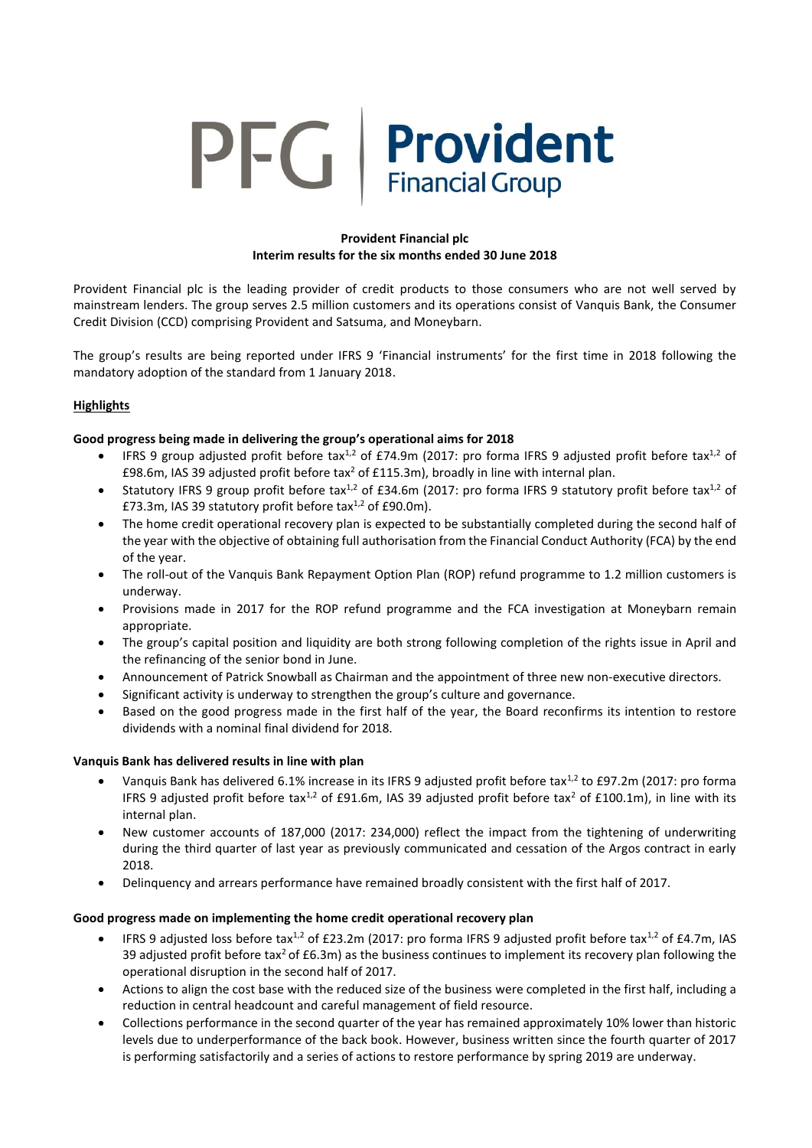# PFG Provident **Financial Group**

## **Provident Financial plc Interim results for the six months ended 30 June 2018**

Provident Financial plc is the leading provider of credit products to those consumers who are not well served by mainstream lenders. The group serves 2.5 million customers and its operations consist of Vanquis Bank, the Consumer Credit Division (CCD) comprising Provident and Satsuma, and Moneybarn.

The group's results are being reported under IFRS 9 'Financial instruments' for the first time in 2018 following the mandatory adoption of the standard from 1 January 2018.

# **Highlights**

# **Good progress being made in delivering the group's operational aims for 2018**

- IFRS 9 group adjusted profit before tax<sup>1,2</sup> of £74.9m (2017: pro forma IFRS 9 adjusted profit before tax<sup>1,2</sup> of £98.6m, IAS 39 adjusted profit before tax<sup>2</sup> of £115.3m), broadly in line with internal plan.
- Statutory IFRS 9 group profit before tax<sup>1,2</sup> of £34.6m (2017: pro forma IFRS 9 statutory profit before tax<sup>1,2</sup> of £73.3m, IAS 39 statutory profit before tax $1,2$  of £90.0m).
- The home credit operational recovery plan is expected to be substantially completed during the second half of the year with the objective of obtaining full authorisation from the Financial Conduct Authority (FCA) by the end of the year.
- The roll-out of the Vanquis Bank Repayment Option Plan (ROP) refund programme to 1.2 million customers is underway.
- Provisions made in 2017 for the ROP refund programme and the FCA investigation at Moneybarn remain appropriate.
- The group's capital position and liquidity are both strong following completion of the rights issue in April and the refinancing of the senior bond in June.
- Announcement of Patrick Snowball as Chairman and the appointment of three new non-executive directors.
- Significant activity is underway to strengthen the group's culture and governance.
- Based on the good progress made in the first half of the year, the Board reconfirms its intention to restore dividends with a nominal final dividend for 2018.

## **Vanquis Bank has delivered results in line with plan**

- Vanquis Bank has delivered 6.1% increase in its IFRS 9 adjusted profit before tax<sup>1,2</sup> to £97.2m (2017: pro forma IFRS 9 adjusted profit before tax<sup>1,2</sup> of £91.6m, IAS 39 adjusted profit before tax<sup>2</sup> of £100.1m), in line with its internal plan.
- New customer accounts of 187,000 (2017: 234,000) reflect the impact from the tightening of underwriting during the third quarter of last year as previously communicated and cessation of the Argos contract in early 2018.
- Delinquency and arrears performance have remained broadly consistent with the first half of 2017.

## **Good progress made on implementing the home credit operational recovery plan**

- **IFRS 9 adjusted loss before tax<sup>1,2</sup> of £23.2m (2017: pro forma IFRS 9 adjusted profit before tax<sup>1,2</sup> of £4.7m, IAS** 39 adjusted profit before tax<sup>2</sup> of £6.3m) as the business continues to implement its recovery plan following the operational disruption in the second half of 2017.
- Actions to align the cost base with the reduced size of the business were completed in the first half, including a reduction in central headcount and careful management of field resource.
- Collections performance in the second quarter of the year has remained approximately 10% lower than historic levels due to underperformance of the back book. However, business written since the fourth quarter of 2017 is performing satisfactorily and a series of actions to restore performance by spring 2019 are underway.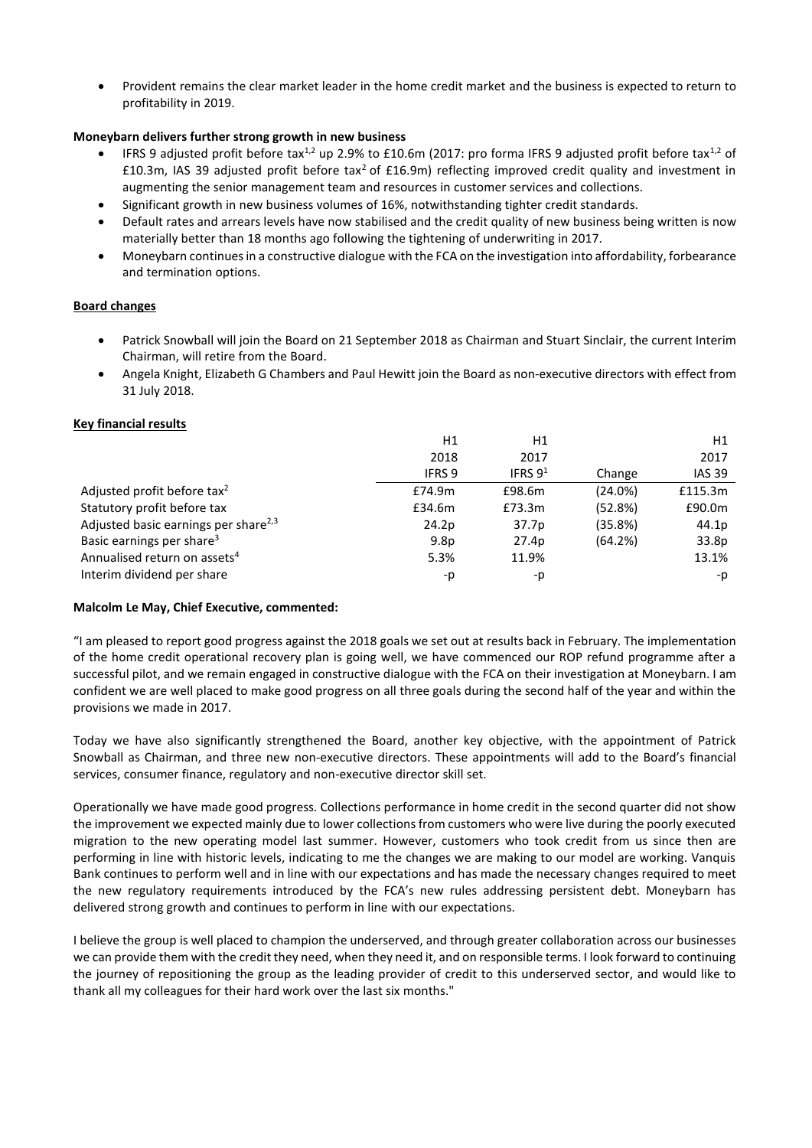Provident remains the clear market leader in the home credit market and the business is expected to return to profitability in 2019.

# **Moneybarn delivers further strong growth in new business**

- IFRS 9 adjusted profit before tax<sup>1,2</sup> up 2.9% to £10.6m (2017: pro forma IFRS 9 adjusted profit before tax<sup>1,2</sup> of £10.3m, IAS 39 adjusted profit before tax<sup>2</sup> of £16.9m) reflecting improved credit quality and investment in augmenting the senior management team and resources in customer services and collections.
- Significant growth in new business volumes of 16%, notwithstanding tighter credit standards.
- Default rates and arrears levels have now stabilised and the credit quality of new business being written is now materially better than 18 months ago following the tightening of underwriting in 2017.
- Moneybarn continuesin a constructive dialogue with the FCA on the investigation into affordability, forbearance and termination options.

## **Board changes**

- Patrick Snowball will join the Board on 21 September 2018 as Chairman and Stuart Sinclair, the current Interim Chairman, will retire from the Board.
- Angela Knight, Elizabeth G Chambers and Paul Hewitt join the Board as non-executive directors with effect from 31 July 2018.

## **Key financial results**

|                                                  | H1               | H1         |         | H1            |
|--------------------------------------------------|------------------|------------|---------|---------------|
|                                                  | 2018             | 2017       |         | 2017          |
|                                                  | <b>IFRS 9</b>    | IFRS $9^1$ | Change  | <b>IAS 39</b> |
| Adjusted profit before tax <sup>2</sup>          | £74.9m           | £98.6m     | (24.0%) | £115.3m       |
| Statutory profit before tax                      | £34.6m           | £73.3m     | (52.8%) | £90.0m        |
| Adjusted basic earnings per share <sup>2,3</sup> | 24.2p            | 37.7p      | (35.8%) | 44.1p         |
| Basic earnings per share <sup>3</sup>            | 9.8 <sub>p</sub> | 27.4p      | (64.2%) | 33.8p         |
| Annualised return on assets <sup>4</sup>         | 5.3%             | 11.9%      |         | 13.1%         |
| Interim dividend per share                       | -p               | -p         |         | -p            |

## **Malcolm Le May, Chief Executive, commented:**

"I am pleased to report good progress against the 2018 goals we set out at results back in February. The implementation of the home credit operational recovery plan is going well, we have commenced our ROP refund programme after a successful pilot, and we remain engaged in constructive dialogue with the FCA on their investigation at Moneybarn. I am confident we are well placed to make good progress on all three goals during the second half of the year and within the provisions we made in 2017.

Today we have also significantly strengthened the Board, another key objective, with the appointment of Patrick Snowball as Chairman, and three new non-executive directors. These appointments will add to the Board's financial services, consumer finance, regulatory and non-executive director skill set.

Operationally we have made good progress. Collections performance in home credit in the second quarter did not show the improvement we expected mainly due to lower collections from customers who were live during the poorly executed migration to the new operating model last summer. However, customers who took credit from us since then are performing in line with historic levels, indicating to me the changes we are making to our model are working. Vanquis Bank continues to perform well and in line with our expectations and has made the necessary changes required to meet the new regulatory requirements introduced by the FCA's new rules addressing persistent debt. Moneybarn has delivered strong growth and continues to perform in line with our expectations.

I believe the group is well placed to champion the underserved, and through greater collaboration across our businesses we can provide them with the credit they need, when they need it, and on responsible terms. I look forward to continuing the journey of repositioning the group as the leading provider of credit to this underserved sector, and would like to thank all my colleagues for their hard work over the last six months."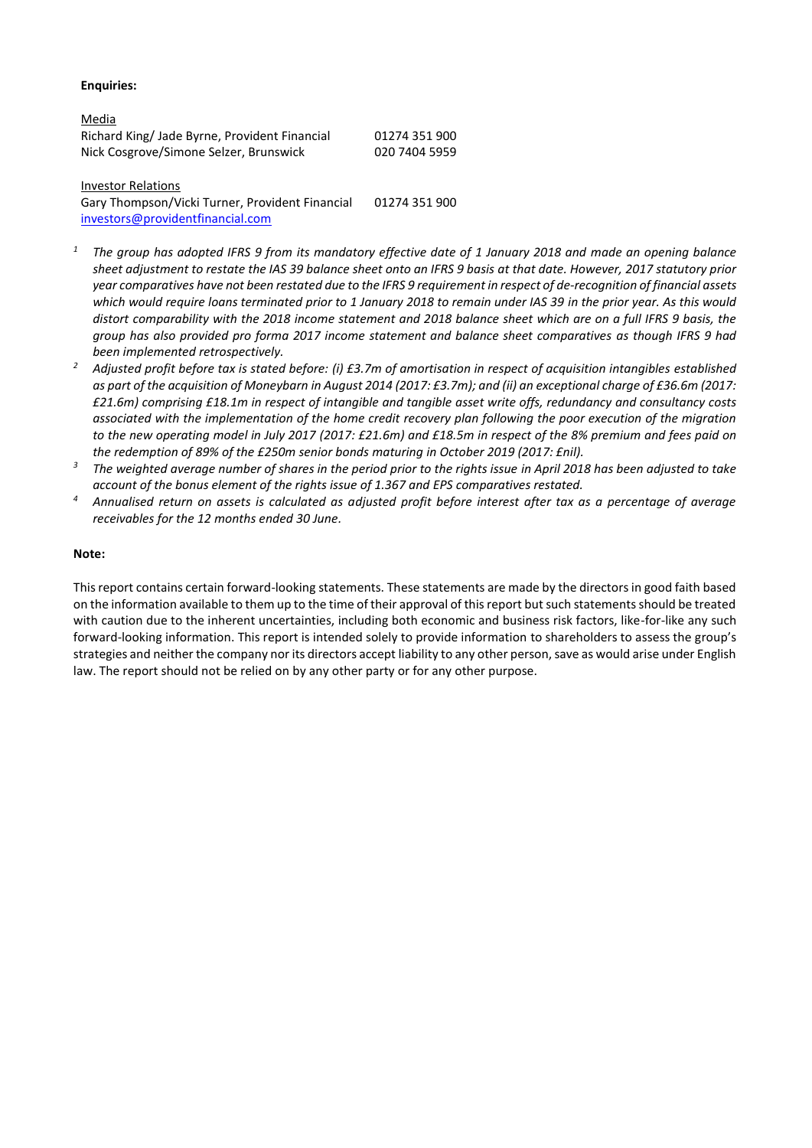#### **Enquiries:**

| <u>Media</u>                                  |               |
|-----------------------------------------------|---------------|
| Richard King/ Jade Byrne, Provident Financial | 01274 351 900 |
| Nick Cosgrove/Simone Selzer, Brunswick        | 020 7404 5959 |

Investor Relations Gary Thompson/Vicki Turner, Provident Financial [investors@providentfinancial.com](mailto:investors@providentfinancial.com) 01274 351 900

- *<sup>1</sup> The group has adopted IFRS 9 from its mandatory effective date of 1 January 2018 and made an opening balance sheet adjustment to restate the IAS 39 balance sheet onto an IFRS 9 basis at that date. However, 2017 statutory prior year comparatives have not been restated due to the IFRS 9 requirement in respect of de-recognition of financial assets which would require loans terminated prior to 1 January 2018 to remain under IAS 39 in the prior year. As this would distort comparability with the 2018 income statement and 2018 balance sheet which are on a full IFRS 9 basis, the group has also provided pro forma 2017 income statement and balance sheet comparatives as though IFRS 9 had been implemented retrospectively.*
- *<sup>2</sup> Adjusted profit before tax is stated before: (i) £3.7m of amortisation in respect of acquisition intangibles established as part of the acquisition of Moneybarn in August 2014 (2017: £3.7m); and (ii) an exceptional charge of £36.6m (2017: £21.6m) comprising £18.1m in respect of intangible and tangible asset write offs, redundancy and consultancy costs associated with the implementation of the home credit recovery plan following the poor execution of the migration to the new operating model in July 2017 (2017: £21.6m) and £18.5m in respect of the 8% premium and fees paid on the redemption of 89% of the £250m senior bonds maturing in October 2019 (2017: £nil).*
- *<sup>3</sup> The weighted average number of shares in the period prior to the rights issue in April 2018 has been adjusted to take account of the bonus element of the rights issue of 1.367 and EPS comparatives restated.*
- *<sup>4</sup> Annualised return on assets is calculated as adjusted profit before interest after tax as a percentage of average receivables for the 12 months ended 30 June.*

#### **Note:**

This report contains certain forward-looking statements. These statements are made by the directors in good faith based on the information available to them up to the time of their approval of this report but such statements should be treated with caution due to the inherent uncertainties, including both economic and business risk factors, like-for-like any such forward-looking information. This report is intended solely to provide information to shareholders to assess the group's strategies and neither the company nor its directors accept liability to any other person, save as would arise under English law. The report should not be relied on by any other party or for any other purpose.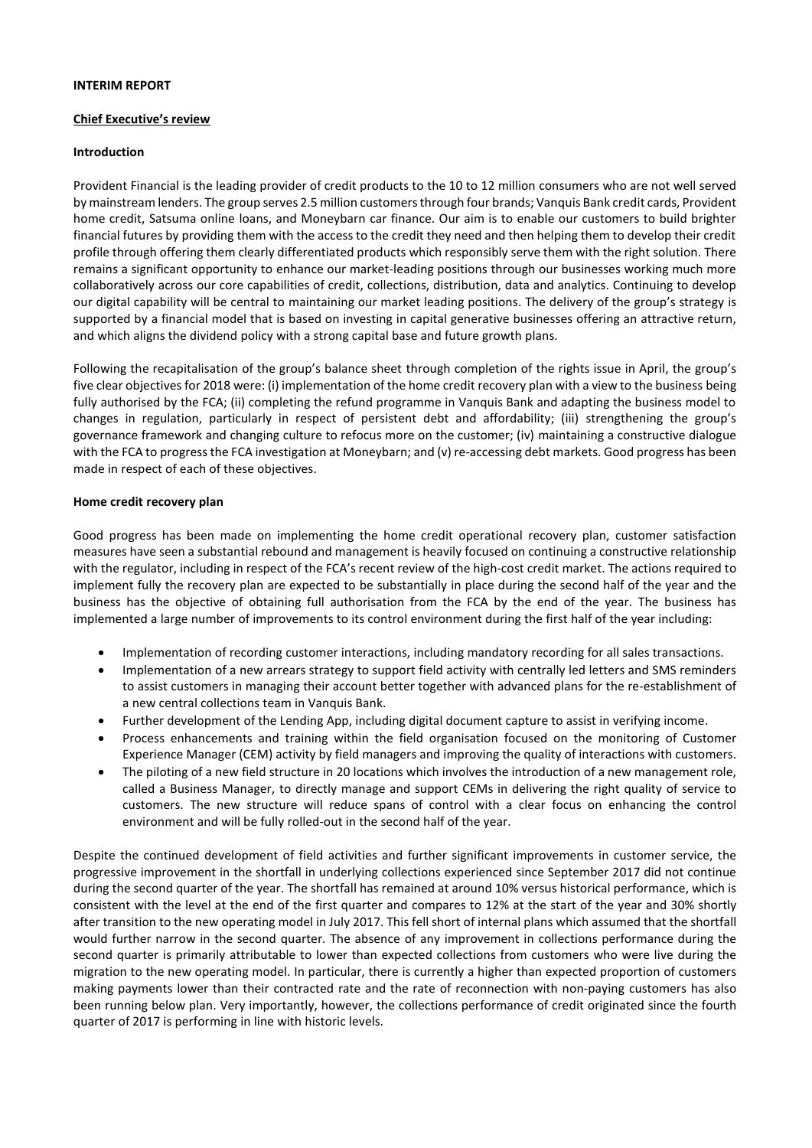#### **INTERIM REPORT**

#### **Chief Executive's review**

#### **Introduction**

Provident Financial is the leading provider of credit products to the 10 to 12 million consumers who are not well served by mainstream lenders. The group serves 2.5 million customers through four brands; Vanquis Bank credit cards, Provident home credit, Satsuma online loans, and Moneybarn car finance. Our aim is to enable our customers to build brighter financial futures by providing them with the access to the credit they need and then helping them to develop their credit profile through offering them clearly differentiated products which responsibly serve them with the right solution. There remains a significant opportunity to enhance our market-leading positions through our businesses working much more collaboratively across our core capabilities of credit, collections, distribution, data and analytics. Continuing to develop our digital capability will be central to maintaining our market leading positions. The delivery of the group's strategy is supported by a financial model that is based on investing in capital generative businesses offering an attractive return, and which aligns the dividend policy with a strong capital base and future growth plans.

Following the recapitalisation of the group's balance sheet through completion of the rights issue in April, the group's five clear objectives for 2018 were: (i) implementation of the home credit recovery plan with a view to the business being fully authorised by the FCA; (ii) completing the refund programme in Vanquis Bank and adapting the business model to changes in regulation, particularly in respect of persistent debt and affordability; (iii) strengthening the group's governance framework and changing culture to refocus more on the customer; (iv) maintaining a constructive dialogue with the FCA to progress the FCA investigation at Moneybarn; and (v) re-accessing debt markets. Good progress has been made in respect of each of these objectives.

#### **Home credit recovery plan**

Good progress has been made on implementing the home credit operational recovery plan, customer satisfaction measures have seen a substantial rebound and management is heavily focused on continuing a constructive relationship with the regulator, including in respect of the FCA's recent review of the high-cost credit market. The actions required to implement fully the recovery plan are expected to be substantially in place during the second half of the year and the business has the objective of obtaining full authorisation from the FCA by the end of the year. The business has implemented a large number of improvements to its control environment during the first half of the year including:

- Implementation of recording customer interactions, including mandatory recording for all sales transactions.
- Implementation of a new arrears strategy to support field activity with centrally led letters and SMS reminders to assist customers in managing their account better together with advanced plans for the re-establishment of a new central collections team in Vanquis Bank.
- Further development of the Lending App, including digital document capture to assist in verifying income.
- Process enhancements and training within the field organisation focused on the monitoring of Customer Experience Manager (CEM) activity by field managers and improving the quality of interactions with customers.
- The piloting of a new field structure in 20 locations which involves the introduction of a new management role, called a Business Manager, to directly manage and support CEMs in delivering the right quality of service to customers. The new structure will reduce spans of control with a clear focus on enhancing the control environment and will be fully rolled-out in the second half of the year.

Despite the continued development of field activities and further significant improvements in customer service, the progressive improvement in the shortfall in underlying collections experienced since September 2017 did not continue during the second quarter of the year. The shortfall has remained at around 10% versus historical performance, which is consistent with the level at the end of the first quarter and compares to 12% at the start of the year and 30% shortly after transition to the new operating model in July 2017. This fell short of internal plans which assumed that the shortfall would further narrow in the second quarter. The absence of any improvement in collections performance during the second quarter is primarily attributable to lower than expected collections from customers who were live during the migration to the new operating model. In particular, there is currently a higher than expected proportion of customers making payments lower than their contracted rate and the rate of reconnection with non-paying customers has also been running below plan. Very importantly, however, the collections performance of credit originated since the fourth quarter of 2017 is performing in line with historic levels.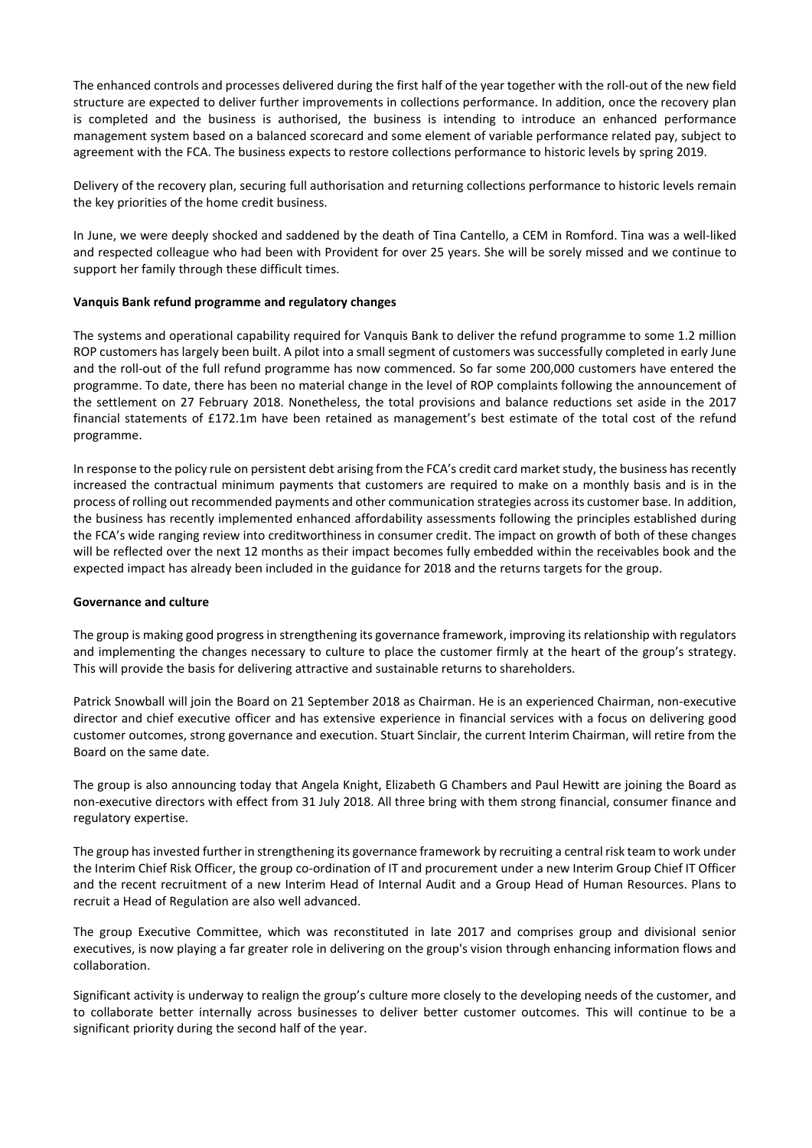The enhanced controls and processes delivered during the first half of the year together with the roll-out of the new field structure are expected to deliver further improvements in collections performance. In addition, once the recovery plan is completed and the business is authorised, the business is intending to introduce an enhanced performance management system based on a balanced scorecard and some element of variable performance related pay, subject to agreement with the FCA. The business expects to restore collections performance to historic levels by spring 2019.

Delivery of the recovery plan, securing full authorisation and returning collections performance to historic levels remain the key priorities of the home credit business.

In June, we were deeply shocked and saddened by the death of Tina Cantello, a CEM in Romford. Tina was a well-liked and respected colleague who had been with Provident for over 25 years. She will be sorely missed and we continue to support her family through these difficult times.

#### **Vanquis Bank refund programme and regulatory changes**

The systems and operational capability required for Vanquis Bank to deliver the refund programme to some 1.2 million ROP customers has largely been built. A pilot into a small segment of customers was successfully completed in early June and the roll-out of the full refund programme has now commenced. So far some 200,000 customers have entered the programme. To date, there has been no material change in the level of ROP complaints following the announcement of the settlement on 27 February 2018. Nonetheless, the total provisions and balance reductions set aside in the 2017 financial statements of £172.1m have been retained as management's best estimate of the total cost of the refund programme.

In response to the policy rule on persistent debt arising from the FCA's credit card market study, the business has recently increased the contractual minimum payments that customers are required to make on a monthly basis and is in the process of rolling out recommended payments and other communication strategies acrossits customer base. In addition, the business has recently implemented enhanced affordability assessments following the principles established during the FCA's wide ranging review into creditworthiness in consumer credit. The impact on growth of both of these changes will be reflected over the next 12 months as their impact becomes fully embedded within the receivables book and the expected impact has already been included in the guidance for 2018 and the returns targets for the group.

#### **Governance and culture**

The group is making good progress in strengthening its governance framework, improving its relationship with regulators and implementing the changes necessary to culture to place the customer firmly at the heart of the group's strategy. This will provide the basis for delivering attractive and sustainable returns to shareholders.

Patrick Snowball will join the Board on 21 September 2018 as Chairman. He is an experienced Chairman, non-executive director and chief executive officer and has extensive experience in financial services with a focus on delivering good customer outcomes, strong governance and execution. Stuart Sinclair, the current Interim Chairman, will retire from the Board on the same date.

The group is also announcing today that Angela Knight, Elizabeth G Chambers and Paul Hewitt are joining the Board as non-executive directors with effect from 31 July 2018. All three bring with them strong financial, consumer finance and regulatory expertise.

The group has invested further in strengthening its governance framework by recruiting a central risk team to work under the Interim Chief Risk Officer, the group co-ordination of IT and procurement under a new Interim Group Chief IT Officer and the recent recruitment of a new Interim Head of Internal Audit and a Group Head of Human Resources. Plans to recruit a Head of Regulation are also well advanced.

The group Executive Committee, which was reconstituted in late 2017 and comprises group and divisional senior executives, is now playing a far greater role in delivering on the group's vision through enhancing information flows and collaboration.

Significant activity is underway to realign the group's culture more closely to the developing needs of the customer, and to collaborate better internally across businesses to deliver better customer outcomes. This will continue to be a significant priority during the second half of the year.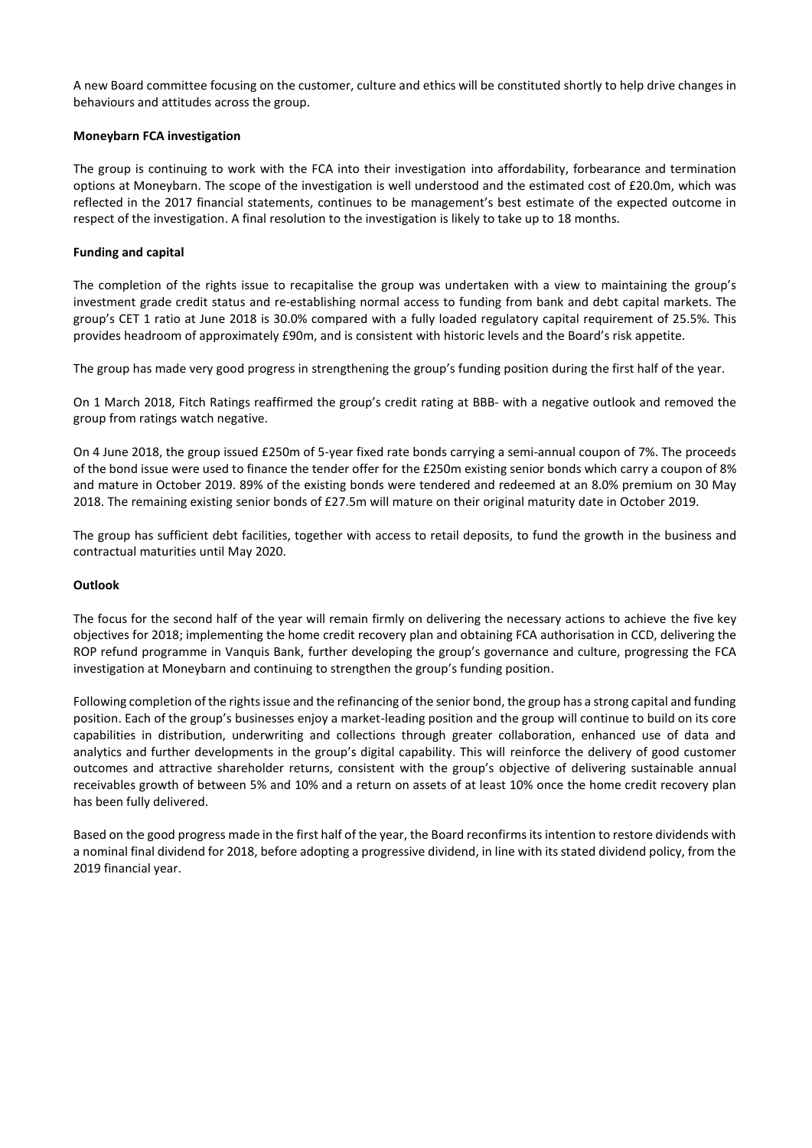A new Board committee focusing on the customer, culture and ethics will be constituted shortly to help drive changes in behaviours and attitudes across the group.

## **Moneybarn FCA investigation**

The group is continuing to work with the FCA into their investigation into affordability, forbearance and termination options at Moneybarn. The scope of the investigation is well understood and the estimated cost of £20.0m, which was reflected in the 2017 financial statements, continues to be management's best estimate of the expected outcome in respect of the investigation. A final resolution to the investigation is likely to take up to 18 months.

# **Funding and capital**

The completion of the rights issue to recapitalise the group was undertaken with a view to maintaining the group's investment grade credit status and re-establishing normal access to funding from bank and debt capital markets. The group's CET 1 ratio at June 2018 is 30.0% compared with a fully loaded regulatory capital requirement of 25.5%. This provides headroom of approximately £90m, and is consistent with historic levels and the Board's risk appetite.

The group has made very good progress in strengthening the group's funding position during the first half of the year.

On 1 March 2018, Fitch Ratings reaffirmed the group's credit rating at BBB- with a negative outlook and removed the group from ratings watch negative.

On 4 June 2018, the group issued £250m of 5-year fixed rate bonds carrying a semi-annual coupon of 7%. The proceeds of the bond issue were used to finance the tender offer for the £250m existing senior bonds which carry a coupon of 8% and mature in October 2019. 89% of the existing bonds were tendered and redeemed at an 8.0% premium on 30 May 2018. The remaining existing senior bonds of £27.5m will mature on their original maturity date in October 2019.

The group has sufficient debt facilities, together with access to retail deposits, to fund the growth in the business and contractual maturities until May 2020.

## **Outlook**

The focus for the second half of the year will remain firmly on delivering the necessary actions to achieve the five key objectives for 2018; implementing the home credit recovery plan and obtaining FCA authorisation in CCD, delivering the ROP refund programme in Vanquis Bank, further developing the group's governance and culture, progressing the FCA investigation at Moneybarn and continuing to strengthen the group's funding position.

Following completion of the rights issue and the refinancing of the senior bond, the group has a strong capital and funding position. Each of the group's businesses enjoy a market-leading position and the group will continue to build on its core capabilities in distribution, underwriting and collections through greater collaboration, enhanced use of data and analytics and further developments in the group's digital capability. This will reinforce the delivery of good customer outcomes and attractive shareholder returns, consistent with the group's objective of delivering sustainable annual receivables growth of between 5% and 10% and a return on assets of at least 10% once the home credit recovery plan has been fully delivered.

Based on the good progress made in the first half of the year, the Board reconfirms its intention to restore dividends with a nominal final dividend for 2018, before adopting a progressive dividend, in line with its stated dividend policy, from the 2019 financial year.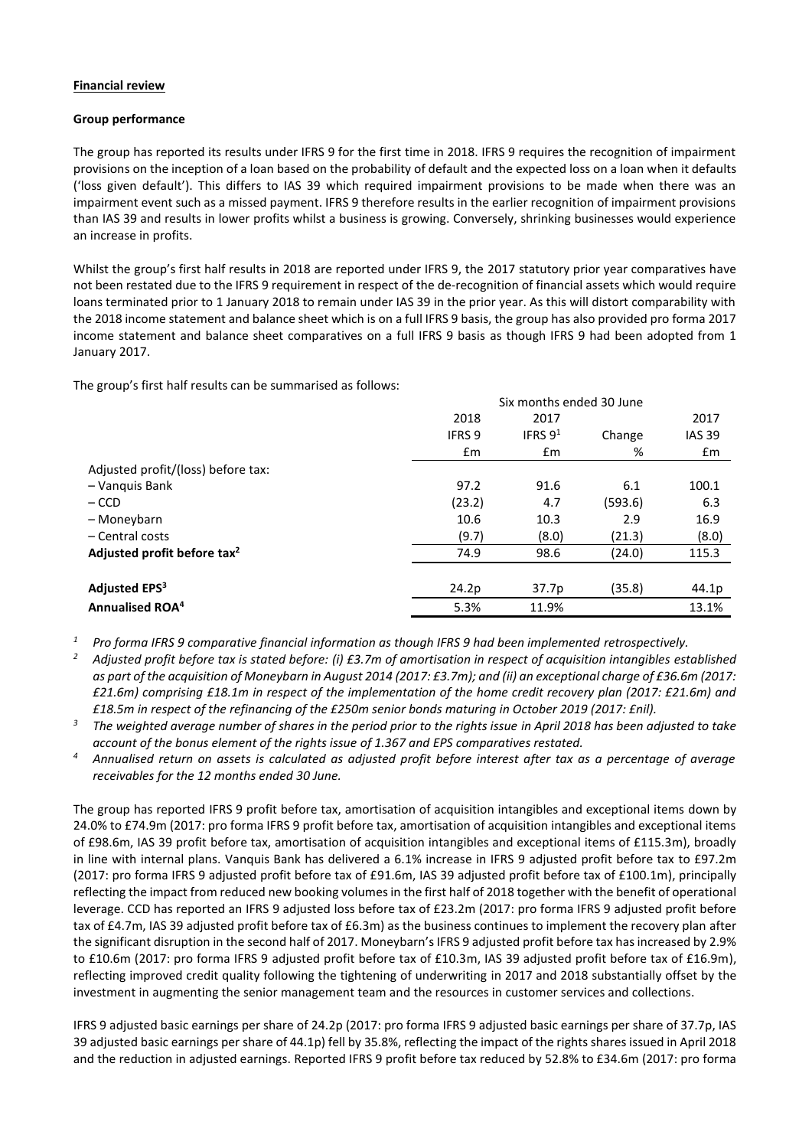## **Financial review**

## **Group performance**

The group has reported its results under IFRS 9 for the first time in 2018. IFRS 9 requires the recognition of impairment provisions on the inception of a loan based on the probability of default and the expected loss on a loan when it defaults ('loss given default'). This differs to IAS 39 which required impairment provisions to be made when there was an impairment event such as a missed payment. IFRS 9 therefore results in the earlier recognition of impairment provisions than IAS 39 and results in lower profits whilst a business is growing. Conversely, shrinking businesses would experience an increase in profits.

Whilst the group's first half results in 2018 are reported under IFRS 9, the 2017 statutory prior year comparatives have not been restated due to the IFRS 9 requirement in respect of the de-recognition of financial assets which would require loans terminated prior to 1 January 2018 to remain under IAS 39 in the prior year. As this will distort comparability with the 2018 income statement and balance sheet which is on a full IFRS 9 basis, the group has also provided pro forma 2017 income statement and balance sheet comparatives on a full IFRS 9 basis as though IFRS 9 had been adopted from 1 January 2017.

The group's first half results can be summarised as follows:

|                                         | Six months ended 30 June |            |         |               |  |  |
|-----------------------------------------|--------------------------|------------|---------|---------------|--|--|
|                                         | 2018                     | 2017       |         | 2017          |  |  |
|                                         | <b>IFRS 9</b>            | IFRS $9^1$ | Change  | <b>IAS 39</b> |  |  |
|                                         | £m                       | £m         | %       | £m            |  |  |
| Adjusted profit/(loss) before tax:      |                          |            |         |               |  |  |
| - Vanquis Bank                          | 97.2                     | 91.6       | 6.1     | 100.1         |  |  |
| $-$ CCD                                 | (23.2)                   | 4.7        | (593.6) | 6.3           |  |  |
| - Moneybarn                             | 10.6                     | 10.3       | 2.9     | 16.9          |  |  |
| - Central costs                         | (9.7)                    | (8.0)      | (21.3)  | (8.0)         |  |  |
| Adjusted profit before tax <sup>2</sup> | 74.9                     | 98.6       | (24.0)  | 115.3         |  |  |
|                                         |                          |            |         |               |  |  |
| Adjusted EPS <sup>3</sup>               | 24.2p                    | 37.7p      | (35.8)  | 44.1p         |  |  |
| <b>Annualised ROA<sup>4</sup></b>       | 5.3%                     | 11.9%      |         | 13.1%         |  |  |

*<sup>1</sup> Pro forma IFRS 9 comparative financial information as though IFRS 9 had been implemented retrospectively.*

- *<sup>2</sup> Adjusted profit before tax is stated before: (i) £3.7m of amortisation in respect of acquisition intangibles established as part of the acquisition of Moneybarn in August 2014 (2017: £3.7m); and (ii) an exceptional charge of £36.6m (2017: £21.6m) comprising £18.1m in respect of the implementation of the home credit recovery plan (2017: £21.6m) and £18.5m in respect of the refinancing of the £250m senior bonds maturing in October 2019 (2017: £nil).*
- *<sup>3</sup> The weighted average number of shares in the period prior to the rights issue in April 2018 has been adjusted to take account of the bonus element of the rights issue of 1.367 and EPS comparatives restated.*
- *<sup>4</sup> Annualised return on assets is calculated as adjusted profit before interest after tax as a percentage of average receivables for the 12 months ended 30 June.*

The group has reported IFRS 9 profit before tax, amortisation of acquisition intangibles and exceptional items down by 24.0% to £74.9m (2017: pro forma IFRS 9 profit before tax, amortisation of acquisition intangibles and exceptional items of £98.6m, IAS 39 profit before tax, amortisation of acquisition intangibles and exceptional items of £115.3m), broadly in line with internal plans. Vanquis Bank has delivered a 6.1% increase in IFRS 9 adjusted profit before tax to £97.2m (2017: pro forma IFRS 9 adjusted profit before tax of £91.6m, IAS 39 adjusted profit before tax of £100.1m), principally reflecting the impact from reduced new booking volumes in the first half of 2018 together with the benefit of operational leverage. CCD has reported an IFRS 9 adjusted loss before tax of £23.2m (2017: pro forma IFRS 9 adjusted profit before tax of £4.7m, IAS 39 adjusted profit before tax of £6.3m) as the business continues to implement the recovery plan after the significant disruption in the second half of 2017. Moneybarn's IFRS 9 adjusted profit before tax has increased by 2.9% to £10.6m (2017: pro forma IFRS 9 adjusted profit before tax of £10.3m, IAS 39 adjusted profit before tax of £16.9m), reflecting improved credit quality following the tightening of underwriting in 2017 and 2018 substantially offset by the investment in augmenting the senior management team and the resources in customer services and collections.

IFRS 9 adjusted basic earnings per share of 24.2p (2017: pro forma IFRS 9 adjusted basic earnings per share of 37.7p, IAS 39 adjusted basic earnings per share of 44.1p) fell by 35.8%, reflecting the impact of the rights shares issued in April 2018 and the reduction in adjusted earnings. Reported IFRS 9 profit before tax reduced by 52.8% to £34.6m (2017: pro forma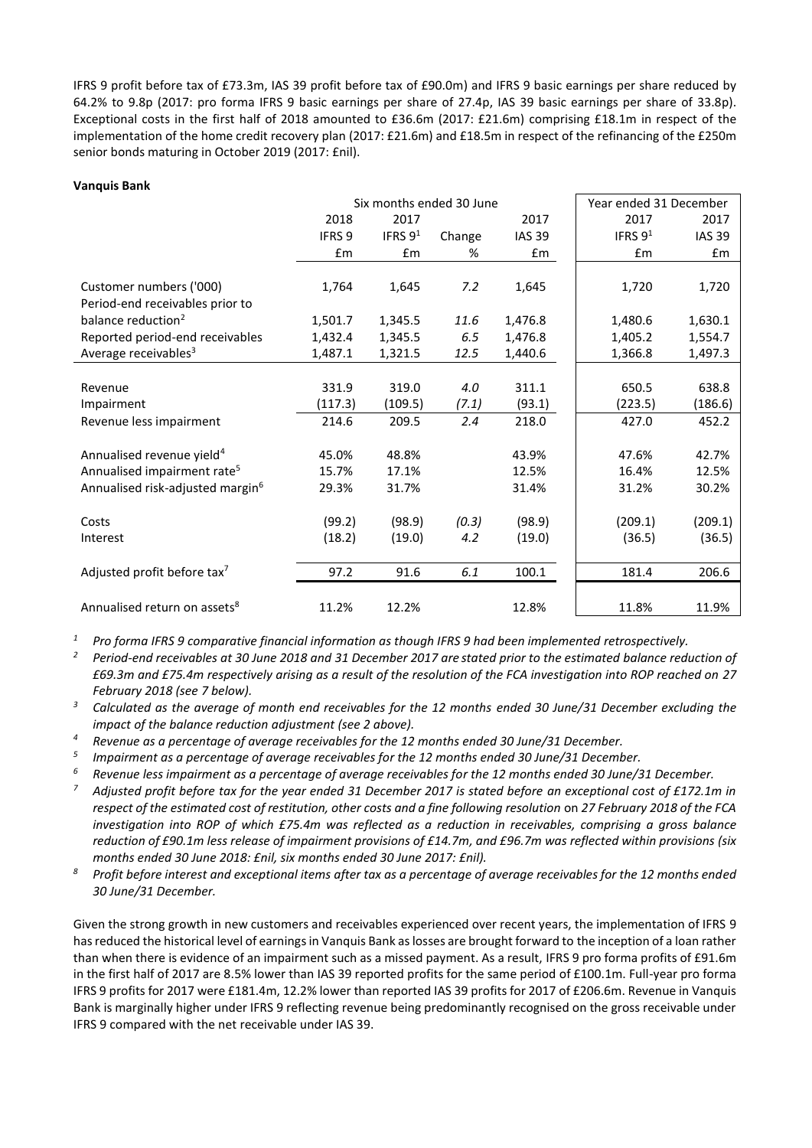IFRS 9 profit before tax of £73.3m, IAS 39 profit before tax of £90.0m) and IFRS 9 basic earnings per share reduced by 64.2% to 9.8p (2017: pro forma IFRS 9 basic earnings per share of 27.4p, IAS 39 basic earnings per share of 33.8p). Exceptional costs in the first half of 2018 amounted to £36.6m (2017: £21.6m) comprising £18.1m in respect of the implementation of the home credit recovery plan (2017: £21.6m) and £18.5m in respect of the refinancing of the £250m senior bonds maturing in October 2019 (2017: £nil).

#### **Vanquis Bank**

|                                              | Six months ended 30 June |           |        |               | Year ended 31 December |               |
|----------------------------------------------|--------------------------|-----------|--------|---------------|------------------------|---------------|
|                                              | 2018                     | 2017      |        | 2017          | 2017                   | 2017          |
|                                              | IFRS <sub>9</sub>        | IFRS $91$ | Change | <b>IAS 39</b> | IFRS $91$              | <b>IAS 39</b> |
|                                              | £m                       | £m        | %      | Em            | £m                     | $\mathsf{fm}$ |
|                                              |                          |           |        |               |                        |               |
| Customer numbers ('000)                      | 1,764                    | 1,645     | 7.2    | 1,645         | 1,720                  | 1,720         |
| Period-end receivables prior to              |                          |           |        |               |                        |               |
| balance reduction <sup>2</sup>               | 1,501.7                  | 1,345.5   | 11.6   | 1,476.8       | 1,480.6                | 1,630.1       |
| Reported period-end receivables              | 1,432.4                  | 1,345.5   | 6.5    | 1,476.8       | 1,405.2                | 1,554.7       |
| Average receivables <sup>3</sup>             | 1,487.1                  | 1,321.5   | 12.5   | 1,440.6       | 1,366.8                | 1,497.3       |
|                                              |                          |           |        |               |                        |               |
| Revenue                                      | 331.9                    | 319.0     | 4.0    | 311.1         | 650.5                  | 638.8         |
| Impairment                                   | (117.3)                  | (109.5)   | (7.1)  | (93.1)        | (223.5)                | (186.6)       |
| Revenue less impairment                      | 214.6                    | 209.5     | 2.4    | 218.0         | 427.0                  | 452.2         |
|                                              |                          |           |        |               |                        |               |
| Annualised revenue yield <sup>4</sup>        | 45.0%                    | 48.8%     |        | 43.9%         | 47.6%                  | 42.7%         |
| Annualised impairment rate <sup>5</sup>      | 15.7%                    | 17.1%     |        | 12.5%         | 16.4%                  | 12.5%         |
| Annualised risk-adjusted margin <sup>6</sup> | 29.3%                    | 31.7%     |        | 31.4%         | 31.2%                  | 30.2%         |
|                                              |                          |           |        |               |                        |               |
| Costs                                        | (99.2)                   | (98.9)    | (0.3)  | (98.9)        | (209.1)                | (209.1)       |
| Interest                                     | (18.2)                   | (19.0)    | 4.2    | (19.0)        | (36.5)                 | (36.5)        |
|                                              |                          |           |        |               |                        |               |
| Adjusted profit before tax <sup>7</sup>      | 97.2                     | 91.6      | 6.1    | 100.1         | 181.4                  | 206.6         |
|                                              |                          |           |        |               |                        |               |
| Annualised return on assets <sup>8</sup>     | 11.2%                    | 12.2%     |        | 12.8%         | 11.8%                  | 11.9%         |

*<sup>1</sup> Pro forma IFRS 9 comparative financial information as though IFRS 9 had been implemented retrospectively.*

*<sup>2</sup> Period-end receivables at 30 June 2018 and 31 December 2017 are stated prior to the estimated balance reduction of £69.3m and £75.4m respectively arising as a result of the resolution of the FCA investigation into ROP reached on 27 February 2018 (see 7 below).*

*<sup>3</sup> Calculated as the average of month end receivables for the 12 months ended 30 June/31 December excluding the impact of the balance reduction adjustment (see 2 above).*

*<sup>4</sup> Revenue as a percentage of average receivables for the 12 months ended 30 June/31 December.*

*5 Impairment as a percentage of average receivables for the 12 months ended 30 June/31 December.*

*<sup>6</sup> Revenue less impairment as a percentage of average receivables for the 12 months ended 30 June/31 December.*

*<sup>7</sup> Adjusted profit before tax for the year ended 31 December 2017 is stated before an exceptional cost of £172.1m in respect of the estimated cost of restitution, other costs and a fine following resolution* on *27 February 2018 of the FCA investigation into ROP of which £75.4m was reflected as a reduction in receivables, comprising a gross balance reduction of £90.1m less release of impairment provisions of £14.7m, and £96.7m was reflected within provisions (six months ended 30 June 2018: £nil, six months ended 30 June 2017: £nil).*

*<sup>8</sup> Profit before interest and exceptional items after tax as a percentage of average receivables for the 12 months ended 30 June/31 December.*

Given the strong growth in new customers and receivables experienced over recent years, the implementation of IFRS 9 has reduced the historical level of earnings in Vanquis Bank as losses are brought forward to the inception of a loan rather than when there is evidence of an impairment such as a missed payment. As a result, IFRS 9 pro forma profits of £91.6m in the first half of 2017 are 8.5% lower than IAS 39 reported profits for the same period of £100.1m. Full-year pro forma IFRS 9 profits for 2017 were £181.4m, 12.2% lower than reported IAS 39 profits for 2017 of £206.6m. Revenue in Vanquis Bank is marginally higher under IFRS 9 reflecting revenue being predominantly recognised on the gross receivable under IFRS 9 compared with the net receivable under IAS 39.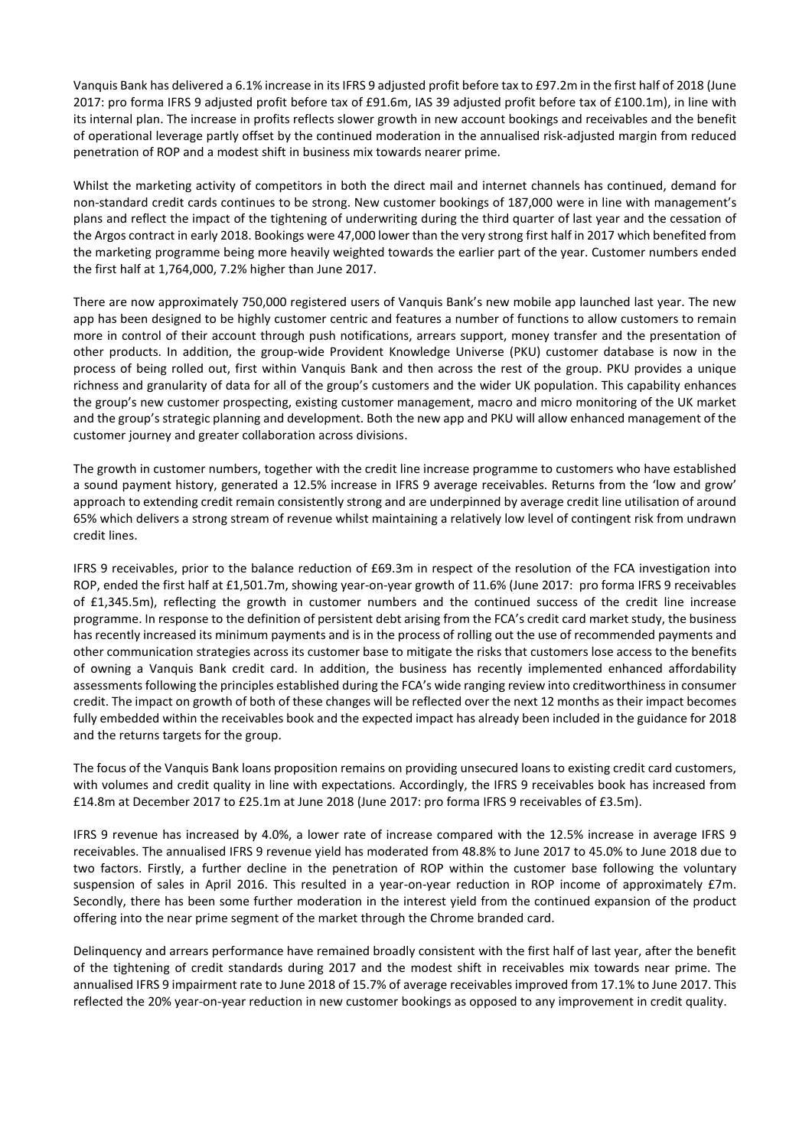Vanquis Bank has delivered a 6.1% increase in itsIFRS 9 adjusted profit before tax to £97.2m in the first half of 2018 (June 2017: pro forma IFRS 9 adjusted profit before tax of £91.6m, IAS 39 adjusted profit before tax of £100.1m), in line with its internal plan. The increase in profits reflects slower growth in new account bookings and receivables and the benefit of operational leverage partly offset by the continued moderation in the annualised risk-adjusted margin from reduced penetration of ROP and a modest shift in business mix towards nearer prime.

Whilst the marketing activity of competitors in both the direct mail and internet channels has continued, demand for non-standard credit cards continues to be strong. New customer bookings of 187,000 were in line with management's plans and reflect the impact of the tightening of underwriting during the third quarter of last year and the cessation of the Argos contract in early 2018. Bookings were 47,000 lower than the very strong first half in 2017 which benefited from the marketing programme being more heavily weighted towards the earlier part of the year. Customer numbers ended the first half at 1,764,000, 7.2% higher than June 2017.

There are now approximately 750,000 registered users of Vanquis Bank's new mobile app launched last year. The new app has been designed to be highly customer centric and features a number of functions to allow customers to remain more in control of their account through push notifications, arrears support, money transfer and the presentation of other products. In addition, the group-wide Provident Knowledge Universe (PKU) customer database is now in the process of being rolled out, first within Vanquis Bank and then across the rest of the group. PKU provides a unique richness and granularity of data for all of the group's customers and the wider UK population. This capability enhances the group's new customer prospecting, existing customer management, macro and micro monitoring of the UK market and the group's strategic planning and development. Both the new app and PKU will allow enhanced management of the customer journey and greater collaboration across divisions.

The growth in customer numbers, together with the credit line increase programme to customers who have established a sound payment history, generated a 12.5% increase in IFRS 9 average receivables. Returns from the 'low and grow' approach to extending credit remain consistently strong and are underpinned by average credit line utilisation of around 65% which delivers a strong stream of revenue whilst maintaining a relatively low level of contingent risk from undrawn credit lines.

IFRS 9 receivables, prior to the balance reduction of £69.3m in respect of the resolution of the FCA investigation into ROP, ended the first half at £1,501.7m, showing year-on-year growth of 11.6% (June 2017: pro forma IFRS 9 receivables of £1,345.5m), reflecting the growth in customer numbers and the continued success of the credit line increase programme. In response to the definition of persistent debt arising from the FCA's credit card market study, the business has recently increased its minimum payments and is in the process of rolling out the use of recommended payments and other communication strategies across its customer base to mitigate the risks that customers lose access to the benefits of owning a Vanquis Bank credit card. In addition, the business has recently implemented enhanced affordability assessments following the principles established during the FCA's wide ranging review into creditworthiness in consumer credit. The impact on growth of both of these changes will be reflected over the next 12 months as their impact becomes fully embedded within the receivables book and the expected impact has already been included in the guidance for 2018 and the returns targets for the group.

The focus of the Vanquis Bank loans proposition remains on providing unsecured loans to existing credit card customers, with volumes and credit quality in line with expectations. Accordingly, the IFRS 9 receivables book has increased from £14.8m at December 2017 to £25.1m at June 2018 (June 2017: pro forma IFRS 9 receivables of £3.5m).

IFRS 9 revenue has increased by 4.0%, a lower rate of increase compared with the 12.5% increase in average IFRS 9 receivables. The annualised IFRS 9 revenue yield has moderated from 48.8% to June 2017 to 45.0% to June 2018 due to two factors. Firstly, a further decline in the penetration of ROP within the customer base following the voluntary suspension of sales in April 2016. This resulted in a year-on-year reduction in ROP income of approximately £7m. Secondly, there has been some further moderation in the interest yield from the continued expansion of the product offering into the near prime segment of the market through the Chrome branded card.

Delinquency and arrears performance have remained broadly consistent with the first half of last year, after the benefit of the tightening of credit standards during 2017 and the modest shift in receivables mix towards near prime. The annualised IFRS 9 impairment rate to June 2018 of 15.7% of average receivables improved from 17.1% to June 2017. This reflected the 20% year-on-year reduction in new customer bookings as opposed to any improvement in credit quality.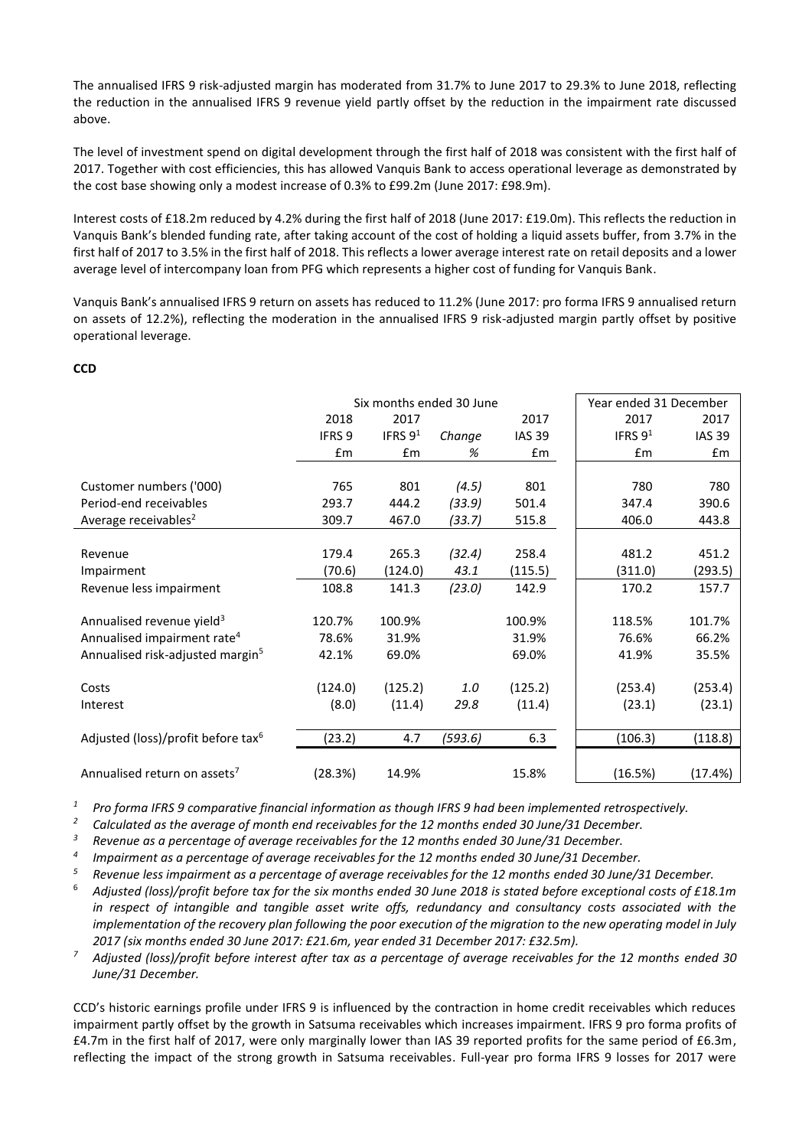The annualised IFRS 9 risk-adjusted margin has moderated from 31.7% to June 2017 to 29.3% to June 2018, reflecting the reduction in the annualised IFRS 9 revenue yield partly offset by the reduction in the impairment rate discussed above.

The level of investment spend on digital development through the first half of 2018 was consistent with the first half of 2017. Together with cost efficiencies, this has allowed Vanquis Bank to access operational leverage as demonstrated by the cost base showing only a modest increase of 0.3% to £99.2m (June 2017: £98.9m).

Interest costs of £18.2m reduced by 4.2% during the first half of 2018 (June 2017: £19.0m). This reflects the reduction in Vanquis Bank's blended funding rate, after taking account of the cost of holding a liquid assets buffer, from 3.7% in the first half of 2017 to 3.5% in the first half of 2018. This reflects a lower average interest rate on retail deposits and a lower average level of intercompany loan from PFG which represents a higher cost of funding for Vanquis Bank.

Vanquis Bank's annualised IFRS 9 return on assets has reduced to 11.2% (June 2017: pro forma IFRS 9 annualised return on assets of 12.2%), reflecting the moderation in the annualised IFRS 9 risk-adjusted margin partly offset by positive operational leverage.

## **CCD**

|                                                |                   | Six months ended 30 June |         | Year ended 31 December |           |               |
|------------------------------------------------|-------------------|--------------------------|---------|------------------------|-----------|---------------|
|                                                | 2018              | 2017                     |         | 2017                   | 2017      | 2017          |
|                                                | IFRS <sub>9</sub> | IFRS $91$                | Change  | <b>IAS 39</b>          | IFRS $91$ | <b>IAS 39</b> |
|                                                | £m                | Em                       | %       | £m                     | Em        | £m            |
|                                                |                   |                          |         |                        |           |               |
| Customer numbers ('000)                        | 765               | 801                      | (4.5)   | 801                    | 780       | 780           |
| Period-end receivables                         | 293.7             | 444.2                    | (33.9)  | 501.4                  | 347.4     | 390.6         |
| Average receivables <sup>2</sup>               | 309.7             | 467.0                    | (33.7)  | 515.8                  | 406.0     | 443.8         |
|                                                |                   |                          |         |                        |           |               |
| Revenue                                        | 179.4             | 265.3                    | (32.4)  | 258.4                  | 481.2     | 451.2         |
| Impairment                                     | (70.6)            | (124.0)                  | 43.1    | (115.5)                | (311.0)   | (293.5)       |
| Revenue less impairment                        | 108.8             | 141.3                    | (23.0)  | 142.9                  | 170.2     | 157.7         |
|                                                |                   |                          |         |                        |           |               |
| Annualised revenue yield <sup>3</sup>          | 120.7%            | 100.9%                   |         | 100.9%                 | 118.5%    | 101.7%        |
| Annualised impairment rate <sup>4</sup>        | 78.6%             | 31.9%                    |         | 31.9%                  | 76.6%     | 66.2%         |
| Annualised risk-adjusted margin <sup>5</sup>   | 42.1%             | 69.0%                    |         | 69.0%                  | 41.9%     | 35.5%         |
|                                                |                   |                          |         |                        |           |               |
| Costs                                          | (124.0)           | (125.2)                  | 1.0     | (125.2)                | (253.4)   | (253.4)       |
| Interest                                       | (8.0)             | (11.4)                   | 29.8    | (11.4)                 | (23.1)    | (23.1)        |
|                                                |                   |                          |         |                        |           |               |
| Adjusted (loss)/profit before tax <sup>6</sup> | (23.2)            | 4.7                      | (593.6) | 6.3                    | (106.3)   | (118.8)       |
|                                                |                   |                          |         |                        |           |               |
| Annualised return on assets <sup>7</sup>       | (28.3%)           | 14.9%                    |         | 15.8%                  | (16.5%)   | (17.4%)       |

*<sup>1</sup> Pro forma IFRS 9 comparative financial information as though IFRS 9 had been implemented retrospectively.*

*<sup>2</sup> Calculated as the average of month end receivables for the 12 months ended 30 June/31 December.*

*<sup>3</sup> Revenue as a percentage of average receivables for the 12 months ended 30 June/31 December.*

*4 Impairment as a percentage of average receivables for the 12 months ended 30 June/31 December.*

*<sup>5</sup> Revenue less impairment as a percentage of average receivables for the 12 months ended 30 June/31 December.*

- <sup>6</sup> *Adjusted (loss)/profit before tax for the six months ended 30 June 2018 is stated before exceptional costs of £18.1m in respect of intangible and tangible asset write offs, redundancy and consultancy costs associated with the implementation of the recovery plan following the poor execution of the migration to the new operating model in July 2017 (six months ended 30 June 2017: £21.6m, year ended 31 December 2017: £32.5m).*
- *<sup>7</sup> Adjusted (loss)/profit before interest after tax as a percentage of average receivables for the 12 months ended 30 June/31 December.*

CCD's historic earnings profile under IFRS 9 is influenced by the contraction in home credit receivables which reduces impairment partly offset by the growth in Satsuma receivables which increases impairment. IFRS 9 pro forma profits of £4.7m in the first half of 2017, were only marginally lower than IAS 39 reported profits for the same period of £6.3m, reflecting the impact of the strong growth in Satsuma receivables. Full-year pro forma IFRS 9 losses for 2017 were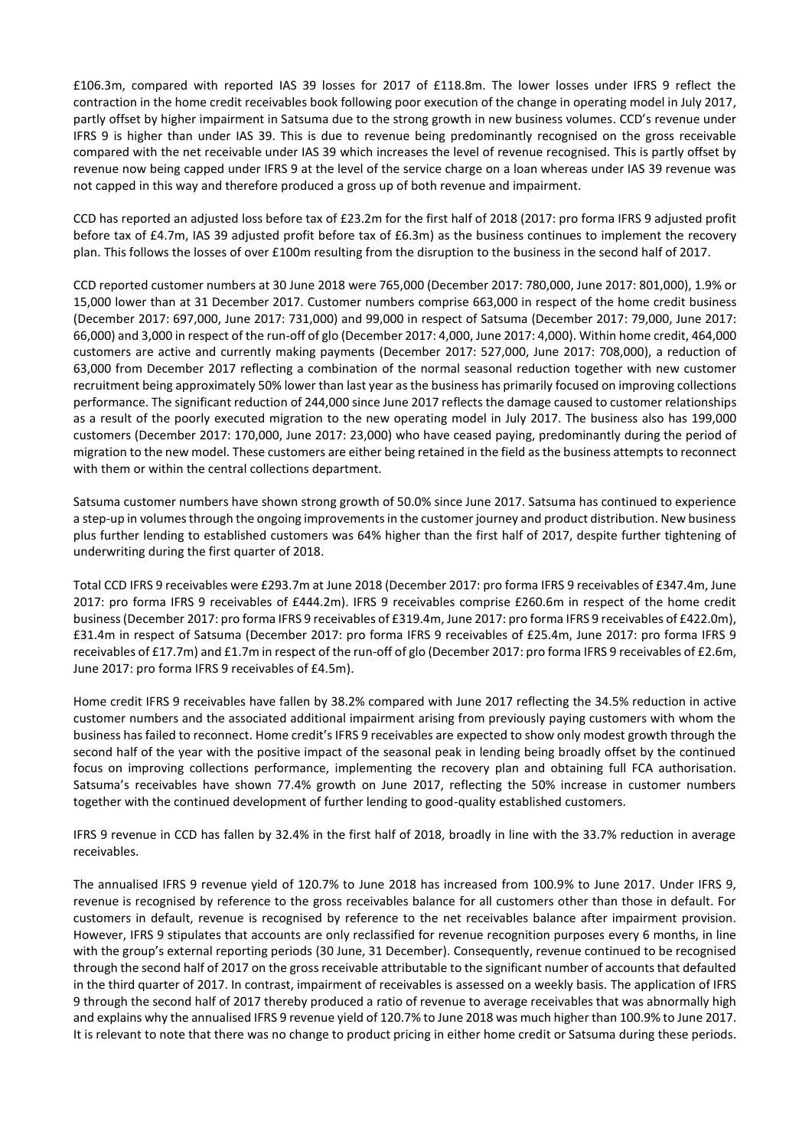£106.3m, compared with reported IAS 39 losses for 2017 of £118.8m. The lower losses under IFRS 9 reflect the contraction in the home credit receivables book following poor execution of the change in operating model in July 2017, partly offset by higher impairment in Satsuma due to the strong growth in new business volumes. CCD's revenue under IFRS 9 is higher than under IAS 39. This is due to revenue being predominantly recognised on the gross receivable compared with the net receivable under IAS 39 which increases the level of revenue recognised. This is partly offset by revenue now being capped under IFRS 9 at the level of the service charge on a loan whereas under IAS 39 revenue was not capped in this way and therefore produced a gross up of both revenue and impairment.

CCD has reported an adjusted loss before tax of £23.2m for the first half of 2018 (2017: pro forma IFRS 9 adjusted profit before tax of £4.7m, IAS 39 adjusted profit before tax of £6.3m) as the business continues to implement the recovery plan. This follows the losses of over £100m resulting from the disruption to the business in the second half of 2017.

CCD reported customer numbers at 30 June 2018 were 765,000 (December 2017: 780,000, June 2017: 801,000), 1.9% or 15,000 lower than at 31 December 2017. Customer numbers comprise 663,000 in respect of the home credit business (December 2017: 697,000, June 2017: 731,000) and 99,000 in respect of Satsuma (December 2017: 79,000, June 2017: 66,000) and 3,000 in respect of the run-off of glo (December 2017: 4,000, June 2017: 4,000). Within home credit, 464,000 customers are active and currently making payments (December 2017: 527,000, June 2017: 708,000), a reduction of 63,000 from December 2017 reflecting a combination of the normal seasonal reduction together with new customer recruitment being approximately 50% lower than last year asthe business has primarily focused on improving collections performance. The significant reduction of 244,000 since June 2017 reflects the damage caused to customer relationships as a result of the poorly executed migration to the new operating model in July 2017. The business also has 199,000 customers (December 2017: 170,000, June 2017: 23,000) who have ceased paying, predominantly during the period of migration to the new model. These customers are either being retained in the field as the business attempts to reconnect with them or within the central collections department.

Satsuma customer numbers have shown strong growth of 50.0% since June 2017. Satsuma has continued to experience a step-up in volumes through the ongoing improvements in the customer journey and product distribution. New business plus further lending to established customers was 64% higher than the first half of 2017, despite further tightening of underwriting during the first quarter of 2018.

Total CCD IFRS 9 receivables were £293.7m at June 2018 (December 2017: pro forma IFRS 9 receivables of £347.4m, June 2017: pro forma IFRS 9 receivables of £444.2m). IFRS 9 receivables comprise £260.6m in respect of the home credit business (December 2017: pro forma IFRS 9 receivables of £319.4m, June 2017: pro forma IFRS 9 receivables of £422.0m), £31.4m in respect of Satsuma (December 2017: pro forma IFRS 9 receivables of £25.4m, June 2017: pro forma IFRS 9 receivables of £17.7m) and £1.7m in respect of the run-off of glo (December 2017: pro forma IFRS 9 receivables of £2.6m, June 2017: pro forma IFRS 9 receivables of £4.5m).

Home credit IFRS 9 receivables have fallen by 38.2% compared with June 2017 reflecting the 34.5% reduction in active customer numbers and the associated additional impairment arising from previously paying customers with whom the business has failed to reconnect. Home credit's IFRS 9 receivables are expected to show only modest growth through the second half of the year with the positive impact of the seasonal peak in lending being broadly offset by the continued focus on improving collections performance, implementing the recovery plan and obtaining full FCA authorisation. Satsuma's receivables have shown 77.4% growth on June 2017, reflecting the 50% increase in customer numbers together with the continued development of further lending to good-quality established customers.

IFRS 9 revenue in CCD has fallen by 32.4% in the first half of 2018, broadly in line with the 33.7% reduction in average receivables.

The annualised IFRS 9 revenue yield of 120.7% to June 2018 has increased from 100.9% to June 2017. Under IFRS 9, revenue is recognised by reference to the gross receivables balance for all customers other than those in default. For customers in default, revenue is recognised by reference to the net receivables balance after impairment provision. However, IFRS 9 stipulates that accounts are only reclassified for revenue recognition purposes every 6 months, in line with the group's external reporting periods (30 June, 31 December). Consequently, revenue continued to be recognised through the second half of 2017 on the gross receivable attributable to the significant number of accounts that defaulted in the third quarter of 2017. In contrast, impairment of receivables is assessed on a weekly basis. The application of IFRS 9 through the second half of 2017 thereby produced a ratio of revenue to average receivables that was abnormally high and explains why the annualised IFRS 9 revenue yield of 120.7% to June 2018 was much higher than 100.9% to June 2017. It is relevant to note that there was no change to product pricing in either home credit or Satsuma during these periods.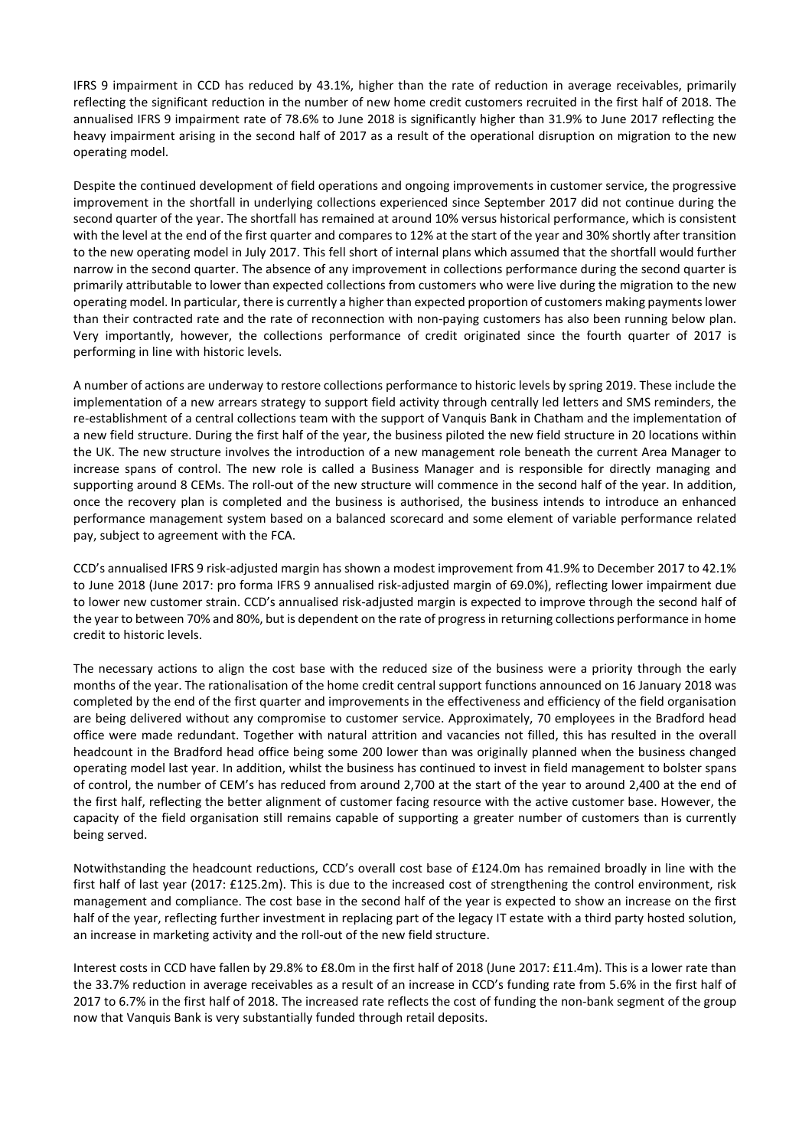IFRS 9 impairment in CCD has reduced by 43.1%, higher than the rate of reduction in average receivables, primarily reflecting the significant reduction in the number of new home credit customers recruited in the first half of 2018. The annualised IFRS 9 impairment rate of 78.6% to June 2018 is significantly higher than 31.9% to June 2017 reflecting the heavy impairment arising in the second half of 2017 as a result of the operational disruption on migration to the new operating model.

Despite the continued development of field operations and ongoing improvements in customer service, the progressive improvement in the shortfall in underlying collections experienced since September 2017 did not continue during the second quarter of the year. The shortfall has remained at around 10% versus historical performance, which is consistent with the level at the end of the first quarter and compares to 12% at the start of the year and 30% shortly after transition to the new operating model in July 2017. This fell short of internal plans which assumed that the shortfall would further narrow in the second quarter. The absence of any improvement in collections performance during the second quarter is primarily attributable to lower than expected collections from customers who were live during the migration to the new operating model. In particular, there is currently a higher than expected proportion of customers making paymentslower than their contracted rate and the rate of reconnection with non-paying customers has also been running below plan. Very importantly, however, the collections performance of credit originated since the fourth quarter of 2017 is performing in line with historic levels.

A number of actions are underway to restore collections performance to historic levels by spring 2019. These include the implementation of a new arrears strategy to support field activity through centrally led letters and SMS reminders, the re-establishment of a central collections team with the support of Vanquis Bank in Chatham and the implementation of a new field structure. During the first half of the year, the business piloted the new field structure in 20 locations within the UK. The new structure involves the introduction of a new management role beneath the current Area Manager to increase spans of control. The new role is called a Business Manager and is responsible for directly managing and supporting around 8 CEMs. The roll-out of the new structure will commence in the second half of the year. In addition, once the recovery plan is completed and the business is authorised, the business intends to introduce an enhanced performance management system based on a balanced scorecard and some element of variable performance related pay, subject to agreement with the FCA.

CCD's annualised IFRS 9 risk-adjusted margin has shown a modest improvement from 41.9% to December 2017 to 42.1% to June 2018 (June 2017: pro forma IFRS 9 annualised risk-adjusted margin of 69.0%), reflecting lower impairment due to lower new customer strain. CCD's annualised risk-adjusted margin is expected to improve through the second half of the year to between 70% and 80%, but is dependent on the rate of progress in returning collections performance in home credit to historic levels.

The necessary actions to align the cost base with the reduced size of the business were a priority through the early months of the year. The rationalisation of the home credit central support functions announced on 16 January 2018 was completed by the end of the first quarter and improvements in the effectiveness and efficiency of the field organisation are being delivered without any compromise to customer service. Approximately, 70 employees in the Bradford head office were made redundant. Together with natural attrition and vacancies not filled, this has resulted in the overall headcount in the Bradford head office being some 200 lower than was originally planned when the business changed operating model last year. In addition, whilst the business has continued to invest in field management to bolster spans of control, the number of CEM's has reduced from around 2,700 at the start of the year to around 2,400 at the end of the first half, reflecting the better alignment of customer facing resource with the active customer base. However, the capacity of the field organisation still remains capable of supporting a greater number of customers than is currently being served.

Notwithstanding the headcount reductions, CCD's overall cost base of £124.0m has remained broadly in line with the first half of last year (2017: £125.2m). This is due to the increased cost of strengthening the control environment, risk management and compliance. The cost base in the second half of the year is expected to show an increase on the first half of the year, reflecting further investment in replacing part of the legacy IT estate with a third party hosted solution, an increase in marketing activity and the roll-out of the new field structure.

Interest costs in CCD have fallen by 29.8% to £8.0m in the first half of 2018 (June 2017: £11.4m). This is a lower rate than the 33.7% reduction in average receivables as a result of an increase in CCD's funding rate from 5.6% in the first half of 2017 to 6.7% in the first half of 2018. The increased rate reflects the cost of funding the non-bank segment of the group now that Vanquis Bank is very substantially funded through retail deposits.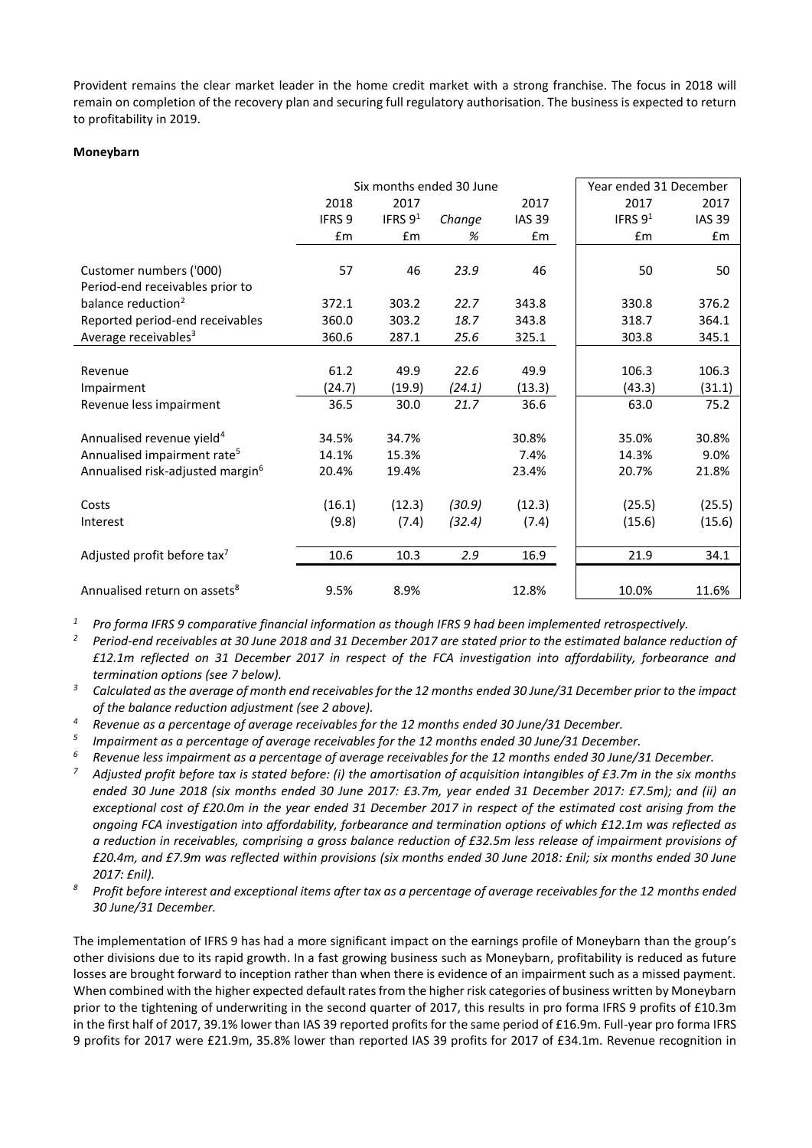Provident remains the clear market leader in the home credit market with a strong franchise. The focus in 2018 will remain on completion of the recovery plan and securing full regulatory authorisation. The business is expected to return to profitability in 2019.

#### **Moneybarn**

|                                              | Six months ended 30 June |           |        |               | Year ended 31 December |               |
|----------------------------------------------|--------------------------|-----------|--------|---------------|------------------------|---------------|
|                                              | 2018                     | 2017      |        | 2017          | 2017                   | 2017          |
|                                              | IFRS <sub>9</sub>        | IFRS $91$ | Change | <b>IAS 39</b> | IFRS 91                | <b>IAS 39</b> |
|                                              | £m                       | £m        | %      | £m            | £m                     | £m            |
|                                              |                          |           |        |               |                        |               |
| Customer numbers ('000)                      | 57                       | 46        | 23.9   | 46            | 50                     | 50            |
| Period-end receivables prior to              |                          |           |        |               |                        |               |
| balance reduction <sup>2</sup>               | 372.1                    | 303.2     | 22.7   | 343.8         | 330.8                  | 376.2         |
| Reported period-end receivables              | 360.0                    | 303.2     | 18.7   | 343.8         | 318.7                  | 364.1         |
| Average receivables <sup>3</sup>             | 360.6                    | 287.1     | 25.6   | 325.1         | 303.8                  | 345.1         |
|                                              |                          |           |        |               |                        |               |
| Revenue                                      | 61.2                     | 49.9      | 22.6   | 49.9          | 106.3                  | 106.3         |
| Impairment                                   | (24.7)                   | (19.9)    | (24.1) | (13.3)        | (43.3)                 | (31.1)        |
| Revenue less impairment                      | 36.5                     | 30.0      | 21.7   | 36.6          | 63.0                   | 75.2          |
|                                              |                          |           |        |               |                        |               |
| Annualised revenue yield <sup>4</sup>        | 34.5%                    | 34.7%     |        | 30.8%         | 35.0%                  | 30.8%         |
| Annualised impairment rate <sup>5</sup>      | 14.1%                    | 15.3%     |        | 7.4%          | 14.3%                  | 9.0%          |
| Annualised risk-adjusted margin <sup>6</sup> | 20.4%                    | 19.4%     |        | 23.4%         | 20.7%                  | 21.8%         |
|                                              |                          |           |        |               |                        |               |
| Costs                                        | (16.1)                   | (12.3)    | (30.9) | (12.3)        | (25.5)                 | (25.5)        |
| Interest                                     | (9.8)                    | (7.4)     | (32.4) | (7.4)         | (15.6)                 | (15.6)        |
|                                              |                          |           |        |               |                        |               |
| Adjusted profit before tax <sup>7</sup>      | 10.6                     | 10.3      | 2.9    | 16.9          | 21.9                   | 34.1          |
| Annualised return on assets <sup>8</sup>     | 9.5%                     | 8.9%      |        | 12.8%         | 10.0%                  | 11.6%         |
|                                              |                          |           |        |               |                        |               |

*<sup>1</sup> Pro forma IFRS 9 comparative financial information as though IFRS 9 had been implemented retrospectively.*

*<sup>2</sup> Period-end receivables at 30 June 2018 and 31 December 2017 are stated prior to the estimated balance reduction of £12.1m reflected on 31 December 2017 in respect of the FCA investigation into affordability, forbearance and termination options (see 7 below).*

*<sup>3</sup> Calculated as the average of month end receivables for the 12 months ended 30 June/31 December prior to the impact of the balance reduction adjustment (see 2 above).*

*<sup>4</sup> Revenue as a percentage of average receivables for the 12 months ended 30 June/31 December.*

*5 Impairment as a percentage of average receivables for the 12 months ended 30 June/31 December.*

*<sup>6</sup> Revenue less impairment as a percentage of average receivables for the 12 months ended 30 June/31 December.*

*<sup>7</sup> Adjusted profit before tax is stated before: (i) the amortisation of acquisition intangibles of £3.7m in the six months ended 30 June 2018 (six months ended 30 June 2017: £3.7m, year ended 31 December 2017: £7.5m); and (ii) an exceptional cost of £20.0m in the year ended 31 December 2017 in respect of the estimated cost arising from the ongoing FCA investigation into affordability, forbearance and termination options of which £12.1m was reflected as a reduction in receivables, comprising a gross balance reduction of £32.5m less release of impairment provisions of £20.4m, and £7.9m was reflected within provisions (six months ended 30 June 2018: £nil; six months ended 30 June 2017: £nil).* 

*<sup>8</sup> Profit before interest and exceptional items after tax as a percentage of average receivables for the 12 months ended 30 June/31 December.*

The implementation of IFRS 9 has had a more significant impact on the earnings profile of Moneybarn than the group's other divisions due to its rapid growth. In a fast growing business such as Moneybarn, profitability is reduced as future losses are brought forward to inception rather than when there is evidence of an impairment such as a missed payment. When combined with the higher expected default rates from the higher risk categories of business written by Moneybarn prior to the tightening of underwriting in the second quarter of 2017, this results in pro forma IFRS 9 profits of £10.3m in the first half of 2017, 39.1% lower than IAS 39 reported profits for the same period of £16.9m. Full-year pro forma IFRS 9 profits for 2017 were £21.9m, 35.8% lower than reported IAS 39 profits for 2017 of £34.1m. Revenue recognition in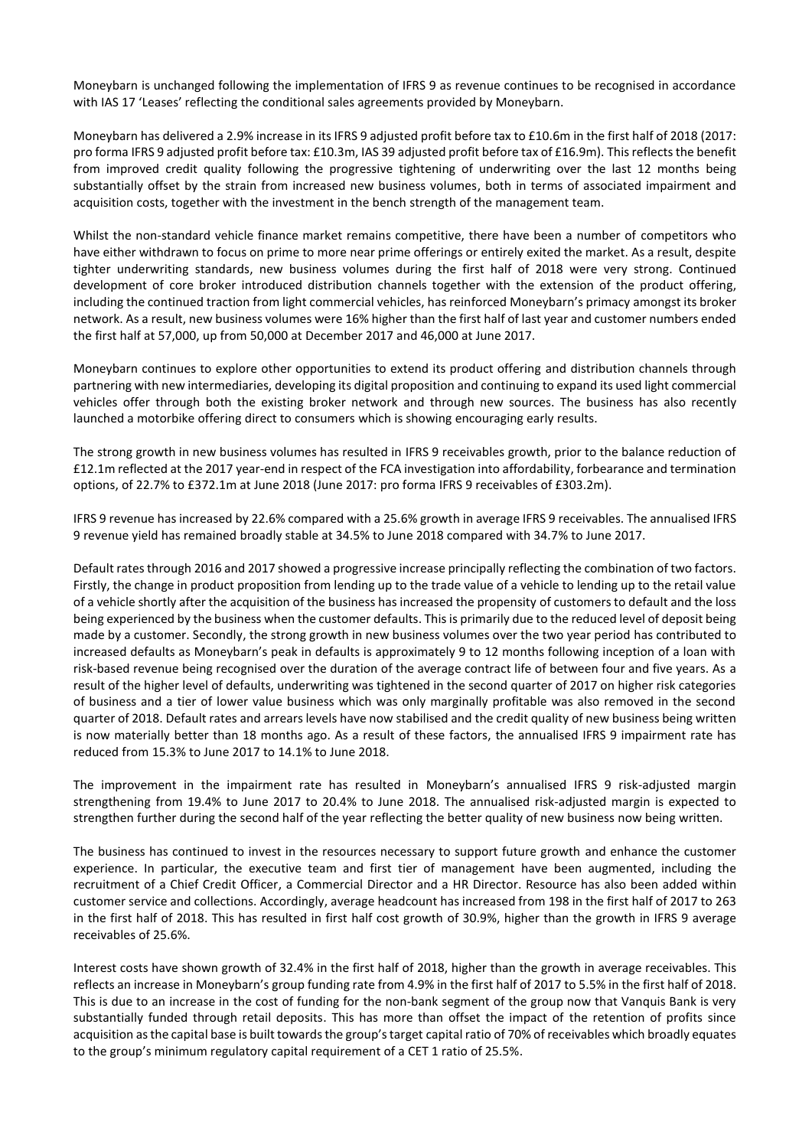Moneybarn is unchanged following the implementation of IFRS 9 as revenue continues to be recognised in accordance with IAS 17 'Leases' reflecting the conditional sales agreements provided by Moneybarn.

Moneybarn has delivered a 2.9% increase in its IFRS 9 adjusted profit before tax to £10.6m in the first half of 2018 (2017: pro forma IFRS 9 adjusted profit before tax: £10.3m, IAS 39 adjusted profit before tax of £16.9m). This reflects the benefit from improved credit quality following the progressive tightening of underwriting over the last 12 months being substantially offset by the strain from increased new business volumes, both in terms of associated impairment and acquisition costs, together with the investment in the bench strength of the management team.

Whilst the non-standard vehicle finance market remains competitive, there have been a number of competitors who have either withdrawn to focus on prime to more near prime offerings or entirely exited the market. As a result, despite tighter underwriting standards, new business volumes during the first half of 2018 were very strong. Continued development of core broker introduced distribution channels together with the extension of the product offering, including the continued traction from light commercial vehicles, has reinforced Moneybarn's primacy amongst its broker network. As a result, new business volumes were 16% higher than the first half of last year and customer numbers ended the first half at 57,000, up from 50,000 at December 2017 and 46,000 at June 2017.

Moneybarn continues to explore other opportunities to extend its product offering and distribution channels through partnering with new intermediaries, developing its digital proposition and continuing to expand its used light commercial vehicles offer through both the existing broker network and through new sources. The business has also recently launched a motorbike offering direct to consumers which is showing encouraging early results.

The strong growth in new business volumes has resulted in IFRS 9 receivables growth, prior to the balance reduction of £12.1m reflected at the 2017 year-end in respect of the FCA investigation into affordability, forbearance and termination options, of 22.7% to £372.1m at June 2018 (June 2017: pro forma IFRS 9 receivables of £303.2m).

IFRS 9 revenue has increased by 22.6% compared with a 25.6% growth in average IFRS 9 receivables. The annualised IFRS 9 revenue yield has remained broadly stable at 34.5% to June 2018 compared with 34.7% to June 2017.

Default rates through 2016 and 2017 showed a progressive increase principally reflecting the combination of two factors. Firstly, the change in product proposition from lending up to the trade value of a vehicle to lending up to the retail value of a vehicle shortly after the acquisition of the business has increased the propensity of customers to default and the loss being experienced by the business when the customer defaults. This is primarily due to the reduced level of deposit being made by a customer. Secondly, the strong growth in new business volumes over the two year period has contributed to increased defaults as Moneybarn's peak in defaults is approximately 9 to 12 months following inception of a loan with risk-based revenue being recognised over the duration of the average contract life of between four and five years. As a result of the higher level of defaults, underwriting was tightened in the second quarter of 2017 on higher risk categories of business and a tier of lower value business which was only marginally profitable was also removed in the second quarter of 2018. Default rates and arrears levels have now stabilised and the credit quality of new business being written is now materially better than 18 months ago. As a result of these factors, the annualised IFRS 9 impairment rate has reduced from 15.3% to June 2017 to 14.1% to June 2018.

The improvement in the impairment rate has resulted in Moneybarn's annualised IFRS 9 risk-adjusted margin strengthening from 19.4% to June 2017 to 20.4% to June 2018. The annualised risk-adjusted margin is expected to strengthen further during the second half of the year reflecting the better quality of new business now being written.

The business has continued to invest in the resources necessary to support future growth and enhance the customer experience. In particular, the executive team and first tier of management have been augmented, including the recruitment of a Chief Credit Officer, a Commercial Director and a HR Director. Resource has also been added within customer service and collections. Accordingly, average headcount has increased from 198 in the first half of 2017 to 263 in the first half of 2018. This has resulted in first half cost growth of 30.9%, higher than the growth in IFRS 9 average receivables of 25.6%.

Interest costs have shown growth of 32.4% in the first half of 2018, higher than the growth in average receivables. This reflects an increase in Moneybarn's group funding rate from 4.9% in the first half of 2017 to 5.5% in the first half of 2018. This is due to an increase in the cost of funding for the non-bank segment of the group now that Vanquis Bank is very substantially funded through retail deposits. This has more than offset the impact of the retention of profits since acquisition as the capital base is built towards the group's target capital ratio of 70% of receivables which broadly equates to the group's minimum regulatory capital requirement of a CET 1 ratio of 25.5%.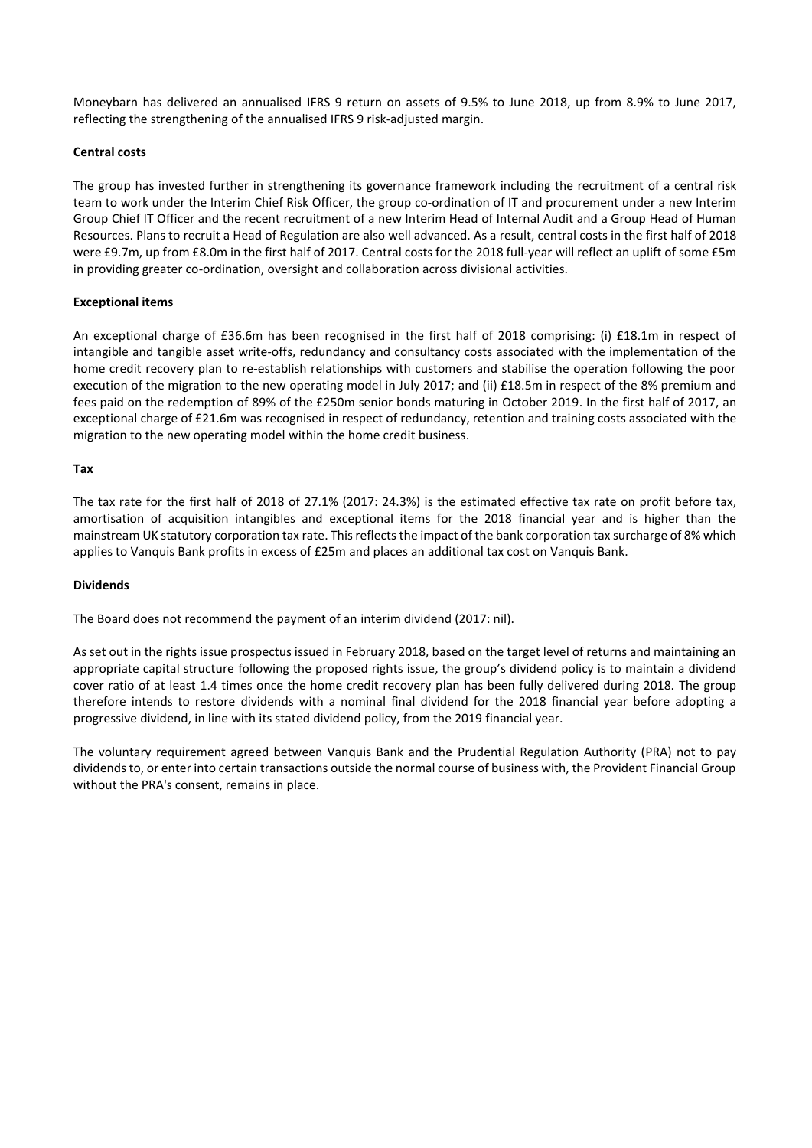Moneybarn has delivered an annualised IFRS 9 return on assets of 9.5% to June 2018, up from 8.9% to June 2017, reflecting the strengthening of the annualised IFRS 9 risk-adjusted margin.

## **Central costs**

The group has invested further in strengthening its governance framework including the recruitment of a central risk team to work under the Interim Chief Risk Officer, the group co-ordination of IT and procurement under a new Interim Group Chief IT Officer and the recent recruitment of a new Interim Head of Internal Audit and a Group Head of Human Resources. Plans to recruit a Head of Regulation are also well advanced. As a result, central costs in the first half of 2018 were £9.7m, up from £8.0m in the first half of 2017. Central costs for the 2018 full-year will reflect an uplift of some £5m in providing greater co-ordination, oversight and collaboration across divisional activities.

## **Exceptional items**

An exceptional charge of £36.6m has been recognised in the first half of 2018 comprising: (i) £18.1m in respect of intangible and tangible asset write-offs, redundancy and consultancy costs associated with the implementation of the home credit recovery plan to re-establish relationships with customers and stabilise the operation following the poor execution of the migration to the new operating model in July 2017; and (ii) £18.5m in respect of the 8% premium and fees paid on the redemption of 89% of the £250m senior bonds maturing in October 2019. In the first half of 2017, an exceptional charge of £21.6m was recognised in respect of redundancy, retention and training costs associated with the migration to the new operating model within the home credit business.

## **Tax**

The tax rate for the first half of 2018 of 27.1% (2017: 24.3%) is the estimated effective tax rate on profit before tax, amortisation of acquisition intangibles and exceptional items for the 2018 financial year and is higher than the mainstream UK statutory corporation tax rate. This reflects the impact of the bank corporation tax surcharge of 8% which applies to Vanquis Bank profits in excess of £25m and places an additional tax cost on Vanquis Bank.

## **Dividends**

The Board does not recommend the payment of an interim dividend (2017: nil).

As set out in the rights issue prospectus issued in February 2018, based on the target level of returns and maintaining an appropriate capital structure following the proposed rights issue, the group's dividend policy is to maintain a dividend cover ratio of at least 1.4 times once the home credit recovery plan has been fully delivered during 2018. The group therefore intends to restore dividends with a nominal final dividend for the 2018 financial year before adopting a progressive dividend, in line with its stated dividend policy, from the 2019 financial year.

The voluntary requirement agreed between Vanquis Bank and the Prudential Regulation Authority (PRA) not to pay dividends to, or enter into certain transactions outside the normal course of business with, the Provident Financial Group without the PRA's consent, remains in place.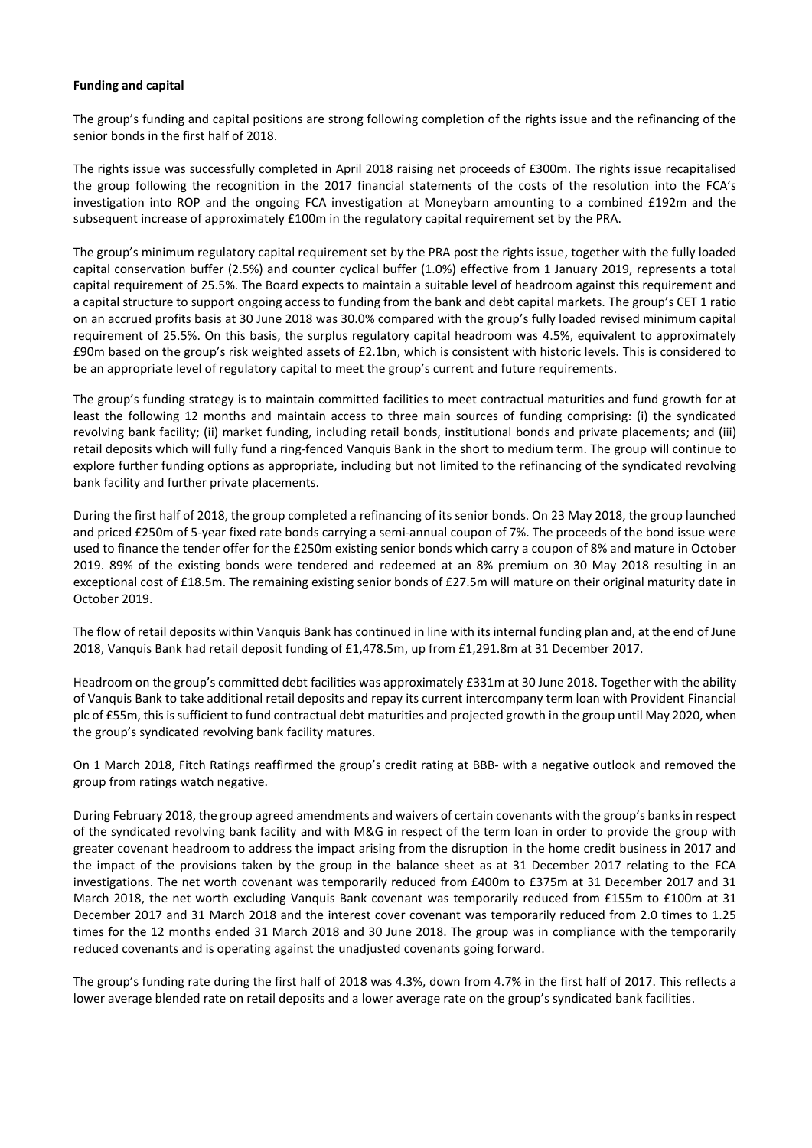#### **Funding and capital**

The group's funding and capital positions are strong following completion of the rights issue and the refinancing of the senior bonds in the first half of 2018.

The rights issue was successfully completed in April 2018 raising net proceeds of £300m. The rights issue recapitalised the group following the recognition in the 2017 financial statements of the costs of the resolution into the FCA's investigation into ROP and the ongoing FCA investigation at Moneybarn amounting to a combined £192m and the subsequent increase of approximately £100m in the regulatory capital requirement set by the PRA.

The group's minimum regulatory capital requirement set by the PRA post the rights issue, together with the fully loaded capital conservation buffer (2.5%) and counter cyclical buffer (1.0%) effective from 1 January 2019, represents a total capital requirement of 25.5%. The Board expects to maintain a suitable level of headroom against this requirement and a capital structure to support ongoing access to funding from the bank and debt capital markets. The group's CET 1 ratio on an accrued profits basis at 30 June 2018 was 30.0% compared with the group's fully loaded revised minimum capital requirement of 25.5%. On this basis, the surplus regulatory capital headroom was 4.5%, equivalent to approximately £90m based on the group's risk weighted assets of £2.1bn, which is consistent with historic levels. This is considered to be an appropriate level of regulatory capital to meet the group's current and future requirements.

The group's funding strategy is to maintain committed facilities to meet contractual maturities and fund growth for at least the following 12 months and maintain access to three main sources of funding comprising: (i) the syndicated revolving bank facility; (ii) market funding, including retail bonds, institutional bonds and private placements; and (iii) retail deposits which will fully fund a ring-fenced Vanquis Bank in the short to medium term. The group will continue to explore further funding options as appropriate, including but not limited to the refinancing of the syndicated revolving bank facility and further private placements.

During the first half of 2018, the group completed a refinancing of its senior bonds. On 23 May 2018, the group launched and priced £250m of 5-year fixed rate bonds carrying a semi-annual coupon of 7%. The proceeds of the bond issue were used to finance the tender offer for the £250m existing senior bonds which carry a coupon of 8% and mature in October 2019. 89% of the existing bonds were tendered and redeemed at an 8% premium on 30 May 2018 resulting in an exceptional cost of £18.5m. The remaining existing senior bonds of £27.5m will mature on their original maturity date in October 2019.

The flow of retail deposits within Vanquis Bank has continued in line with its internal funding plan and, at the end of June 2018, Vanquis Bank had retail deposit funding of £1,478.5m, up from £1,291.8m at 31 December 2017.

Headroom on the group's committed debt facilities was approximately £331m at 30 June 2018. Together with the ability of Vanquis Bank to take additional retail deposits and repay its current intercompany term loan with Provident Financial plc of £55m, thisissufficient to fund contractual debt maturities and projected growth in the group until May 2020, when the group's syndicated revolving bank facility matures.

On 1 March 2018, Fitch Ratings reaffirmed the group's credit rating at BBB- with a negative outlook and removed the group from ratings watch negative.

During February 2018, the group agreed amendments and waivers of certain covenants with the group's banks in respect of the syndicated revolving bank facility and with M&G in respect of the term loan in order to provide the group with greater covenant headroom to address the impact arising from the disruption in the home credit business in 2017 and the impact of the provisions taken by the group in the balance sheet as at 31 December 2017 relating to the FCA investigations. The net worth covenant was temporarily reduced from £400m to £375m at 31 December 2017 and 31 March 2018, the net worth excluding Vanquis Bank covenant was temporarily reduced from £155m to £100m at 31 December 2017 and 31 March 2018 and the interest cover covenant was temporarily reduced from 2.0 times to 1.25 times for the 12 months ended 31 March 2018 and 30 June 2018. The group was in compliance with the temporarily reduced covenants and is operating against the unadjusted covenants going forward.

The group's funding rate during the first half of 2018 was 4.3%, down from 4.7% in the first half of 2017. This reflects a lower average blended rate on retail deposits and a lower average rate on the group's syndicated bank facilities.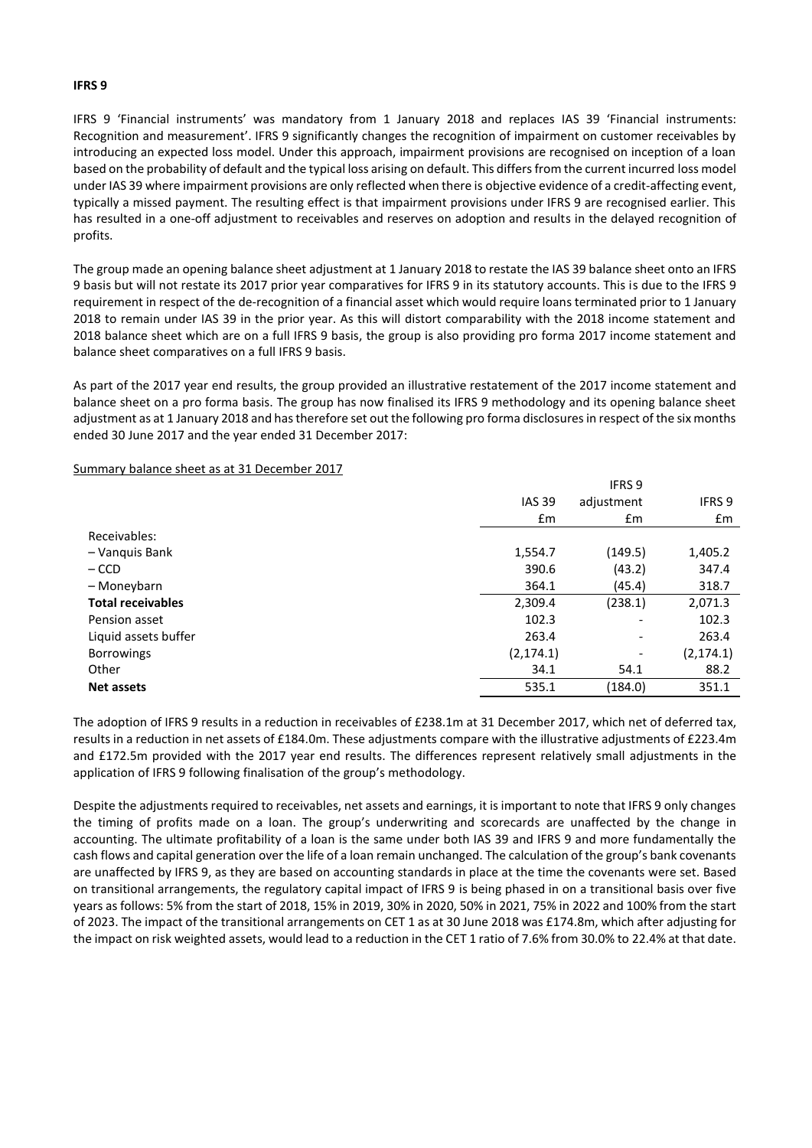#### **IFRS 9**

IFRS 9 'Financial instruments' was mandatory from 1 January 2018 and replaces IAS 39 'Financial instruments: Recognition and measurement'. IFRS 9 significantly changes the recognition of impairment on customer receivables by introducing an expected loss model. Under this approach, impairment provisions are recognised on inception of a loan based on the probability of default and the typical loss arising on default. This differs from the current incurred loss model under IAS 39 where impairment provisions are only reflected when there is objective evidence of a credit-affecting event, typically a missed payment. The resulting effect is that impairment provisions under IFRS 9 are recognised earlier. This has resulted in a one-off adjustment to receivables and reserves on adoption and results in the delayed recognition of profits.

The group made an opening balance sheet adjustment at 1 January 2018 to restate the IAS 39 balance sheet onto an IFRS 9 basis but will not restate its 2017 prior year comparatives for IFRS 9 in its statutory accounts. This is due to the IFRS 9 requirement in respect of the de-recognition of a financial asset which would require loans terminated prior to 1 January 2018 to remain under IAS 39 in the prior year. As this will distort comparability with the 2018 income statement and 2018 balance sheet which are on a full IFRS 9 basis, the group is also providing pro forma 2017 income statement and balance sheet comparatives on a full IFRS 9 basis.

As part of the 2017 year end results, the group provided an illustrative restatement of the 2017 income statement and balance sheet on a pro forma basis. The group has now finalised its IFRS 9 methodology and its opening balance sheet adjustment as at 1 January 2018 and has therefore set out the following pro forma disclosures in respect of the six months ended 30 June 2017 and the year ended 31 December 2017:

 $I = 1$ 

Summary balance sheet as at 31 December 2017

|               | <b>IFRS 9</b>            |            |
|---------------|--------------------------|------------|
| <b>IAS 39</b> | adjustment               | IFRS 9     |
| $\mathsf{fm}$ | £m                       | £m         |
|               |                          |            |
| 1,554.7       | (149.5)                  | 1,405.2    |
| 390.6         | (43.2)                   | 347.4      |
| 364.1         | (45.4)                   | 318.7      |
| 2,309.4       | (238.1)                  | 2,071.3    |
| 102.3         | ٠                        | 102.3      |
| 263.4         | $\overline{\phantom{a}}$ | 263.4      |
| (2, 174.1)    | -                        | (2, 174.1) |
| 34.1          | 54.1                     | 88.2       |
| 535.1         | (184.0)                  | 351.1      |
|               |                          |            |

The adoption of IFRS 9 results in a reduction in receivables of £238.1m at 31 December 2017, which net of deferred tax, results in a reduction in net assets of £184.0m. These adjustments compare with the illustrative adjustments of £223.4m and £172.5m provided with the 2017 year end results. The differences represent relatively small adjustments in the application of IFRS 9 following finalisation of the group's methodology.

Despite the adjustments required to receivables, net assets and earnings, it is important to note that IFRS 9 only changes the timing of profits made on a loan. The group's underwriting and scorecards are unaffected by the change in accounting. The ultimate profitability of a loan is the same under both IAS 39 and IFRS 9 and more fundamentally the cash flows and capital generation over the life of a loan remain unchanged. The calculation of the group's bank covenants are unaffected by IFRS 9, as they are based on accounting standards in place at the time the covenants were set. Based on transitional arrangements, the regulatory capital impact of IFRS 9 is being phased in on a transitional basis over five years as follows: 5% from the start of 2018, 15% in 2019, 30% in 2020, 50% in 2021, 75% in 2022 and 100% from the start of 2023. The impact of the transitional arrangements on CET 1 as at 30 June 2018 was £174.8m, which after adjusting for the impact on risk weighted assets, would lead to a reduction in the CET 1 ratio of 7.6% from 30.0% to 22.4% at that date.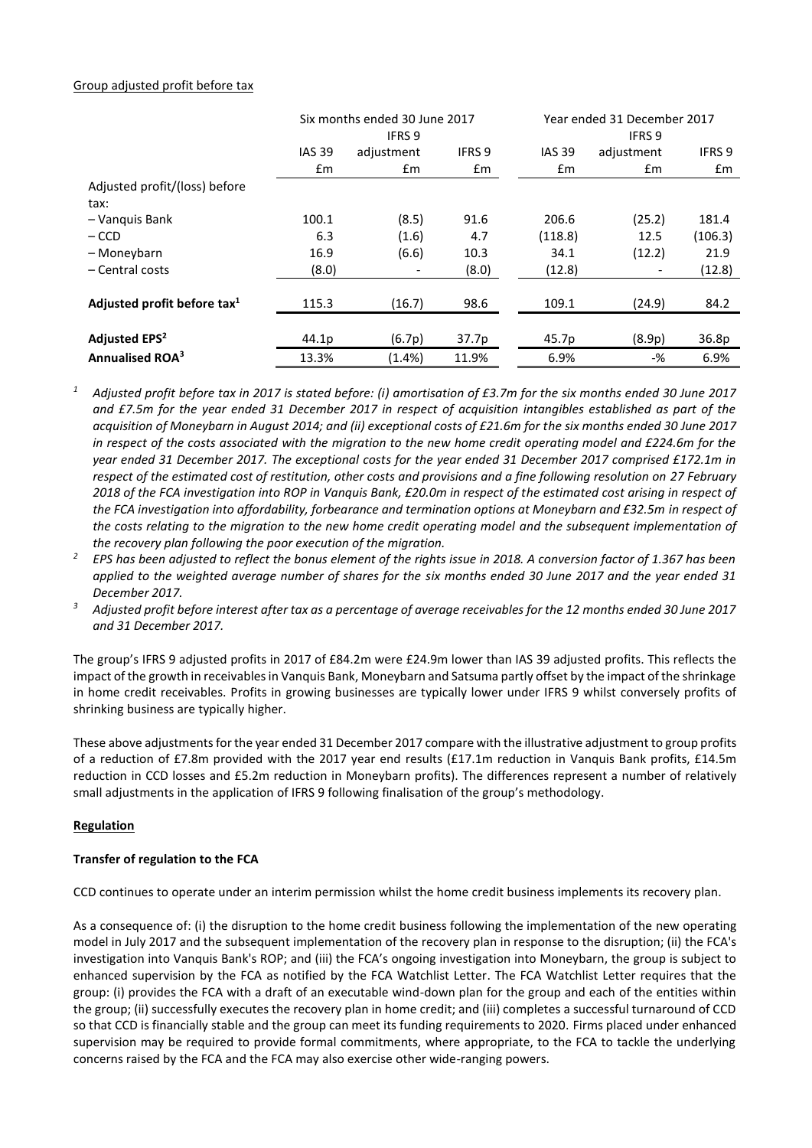# Group adjusted profit before tax

|                                         | Six months ended 30 June 2017 |            |               |               | Year ended 31 December 2017 |                   |  |  |
|-----------------------------------------|-------------------------------|------------|---------------|---------------|-----------------------------|-------------------|--|--|
|                                         | IFRS 9                        |            |               |               | <b>IFRS 9</b>               |                   |  |  |
|                                         | <b>IAS 39</b>                 | adjustment | <b>IFRS 9</b> | <b>IAS 39</b> | adjustment                  | IFRS <sub>9</sub> |  |  |
|                                         | Em                            | £m         | £m            | $\mathsf{fm}$ | $\mathsf{fm}$               | £m                |  |  |
| Adjusted profit/(loss) before           |                               |            |               |               |                             |                   |  |  |
| tax:                                    |                               |            |               |               |                             |                   |  |  |
| - Vanguis Bank                          | 100.1                         | (8.5)      | 91.6          | 206.6         | (25.2)                      | 181.4             |  |  |
| $-$ CCD                                 | 6.3                           | (1.6)      | 4.7           | (118.8)       | 12.5                        | (106.3)           |  |  |
| - Moneybarn                             | 16.9                          | (6.6)      | 10.3          | 34.1          | (12.2)                      | 21.9              |  |  |
| - Central costs                         | (8.0)                         |            | (8.0)         | (12.8)        |                             | (12.8)            |  |  |
|                                         |                               |            |               |               |                             |                   |  |  |
| Adjusted profit before tax <sup>1</sup> | 115.3                         | (16.7)     | 98.6          | 109.1         | (24.9)                      | 84.2              |  |  |
|                                         |                               |            |               |               |                             |                   |  |  |
| Adjusted EPS <sup>2</sup>               | 44.1p                         | (6.7p)     | 37.7p         | 45.7p         | (8.9p)                      | 36.8p             |  |  |
| <b>Annualised ROA<sup>3</sup></b>       | 13.3%                         | (1.4%)     | 11.9%         | 6.9%          | -%                          | 6.9%              |  |  |

*<sup>1</sup> Adjusted profit before tax in 2017 is stated before: (i) amortisation of £3.7m for the six months ended 30 June 2017 and £7.5m for the year ended 31 December 2017 in respect of acquisition intangibles established as part of the acquisition of Moneybarn in August 2014; and (ii) exceptional costs of £21.6m for the six months ended 30 June 2017 in respect of the costs associated with the migration to the new home credit operating model and £224.6m for the year ended 31 December 2017. The exceptional costs for the year ended 31 December 2017 comprised £172.1m in respect of the estimated cost of restitution, other costs and provisions and a fine following resolution on 27 February 2018 of the FCA investigation into ROP in Vanquis Bank, £20.0m in respect of the estimated cost arising in respect of the FCA investigation into affordability, forbearance and termination options at Moneybarn and £32.5m in respect of the costs relating to the migration to the new home credit operating model and the subsequent implementation of the recovery plan following the poor execution of the migration.* 

*<sup>2</sup> EPS has been adjusted to reflect the bonus element of the rights issue in 2018. A conversion factor of 1.367 has been applied to the weighted average number of shares for the six months ended 30 June 2017 and the year ended 31 December 2017.*

*<sup>3</sup> Adjusted profit before interest after tax as a percentage of average receivables for the 12 months ended 30 June 2017 and 31 December 2017.*

The group's IFRS 9 adjusted profits in 2017 of £84.2m were £24.9m lower than IAS 39 adjusted profits. This reflects the impact of the growth in receivables in Vanquis Bank, Moneybarn and Satsuma partly offset by the impact of the shrinkage in home credit receivables. Profits in growing businesses are typically lower under IFRS 9 whilst conversely profits of shrinking business are typically higher.

These above adjustmentsfor the year ended 31 December 2017 compare with the illustrative adjustment to group profits of a reduction of £7.8m provided with the 2017 year end results (£17.1m reduction in Vanquis Bank profits, £14.5m reduction in CCD losses and £5.2m reduction in Moneybarn profits). The differences represent a number of relatively small adjustments in the application of IFRS 9 following finalisation of the group's methodology.

## **Regulation**

## **Transfer of regulation to the FCA**

CCD continues to operate under an interim permission whilst the home credit business implements its recovery plan.

As a consequence of: (i) the disruption to the home credit business following the implementation of the new operating model in July 2017 and the subsequent implementation of the recovery plan in response to the disruption; (ii) the FCA's investigation into Vanquis Bank's ROP; and (iii) the FCA's ongoing investigation into Moneybarn, the group is subject to enhanced supervision by the FCA as notified by the FCA Watchlist Letter. The FCA Watchlist Letter requires that the group: (i) provides the FCA with a draft of an executable wind-down plan for the group and each of the entities within the group; (ii) successfully executes the recovery plan in home credit; and (iii) completes a successful turnaround of CCD so that CCD is financially stable and the group can meet its funding requirements to 2020. Firms placed under enhanced supervision may be required to provide formal commitments, where appropriate, to the FCA to tackle the underlying concerns raised by the FCA and the FCA may also exercise other wide-ranging powers.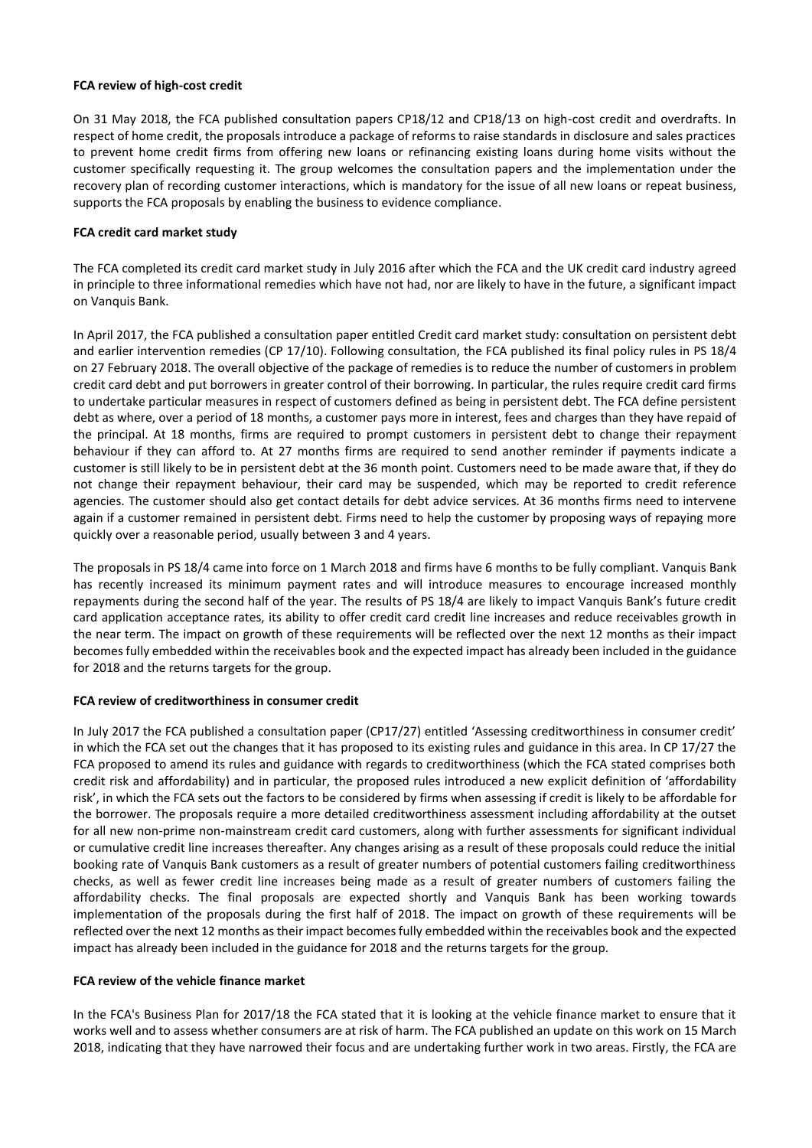#### **FCA review of high-cost credit**

On 31 May 2018, the FCA published consultation papers CP18/12 and CP18/13 on high-cost credit and overdrafts. In respect of home credit, the proposals introduce a package of reforms to raise standards in disclosure and sales practices to prevent home credit firms from offering new loans or refinancing existing loans during home visits without the customer specifically requesting it. The group welcomes the consultation papers and the implementation under the recovery plan of recording customer interactions, which is mandatory for the issue of all new loans or repeat business, supports the FCA proposals by enabling the business to evidence compliance.

## **FCA credit card market study**

The FCA completed its credit card market study in July 2016 after which the FCA and the UK credit card industry agreed in principle to three informational remedies which have not had, nor are likely to have in the future, a significant impact on Vanquis Bank.

In April 2017, the FCA published a consultation paper entitled Credit card market study: consultation on persistent debt and earlier intervention remedies (CP 17/10). Following consultation, the FCA published its final policy rules in PS 18/4 on 27 February 2018. The overall objective of the package of remedies is to reduce the number of customers in problem credit card debt and put borrowers in greater control of their borrowing. In particular, the rules require credit card firms to undertake particular measures in respect of customers defined as being in persistent debt. The FCA define persistent debt as where, over a period of 18 months, a customer pays more in interest, fees and charges than they have repaid of the principal. At 18 months, firms are required to prompt customers in persistent debt to change their repayment behaviour if they can afford to. At 27 months firms are required to send another reminder if payments indicate a customer is still likely to be in persistent debt at the 36 month point. Customers need to be made aware that, if they do not change their repayment behaviour, their card may be suspended, which may be reported to credit reference agencies. The customer should also get contact details for debt advice services. At 36 months firms need to intervene again if a customer remained in persistent debt. Firms need to help the customer by proposing ways of repaying more quickly over a reasonable period, usually between 3 and 4 years.

The proposals in PS 18/4 came into force on 1 March 2018 and firms have 6 months to be fully compliant. Vanquis Bank has recently increased its minimum payment rates and will introduce measures to encourage increased monthly repayments during the second half of the year. The results of PS 18/4 are likely to impact Vanquis Bank's future credit card application acceptance rates, its ability to offer credit card credit line increases and reduce receivables growth in the near term. The impact on growth of these requirements will be reflected over the next 12 months as their impact becomesfully embedded within the receivables book and the expected impact has already been included in the guidance for 2018 and the returns targets for the group.

## **FCA review of creditworthiness in consumer credit**

In July 2017 the FCA published a consultation paper (CP17/27) entitled 'Assessing creditworthiness in consumer credit' in which the FCA set out the changes that it has proposed to its existing rules and guidance in this area. In CP 17/27 the FCA proposed to amend its rules and guidance with regards to creditworthiness (which the FCA stated comprises both credit risk and affordability) and in particular, the proposed rules introduced a new explicit definition of 'affordability risk', in which the FCA sets out the factors to be considered by firms when assessing if credit is likely to be affordable for the borrower. The proposals require a more detailed creditworthiness assessment including affordability at the outset for all new non-prime non-mainstream credit card customers, along with further assessments for significant individual or cumulative credit line increases thereafter. Any changes arising as a result of these proposals could reduce the initial booking rate of Vanquis Bank customers as a result of greater numbers of potential customers failing creditworthiness checks, as well as fewer credit line increases being made as a result of greater numbers of customers failing the affordability checks. The final proposals are expected shortly and Vanquis Bank has been working towards implementation of the proposals during the first half of 2018. The impact on growth of these requirements will be reflected over the next 12 months as their impact becomes fully embedded within the receivables book and the expected impact has already been included in the guidance for 2018 and the returns targets for the group.

## **FCA review of the vehicle finance market**

In the FCA's Business Plan for 2017/18 the FCA stated that it is looking at the vehicle finance market to ensure that it works well and to assess whether consumers are at risk of harm. The FCA published an update on this work on 15 March 2018, indicating that they have narrowed their focus and are undertaking further work in two areas. Firstly, the FCA are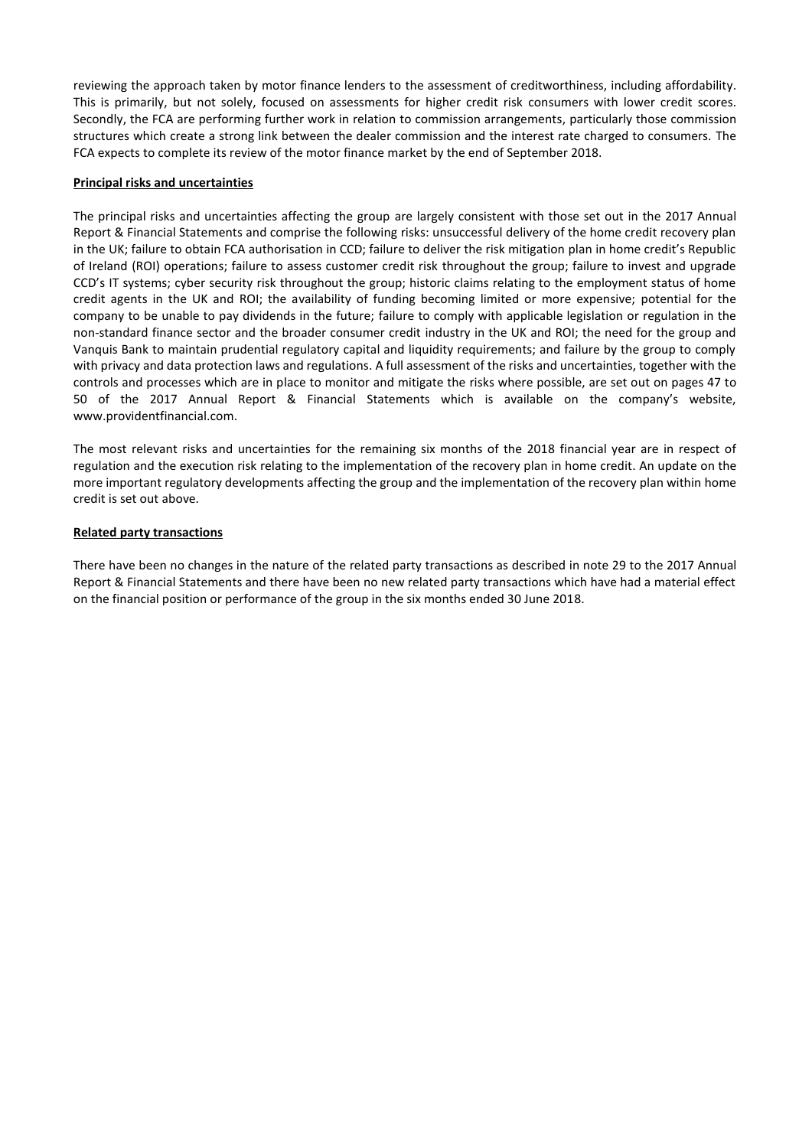reviewing the approach taken by motor finance lenders to the assessment of creditworthiness, including affordability. This is primarily, but not solely, focused on assessments for higher credit risk consumers with lower credit scores. Secondly, the FCA are performing further work in relation to commission arrangements, particularly those commission structures which create a strong link between the dealer commission and the interest rate charged to consumers. The FCA expects to complete its review of the motor finance market by the end of September 2018.

#### **Principal risks and uncertainties**

The principal risks and uncertainties affecting the group are largely consistent with those set out in the 2017 Annual Report & Financial Statements and comprise the following risks: unsuccessful delivery of the home credit recovery plan in the UK; failure to obtain FCA authorisation in CCD; failure to deliver the risk mitigation plan in home credit's Republic of Ireland (ROI) operations; failure to assess customer credit risk throughout the group; failure to invest and upgrade CCD's IT systems; cyber security risk throughout the group; historic claims relating to the employment status of home credit agents in the UK and ROI; the availability of funding becoming limited or more expensive; potential for the company to be unable to pay dividends in the future; failure to comply with applicable legislation or regulation in the non-standard finance sector and the broader consumer credit industry in the UK and ROI; the need for the group and Vanquis Bank to maintain prudential regulatory capital and liquidity requirements; and failure by the group to comply with privacy and data protection laws and regulations. A full assessment of the risks and uncertainties, together with the controls and processes which are in place to monitor and mitigate the risks where possible, are set out on pages 47 to 50 of the 2017 Annual Report & Financial Statements which is available on the company's website, www.providentfinancial.com.

The most relevant risks and uncertainties for the remaining six months of the 2018 financial year are in respect of regulation and the execution risk relating to the implementation of the recovery plan in home credit. An update on the more important regulatory developments affecting the group and the implementation of the recovery plan within home credit is set out above.

#### **Related party transactions**

There have been no changes in the nature of the related party transactions as described in note 29 to the 2017 Annual Report & Financial Statements and there have been no new related party transactions which have had a material effect on the financial position or performance of the group in the six months ended 30 June 2018.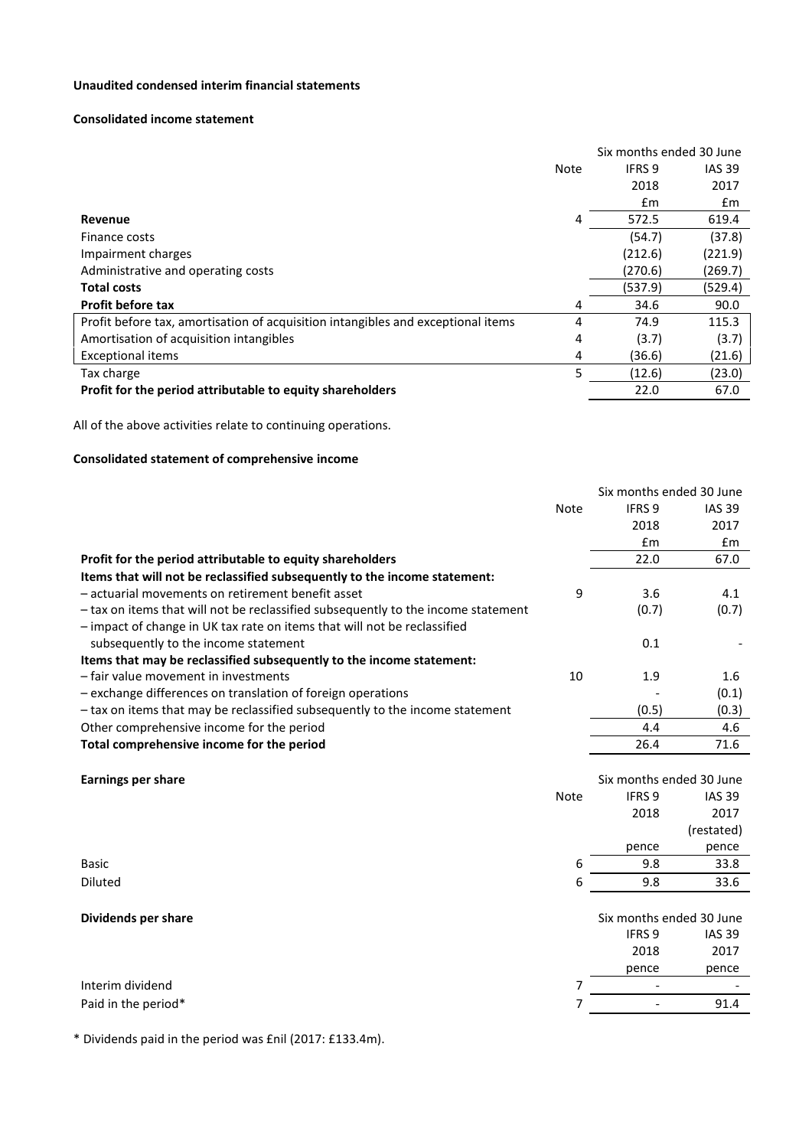## **Unaudited condensed interim financial statements**

## **Consolidated income statement**

|                                                                                  |             | Six months ended 30 June |               |  |
|----------------------------------------------------------------------------------|-------------|--------------------------|---------------|--|
|                                                                                  | <b>Note</b> | IFRS 9                   | <b>IAS 39</b> |  |
|                                                                                  |             | 2018                     | 2017          |  |
|                                                                                  |             | $\mathsf{fm}$            | £m            |  |
| Revenue                                                                          | 4           | 572.5                    | 619.4         |  |
| Finance costs                                                                    |             | (54.7)                   | (37.8)        |  |
| Impairment charges                                                               |             | (212.6)                  | (221.9)       |  |
| Administrative and operating costs                                               |             | (270.6)                  | (269.7)       |  |
| <b>Total costs</b>                                                               |             | (537.9)                  | (529.4)       |  |
| <b>Profit before tax</b>                                                         | 4           | 34.6                     | 90.0          |  |
| Profit before tax, amortisation of acquisition intangibles and exceptional items | 4           | 74.9                     | 115.3         |  |
| Amortisation of acquisition intangibles                                          | 4           | (3.7)                    | (3.7)         |  |
| <b>Exceptional items</b>                                                         | 4           | (36.6)                   | (21.6)        |  |
| Tax charge                                                                       | 5           | (12.6)                   | (23.0)        |  |
| Profit for the period attributable to equity shareholders                        |             | 22.0                     | 67.0          |  |

All of the above activities relate to continuing operations.

# **Consolidated statement of comprehensive income**

|                                                                                   |             | Six months ended 30 June |               |
|-----------------------------------------------------------------------------------|-------------|--------------------------|---------------|
|                                                                                   | Note        | <b>IFRS 9</b>            | <b>IAS 39</b> |
|                                                                                   |             | 2018                     | 2017          |
|                                                                                   |             | £m                       | £m            |
| Profit for the period attributable to equity shareholders                         |             | 22.0                     | 67.0          |
| Items that will not be reclassified subsequently to the income statement:         |             |                          |               |
| - actuarial movements on retirement benefit asset                                 | 9           | 3.6                      | 4.1           |
| - tax on items that will not be reclassified subsequently to the income statement |             | (0.7)                    | (0.7)         |
| - impact of change in UK tax rate on items that will not be reclassified          |             |                          |               |
| subsequently to the income statement                                              |             | 0.1                      |               |
| Items that may be reclassified subsequently to the income statement:              |             |                          |               |
| - fair value movement in investments                                              | 10          | 1.9                      | 1.6           |
| - exchange differences on translation of foreign operations                       |             |                          | (0.1)         |
| - tax on items that may be reclassified subsequently to the income statement      |             | (0.5)                    | (0.3)         |
| Other comprehensive income for the period                                         |             | 4.4                      | 4.6           |
| Total comprehensive income for the period                                         |             | 26.4                     | 71.6          |
|                                                                                   |             |                          |               |
|                                                                                   |             |                          |               |
| <b>Earnings per share</b>                                                         |             | Six months ended 30 June |               |
|                                                                                   | <b>Note</b> | IFRS <sub>9</sub>        | <b>IAS 39</b> |
|                                                                                   |             | 2018                     | 2017          |
|                                                                                   |             |                          | (restated)    |
|                                                                                   |             | pence                    | pence         |
| Basic                                                                             | 6           | 9.8                      | 33.8          |
| <b>Diluted</b>                                                                    | 6           | 9.8                      | 33.6          |
|                                                                                   |             |                          |               |
| Dividends per share                                                               |             | Six months ended 30 June |               |
|                                                                                   |             | <b>IFRS 9</b>            | <b>IAS 39</b> |
|                                                                                   |             | 2018                     | 2017          |
|                                                                                   |             | pence                    | pence         |
| Interim dividend                                                                  | 7           |                          |               |

\* Dividends paid in the period was £nil (2017: £133.4m).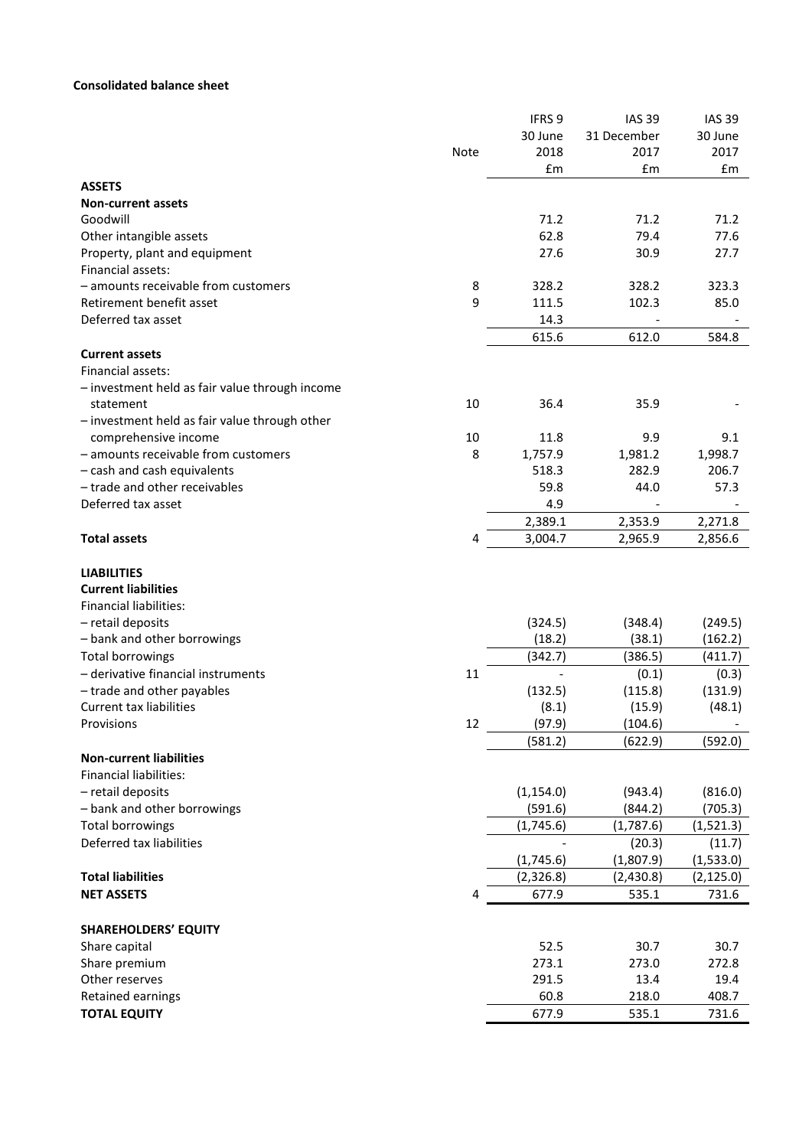# **Consolidated balance sheet**

|                                                |      | IFRS <sub>9</sub> | <b>IAS 39</b> | <b>IAS 39</b> |
|------------------------------------------------|------|-------------------|---------------|---------------|
|                                                |      | 30 June           | 31 December   | 30 June       |
|                                                | Note | 2018              | 2017          | 2017          |
|                                                |      | £m                | £m            | £m            |
| <b>ASSETS</b>                                  |      |                   |               |               |
| <b>Non-current assets</b>                      |      |                   |               |               |
| Goodwill                                       |      | 71.2              | 71.2          | 71.2          |
| Other intangible assets                        |      | 62.8              | 79.4          | 77.6          |
| Property, plant and equipment                  |      | 27.6              | 30.9          | 27.7          |
| Financial assets:                              |      |                   |               |               |
| - amounts receivable from customers            | 8    | 328.2             | 328.2         | 323.3         |
| Retirement benefit asset                       | 9    | 111.5             | 102.3         | 85.0          |
| Deferred tax asset                             |      | 14.3              |               |               |
|                                                |      | 615.6             | 612.0         | 584.8         |
| <b>Current assets</b>                          |      |                   |               |               |
| Financial assets:                              |      |                   |               |               |
| - investment held as fair value through income |      |                   |               |               |
| statement                                      | 10   | 36.4              | 35.9          |               |
| - investment held as fair value through other  |      |                   |               |               |
| comprehensive income                           | 10   | 11.8              | 9.9           | 9.1           |
| - amounts receivable from customers            | 8    | 1,757.9           | 1,981.2       | 1,998.7       |
| - cash and cash equivalents                    |      | 518.3             | 282.9         | 206.7         |
| - trade and other receivables                  |      | 59.8              | 44.0          | 57.3          |
| Deferred tax asset                             |      | 4.9               |               |               |
|                                                |      | 2,389.1           | 2,353.9       | 2,271.8       |
| <b>Total assets</b>                            | 4    | 3,004.7           | 2,965.9       | 2,856.6       |
|                                                |      |                   |               |               |
| <b>LIABILITIES</b>                             |      |                   |               |               |
| <b>Current liabilities</b>                     |      |                   |               |               |
| <b>Financial liabilities:</b>                  |      |                   |               |               |
| - retail deposits                              |      | (324.5)           | (348.4)       | (249.5)       |
| - bank and other borrowings                    |      | (18.2)            | (38.1)        | (162.2)       |
| <b>Total borrowings</b>                        |      | (342.7)           | (386.5)       | (411.7)       |
| - derivative financial instruments             | 11   |                   | (0.1)         | (0.3)         |
| - trade and other payables                     |      | (132.5)           | (115.8)       | (131.9)       |
| <b>Current tax liabilities</b>                 |      | (8.1)             | (15.9)        | (48.1)        |
| Provisions                                     | 12   | (97.9)            | (104.6)       |               |
|                                                |      | (581.2)           | (622.9)       | (592.0)       |
| <b>Non-current liabilities</b>                 |      |                   |               |               |
| <b>Financial liabilities:</b>                  |      |                   |               |               |
| - retail deposits                              |      | (1, 154.0)        | (943.4)       | (816.0)       |
| - bank and other borrowings                    |      | (591.6)           | (844.2)       | (705.3)       |
| <b>Total borrowings</b>                        |      | (1,745.6)         | (1,787.6)     | (1,521.3)     |
| Deferred tax liabilities                       |      |                   | (20.3)        | (11.7)        |
|                                                |      | (1,745.6)         | (1,807.9)     | (1,533.0)     |
| <b>Total liabilities</b>                       |      | (2,326.8)         | (2,430.8)     | (2, 125.0)    |
| <b>NET ASSETS</b>                              | 4    | 677.9             | 535.1         | 731.6         |
|                                                |      |                   |               |               |
| <b>SHAREHOLDERS' EQUITY</b>                    |      |                   |               |               |
| Share capital                                  |      | 52.5              | 30.7          | 30.7          |
| Share premium                                  |      | 273.1             | 273.0         | 272.8         |
| Other reserves                                 |      | 291.5             | 13.4          | 19.4          |
| Retained earnings                              |      | 60.8              | 218.0         | 408.7         |
| <b>TOTAL EQUITY</b>                            |      | 677.9             | 535.1         | 731.6         |
|                                                |      |                   |               |               |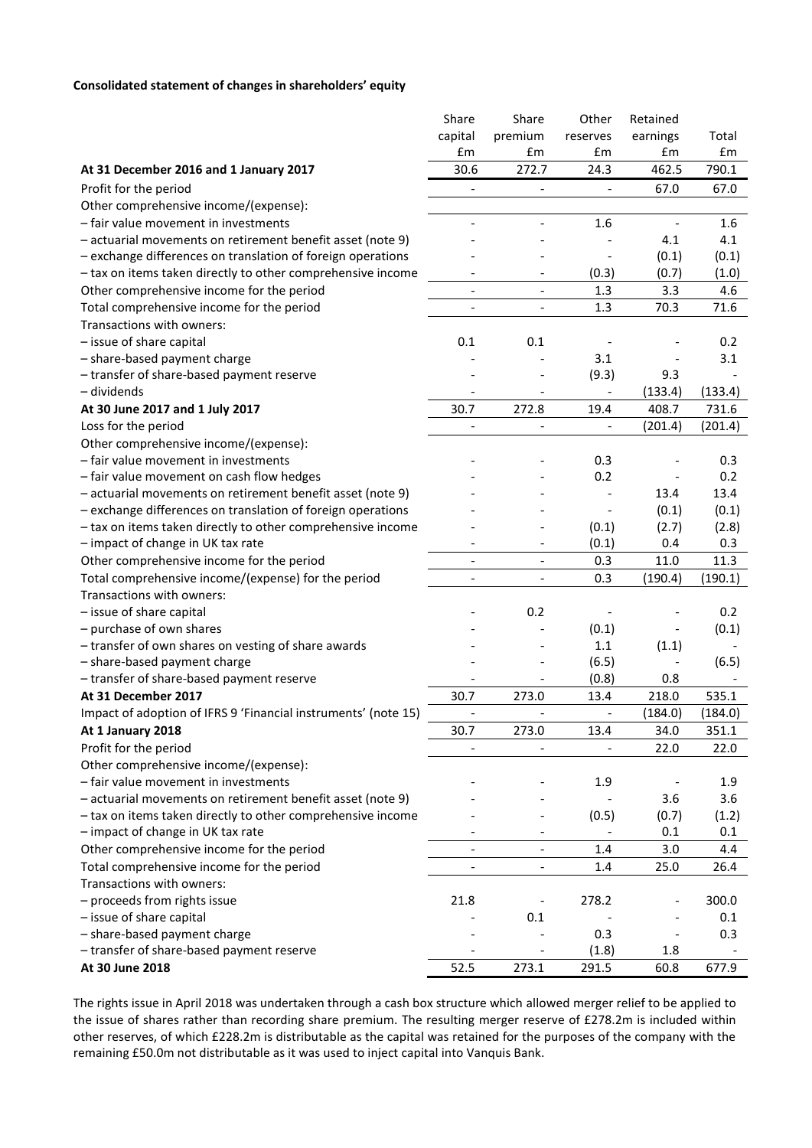# **Consolidated statement of changes in shareholders' equity**

|                                                                | Share                        | Share                    | Other                    | Retained |         |
|----------------------------------------------------------------|------------------------------|--------------------------|--------------------------|----------|---------|
|                                                                | capital                      | premium                  | reserves                 | earnings | Total   |
|                                                                | £m                           | £m                       | £m                       | £m       | £m      |
| At 31 December 2016 and 1 January 2017                         | 30.6                         | 272.7                    | 24.3                     | 462.5    | 790.1   |
| Profit for the period                                          |                              |                          |                          | 67.0     | 67.0    |
| Other comprehensive income/(expense):                          |                              |                          |                          |          |         |
| - fair value movement in investments                           |                              |                          | 1.6                      |          | 1.6     |
| - actuarial movements on retirement benefit asset (note 9)     |                              |                          |                          | 4.1      | 4.1     |
| - exchange differences on translation of foreign operations    |                              |                          |                          | (0.1)    | (0.1)   |
| - tax on items taken directly to other comprehensive income    |                              |                          | (0.3)                    | (0.7)    | (1.0)   |
| Other comprehensive income for the period                      | $\qquad \qquad -$            | $\overline{\phantom{0}}$ | 1.3                      | 3.3      | 4.6     |
| Total comprehensive income for the period                      | $\overline{a}$               | $\frac{1}{2}$            | 1.3                      | 70.3     | 71.6    |
| Transactions with owners:                                      |                              |                          |                          |          |         |
| - issue of share capital                                       | 0.1                          | 0.1                      |                          |          | 0.2     |
| - share-based payment charge                                   |                              |                          | 3.1                      |          | 3.1     |
| - transfer of share-based payment reserve                      |                              |                          | (9.3)                    | 9.3      |         |
| - dividends                                                    |                              |                          |                          | (133.4)  | (133.4) |
| At 30 June 2017 and 1 July 2017                                | 30.7                         | 272.8                    | 19.4                     | 408.7    | 731.6   |
| Loss for the period                                            | $\overline{a}$               |                          | $\overline{\phantom{0}}$ |          | (201.4) |
|                                                                |                              |                          |                          | (201.4)  |         |
| Other comprehensive income/(expense):                          |                              |                          |                          |          |         |
| - fair value movement in investments                           |                              |                          | 0.3                      |          | 0.3     |
| - fair value movement on cash flow hedges                      |                              |                          | 0.2                      |          | 0.2     |
| - actuarial movements on retirement benefit asset (note 9)     |                              |                          |                          | 13.4     | 13.4    |
| - exchange differences on translation of foreign operations    |                              |                          |                          | (0.1)    | (0.1)   |
| - tax on items taken directly to other comprehensive income    |                              |                          | (0.1)                    | (2.7)    | (2.8)   |
| - impact of change in UK tax rate                              |                              |                          | (0.1)                    | 0.4      | 0.3     |
| Other comprehensive income for the period                      | $\qquad \qquad \blacksquare$ | $\overline{\phantom{a}}$ | 0.3                      | 11.0     | 11.3    |
| Total comprehensive income/(expense) for the period            | $\overline{\phantom{a}}$     | $\overline{\phantom{a}}$ | 0.3                      | (190.4)  | (190.1) |
| Transactions with owners:                                      |                              |                          |                          |          |         |
| - issue of share capital                                       |                              | 0.2                      |                          |          | 0.2     |
| - purchase of own shares                                       |                              |                          | (0.1)                    |          | (0.1)   |
| - transfer of own shares on vesting of share awards            |                              |                          | 1.1                      | (1.1)    |         |
| - share-based payment charge                                   |                              |                          | (6.5)                    |          | (6.5)   |
| - transfer of share-based payment reserve                      |                              |                          | (0.8)                    | 0.8      |         |
| At 31 December 2017                                            | 30.7                         | 273.0                    | 13.4                     | 218.0    | 535.1   |
| Impact of adoption of IFRS 9 'Financial instruments' (note 15) | $\overline{\phantom{m}}$     | $\overline{\phantom{a}}$ | $\overline{a}$           | (184.0)  | (184.0) |
| At 1 January 2018                                              | 30.7                         | 273.0                    | 13.4                     | 34.0     | 351.1   |
| Profit for the period                                          |                              |                          |                          | 22.0     | 22.0    |
| Other comprehensive income/(expense):                          |                              |                          |                          |          |         |
| - fair value movement in investments                           |                              |                          | 1.9                      |          | 1.9     |
| - actuarial movements on retirement benefit asset (note 9)     |                              |                          |                          | 3.6      | 3.6     |
| - tax on items taken directly to other comprehensive income    |                              |                          | (0.5)                    | (0.7)    | (1.2)   |
| - impact of change in UK tax rate                              |                              |                          | $\overline{\phantom{a}}$ | 0.1      | 0.1     |
| Other comprehensive income for the period                      |                              | $\overline{\phantom{a}}$ | 1.4                      | 3.0      | 4.4     |
| Total comprehensive income for the period                      | $\qquad \qquad \blacksquare$ | $\overline{\phantom{0}}$ | 1.4                      | 25.0     | 26.4    |
| Transactions with owners:                                      |                              |                          |                          |          |         |
| - proceeds from rights issue                                   | 21.8                         |                          | 278.2                    |          | 300.0   |
| - issue of share capital                                       |                              | 0.1                      |                          |          | 0.1     |
| - share-based payment charge                                   |                              |                          | 0.3                      |          | 0.3     |
| - transfer of share-based payment reserve                      |                              |                          | (1.8)                    | 1.8      |         |
| At 30 June 2018                                                | 52.5                         | 273.1                    | 291.5                    | 60.8     | 677.9   |

The rights issue in April 2018 was undertaken through a cash box structure which allowed merger relief to be applied to the issue of shares rather than recording share premium. The resulting merger reserve of £278.2m is included within other reserves, of which £228.2m is distributable as the capital was retained for the purposes of the company with the remaining £50.0m not distributable as it was used to inject capital into Vanquis Bank.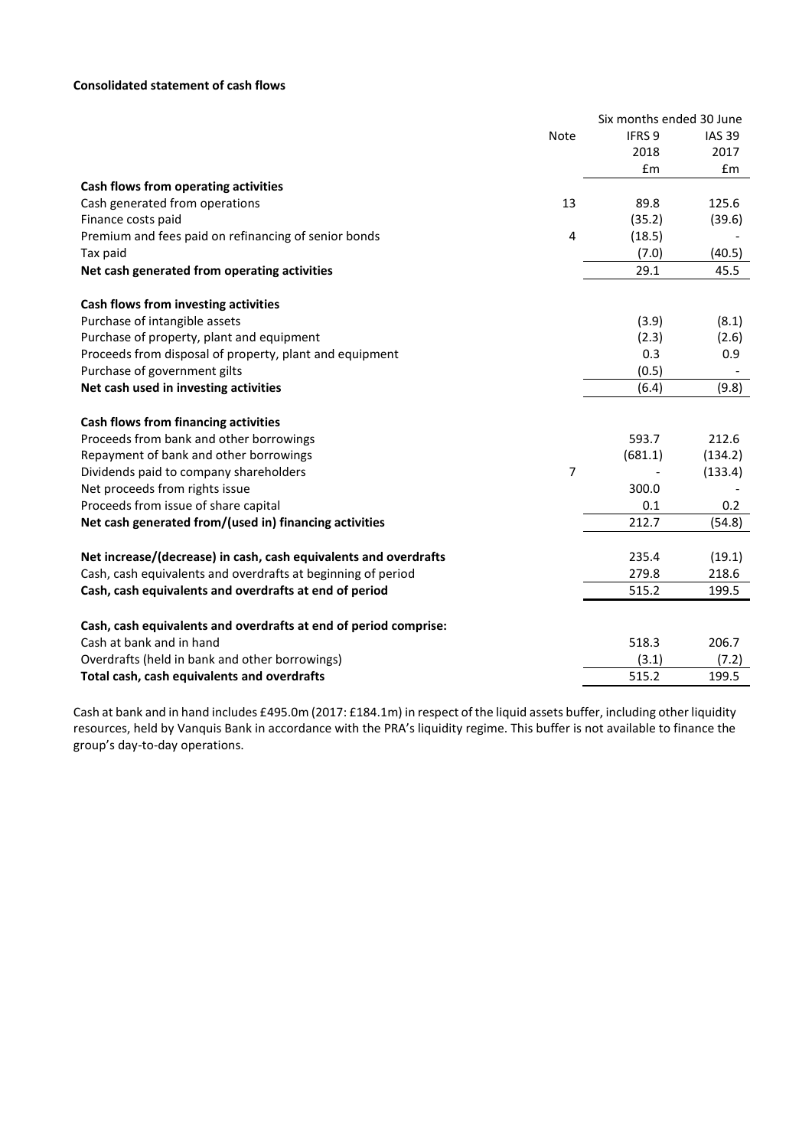## **Consolidated statement of cash flows**

| IFRS <sub>9</sub><br>Note<br><b>IAS 39</b><br>2018<br>2017<br>£m<br>£m<br>Cash flows from operating activities<br>Cash generated from operations<br>13<br>89.8<br>125.6<br>(35.2)<br>Finance costs paid<br>(39.6)<br>Premium and fees paid on refinancing of senior bonds<br>4<br>(18.5)<br>(40.5)<br>Tax paid<br>(7.0)<br>Net cash generated from operating activities<br>29.1<br>45.5<br>Cash flows from investing activities<br>Purchase of intangible assets<br>(3.9)<br>(8.1)<br>Purchase of property, plant and equipment<br>(2.3)<br>(2.6)<br>Proceeds from disposal of property, plant and equipment<br>0.3<br>0.9<br>Purchase of government gilts<br>(0.5)<br>Net cash used in investing activities<br>(6.4)<br>(9.8)<br>Cash flows from financing activities<br>212.6<br>Proceeds from bank and other borrowings<br>593.7<br>Repayment of bank and other borrowings<br>(681.1)<br>(134.2)<br>$\overline{7}$<br>Dividends paid to company shareholders<br>(133.4)<br>Net proceeds from rights issue<br>300.0<br>Proceeds from issue of share capital<br>0.1<br>0.2<br>Net cash generated from/(used in) financing activities<br>212.7<br>(54.8)<br>Net increase/(decrease) in cash, cash equivalents and overdrafts<br>235.4<br>(19.1)<br>Cash, cash equivalents and overdrafts at beginning of period<br>279.8<br>218.6<br>Cash, cash equivalents and overdrafts at end of period<br>515.2<br>199.5<br>Cash, cash equivalents and overdrafts at end of period comprise:<br>Cash at bank and in hand<br>518.3<br>206.7<br>Overdrafts (held in bank and other borrowings)<br>(3.1)<br>(7.2) |                                             | Six months ended 30 June |       |
|-----------------------------------------------------------------------------------------------------------------------------------------------------------------------------------------------------------------------------------------------------------------------------------------------------------------------------------------------------------------------------------------------------------------------------------------------------------------------------------------------------------------------------------------------------------------------------------------------------------------------------------------------------------------------------------------------------------------------------------------------------------------------------------------------------------------------------------------------------------------------------------------------------------------------------------------------------------------------------------------------------------------------------------------------------------------------------------------------------------------------------------------------------------------------------------------------------------------------------------------------------------------------------------------------------------------------------------------------------------------------------------------------------------------------------------------------------------------------------------------------------------------------------------------------------------------------------------------------------|---------------------------------------------|--------------------------|-------|
|                                                                                                                                                                                                                                                                                                                                                                                                                                                                                                                                                                                                                                                                                                                                                                                                                                                                                                                                                                                                                                                                                                                                                                                                                                                                                                                                                                                                                                                                                                                                                                                                     |                                             |                          |       |
|                                                                                                                                                                                                                                                                                                                                                                                                                                                                                                                                                                                                                                                                                                                                                                                                                                                                                                                                                                                                                                                                                                                                                                                                                                                                                                                                                                                                                                                                                                                                                                                                     |                                             |                          |       |
|                                                                                                                                                                                                                                                                                                                                                                                                                                                                                                                                                                                                                                                                                                                                                                                                                                                                                                                                                                                                                                                                                                                                                                                                                                                                                                                                                                                                                                                                                                                                                                                                     |                                             |                          |       |
|                                                                                                                                                                                                                                                                                                                                                                                                                                                                                                                                                                                                                                                                                                                                                                                                                                                                                                                                                                                                                                                                                                                                                                                                                                                                                                                                                                                                                                                                                                                                                                                                     |                                             |                          |       |
|                                                                                                                                                                                                                                                                                                                                                                                                                                                                                                                                                                                                                                                                                                                                                                                                                                                                                                                                                                                                                                                                                                                                                                                                                                                                                                                                                                                                                                                                                                                                                                                                     |                                             |                          |       |
|                                                                                                                                                                                                                                                                                                                                                                                                                                                                                                                                                                                                                                                                                                                                                                                                                                                                                                                                                                                                                                                                                                                                                                                                                                                                                                                                                                                                                                                                                                                                                                                                     |                                             |                          |       |
|                                                                                                                                                                                                                                                                                                                                                                                                                                                                                                                                                                                                                                                                                                                                                                                                                                                                                                                                                                                                                                                                                                                                                                                                                                                                                                                                                                                                                                                                                                                                                                                                     |                                             |                          |       |
|                                                                                                                                                                                                                                                                                                                                                                                                                                                                                                                                                                                                                                                                                                                                                                                                                                                                                                                                                                                                                                                                                                                                                                                                                                                                                                                                                                                                                                                                                                                                                                                                     |                                             |                          |       |
|                                                                                                                                                                                                                                                                                                                                                                                                                                                                                                                                                                                                                                                                                                                                                                                                                                                                                                                                                                                                                                                                                                                                                                                                                                                                                                                                                                                                                                                                                                                                                                                                     |                                             |                          |       |
|                                                                                                                                                                                                                                                                                                                                                                                                                                                                                                                                                                                                                                                                                                                                                                                                                                                                                                                                                                                                                                                                                                                                                                                                                                                                                                                                                                                                                                                                                                                                                                                                     |                                             |                          |       |
|                                                                                                                                                                                                                                                                                                                                                                                                                                                                                                                                                                                                                                                                                                                                                                                                                                                                                                                                                                                                                                                                                                                                                                                                                                                                                                                                                                                                                                                                                                                                                                                                     |                                             |                          |       |
|                                                                                                                                                                                                                                                                                                                                                                                                                                                                                                                                                                                                                                                                                                                                                                                                                                                                                                                                                                                                                                                                                                                                                                                                                                                                                                                                                                                                                                                                                                                                                                                                     |                                             |                          |       |
|                                                                                                                                                                                                                                                                                                                                                                                                                                                                                                                                                                                                                                                                                                                                                                                                                                                                                                                                                                                                                                                                                                                                                                                                                                                                                                                                                                                                                                                                                                                                                                                                     |                                             |                          |       |
|                                                                                                                                                                                                                                                                                                                                                                                                                                                                                                                                                                                                                                                                                                                                                                                                                                                                                                                                                                                                                                                                                                                                                                                                                                                                                                                                                                                                                                                                                                                                                                                                     |                                             |                          |       |
|                                                                                                                                                                                                                                                                                                                                                                                                                                                                                                                                                                                                                                                                                                                                                                                                                                                                                                                                                                                                                                                                                                                                                                                                                                                                                                                                                                                                                                                                                                                                                                                                     |                                             |                          |       |
|                                                                                                                                                                                                                                                                                                                                                                                                                                                                                                                                                                                                                                                                                                                                                                                                                                                                                                                                                                                                                                                                                                                                                                                                                                                                                                                                                                                                                                                                                                                                                                                                     |                                             |                          |       |
|                                                                                                                                                                                                                                                                                                                                                                                                                                                                                                                                                                                                                                                                                                                                                                                                                                                                                                                                                                                                                                                                                                                                                                                                                                                                                                                                                                                                                                                                                                                                                                                                     |                                             |                          |       |
|                                                                                                                                                                                                                                                                                                                                                                                                                                                                                                                                                                                                                                                                                                                                                                                                                                                                                                                                                                                                                                                                                                                                                                                                                                                                                                                                                                                                                                                                                                                                                                                                     |                                             |                          |       |
|                                                                                                                                                                                                                                                                                                                                                                                                                                                                                                                                                                                                                                                                                                                                                                                                                                                                                                                                                                                                                                                                                                                                                                                                                                                                                                                                                                                                                                                                                                                                                                                                     |                                             |                          |       |
|                                                                                                                                                                                                                                                                                                                                                                                                                                                                                                                                                                                                                                                                                                                                                                                                                                                                                                                                                                                                                                                                                                                                                                                                                                                                                                                                                                                                                                                                                                                                                                                                     |                                             |                          |       |
|                                                                                                                                                                                                                                                                                                                                                                                                                                                                                                                                                                                                                                                                                                                                                                                                                                                                                                                                                                                                                                                                                                                                                                                                                                                                                                                                                                                                                                                                                                                                                                                                     |                                             |                          |       |
|                                                                                                                                                                                                                                                                                                                                                                                                                                                                                                                                                                                                                                                                                                                                                                                                                                                                                                                                                                                                                                                                                                                                                                                                                                                                                                                                                                                                                                                                                                                                                                                                     |                                             |                          |       |
|                                                                                                                                                                                                                                                                                                                                                                                                                                                                                                                                                                                                                                                                                                                                                                                                                                                                                                                                                                                                                                                                                                                                                                                                                                                                                                                                                                                                                                                                                                                                                                                                     |                                             |                          |       |
|                                                                                                                                                                                                                                                                                                                                                                                                                                                                                                                                                                                                                                                                                                                                                                                                                                                                                                                                                                                                                                                                                                                                                                                                                                                                                                                                                                                                                                                                                                                                                                                                     |                                             |                          |       |
|                                                                                                                                                                                                                                                                                                                                                                                                                                                                                                                                                                                                                                                                                                                                                                                                                                                                                                                                                                                                                                                                                                                                                                                                                                                                                                                                                                                                                                                                                                                                                                                                     |                                             |                          |       |
|                                                                                                                                                                                                                                                                                                                                                                                                                                                                                                                                                                                                                                                                                                                                                                                                                                                                                                                                                                                                                                                                                                                                                                                                                                                                                                                                                                                                                                                                                                                                                                                                     |                                             |                          |       |
|                                                                                                                                                                                                                                                                                                                                                                                                                                                                                                                                                                                                                                                                                                                                                                                                                                                                                                                                                                                                                                                                                                                                                                                                                                                                                                                                                                                                                                                                                                                                                                                                     |                                             |                          |       |
|                                                                                                                                                                                                                                                                                                                                                                                                                                                                                                                                                                                                                                                                                                                                                                                                                                                                                                                                                                                                                                                                                                                                                                                                                                                                                                                                                                                                                                                                                                                                                                                                     |                                             |                          |       |
|                                                                                                                                                                                                                                                                                                                                                                                                                                                                                                                                                                                                                                                                                                                                                                                                                                                                                                                                                                                                                                                                                                                                                                                                                                                                                                                                                                                                                                                                                                                                                                                                     | Total cash, cash equivalents and overdrafts | 515.2                    | 199.5 |

Cash at bank and in hand includes £495.0m (2017: £184.1m) in respect of the liquid assets buffer, including other liquidity resources, held by Vanquis Bank in accordance with the PRA's liquidity regime. This buffer is not available to finance the group's day-to-day operations.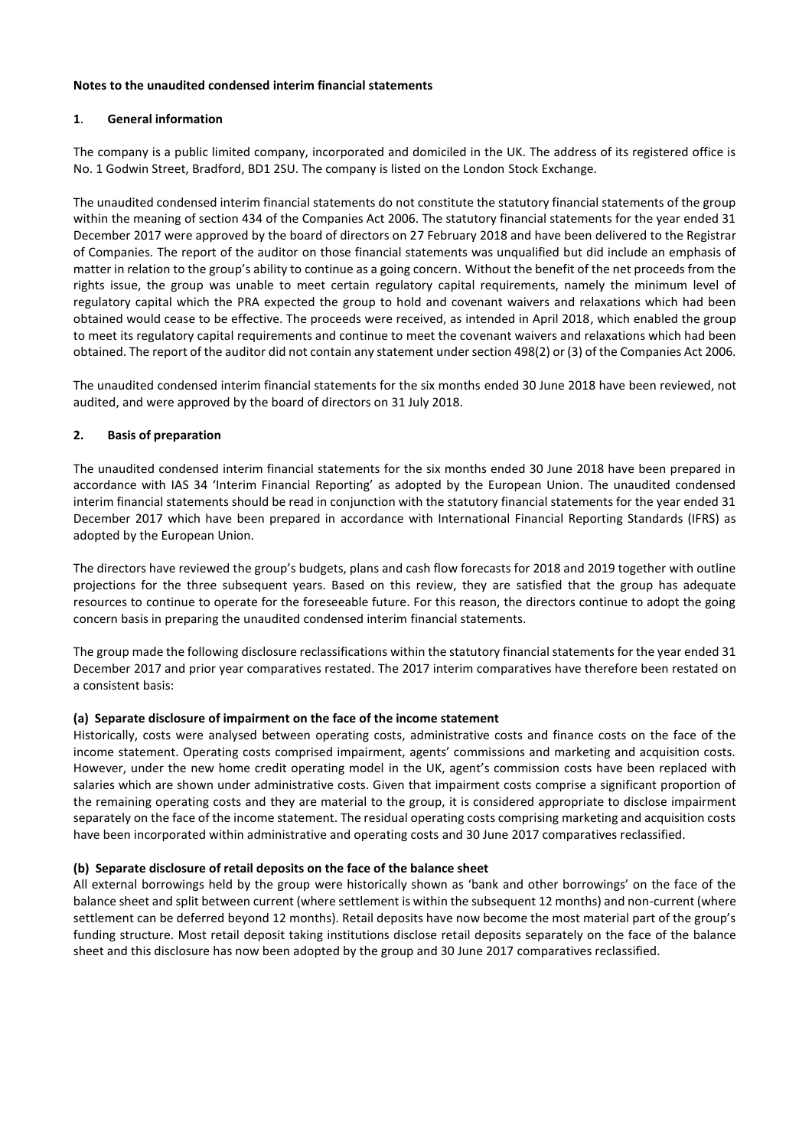#### **Notes to the unaudited condensed interim financial statements**

## **1**. **General information**

The company is a public limited company, incorporated and domiciled in the UK. The address of its registered office is No. 1 Godwin Street, Bradford, BD1 2SU. The company is listed on the London Stock Exchange.

The unaudited condensed interim financial statements do not constitute the statutory financial statements of the group within the meaning of section 434 of the Companies Act 2006. The statutory financial statements for the year ended 31 December 2017 were approved by the board of directors on 27 February 2018 and have been delivered to the Registrar of Companies. The report of the auditor on those financial statements was unqualified but did include an emphasis of matter in relation to the group's ability to continue as a going concern. Without the benefit of the net proceeds from the rights issue, the group was unable to meet certain regulatory capital requirements, namely the minimum level of regulatory capital which the PRA expected the group to hold and covenant waivers and relaxations which had been obtained would cease to be effective. The proceeds were received, as intended in April 2018, which enabled the group to meet its regulatory capital requirements and continue to meet the covenant waivers and relaxations which had been obtained. The report of the auditor did not contain any statement under section 498(2) or (3) of the Companies Act 2006.

The unaudited condensed interim financial statements for the six months ended 30 June 2018 have been reviewed, not audited, and were approved by the board of directors on 31 July 2018.

## **2. Basis of preparation**

The unaudited condensed interim financial statements for the six months ended 30 June 2018 have been prepared in accordance with IAS 34 'Interim Financial Reporting' as adopted by the European Union. The unaudited condensed interim financial statements should be read in conjunction with the statutory financial statements for the year ended 31 December 2017 which have been prepared in accordance with International Financial Reporting Standards (IFRS) as adopted by the European Union.

The directors have reviewed the group's budgets, plans and cash flow forecasts for 2018 and 2019 together with outline projections for the three subsequent years. Based on this review, they are satisfied that the group has adequate resources to continue to operate for the foreseeable future. For this reason, the directors continue to adopt the going concern basis in preparing the unaudited condensed interim financial statements.

The group made the following disclosure reclassifications within the statutory financial statements for the year ended 31 December 2017 and prior year comparatives restated. The 2017 interim comparatives have therefore been restated on a consistent basis:

## **(a) Separate disclosure of impairment on the face of the income statement**

Historically, costs were analysed between operating costs, administrative costs and finance costs on the face of the income statement. Operating costs comprised impairment, agents' commissions and marketing and acquisition costs. However, under the new home credit operating model in the UK, agent's commission costs have been replaced with salaries which are shown under administrative costs. Given that impairment costs comprise a significant proportion of the remaining operating costs and they are material to the group, it is considered appropriate to disclose impairment separately on the face of the income statement. The residual operating costs comprising marketing and acquisition costs have been incorporated within administrative and operating costs and 30 June 2017 comparatives reclassified.

## **(b) Separate disclosure of retail deposits on the face of the balance sheet**

All external borrowings held by the group were historically shown as 'bank and other borrowings' on the face of the balance sheet and split between current (where settlement is within the subsequent 12 months) and non-current (where settlement can be deferred beyond 12 months). Retail deposits have now become the most material part of the group's funding structure. Most retail deposit taking institutions disclose retail deposits separately on the face of the balance sheet and this disclosure has now been adopted by the group and 30 June 2017 comparatives reclassified.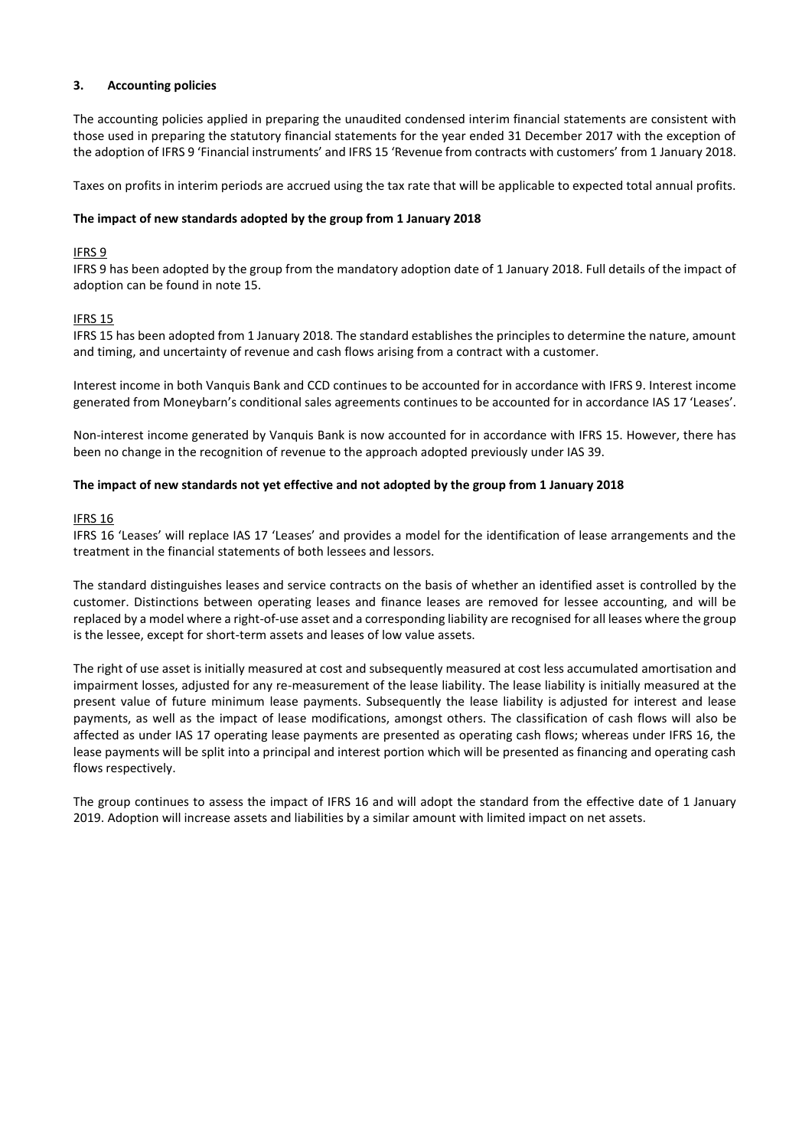## **3. Accounting policies**

The accounting policies applied in preparing the unaudited condensed interim financial statements are consistent with those used in preparing the statutory financial statements for the year ended 31 December 2017 with the exception of the adoption of IFRS 9 'Financial instruments' and IFRS 15 'Revenue from contracts with customers' from 1 January 2018.

Taxes on profits in interim periods are accrued using the tax rate that will be applicable to expected total annual profits.

## **The impact of new standards adopted by the group from 1 January 2018**

# IFRS 9

IFRS 9 has been adopted by the group from the mandatory adoption date of 1 January 2018. Full details of the impact of adoption can be found in note 15.

# IFRS 15

IFRS 15 has been adopted from 1 January 2018. The standard establishes the principles to determine the nature, amount and timing, and uncertainty of revenue and cash flows arising from a contract with a customer.

Interest income in both Vanquis Bank and CCD continues to be accounted for in accordance with IFRS 9. Interest income generated from Moneybarn's conditional sales agreements continues to be accounted for in accordance IAS 17 'Leases'.

Non-interest income generated by Vanquis Bank is now accounted for in accordance with IFRS 15. However, there has been no change in the recognition of revenue to the approach adopted previously under IAS 39.

## **The impact of new standards not yet effective and not adopted by the group from 1 January 2018**

## IFRS 16

IFRS 16 'Leases' will replace IAS 17 'Leases' and provides a model for the identification of lease arrangements and the treatment in the financial statements of both lessees and lessors.

The standard distinguishes leases and service contracts on the basis of whether an identified asset is controlled by the customer. Distinctions between operating leases and finance leases are removed for lessee accounting, and will be replaced by a model where a right-of-use asset and a corresponding liability are recognised for all leases where the group is the lessee, except for short-term assets and leases of low value assets.

The right of use asset is initially measured at cost and subsequently measured at cost less accumulated amortisation and impairment losses, adjusted for any re-measurement of the lease liability. The lease liability is initially measured at the present value of future minimum lease payments. Subsequently the lease liability is adjusted for interest and lease payments, as well as the impact of lease modifications, amongst others. The classification of cash flows will also be affected as under IAS 17 operating lease payments are presented as operating cash flows; whereas under IFRS 16, the lease payments will be split into a principal and interest portion which will be presented as financing and operating cash flows respectively.

The group continues to assess the impact of IFRS 16 and will adopt the standard from the effective date of 1 January 2019. Adoption will increase assets and liabilities by a similar amount with limited impact on net assets.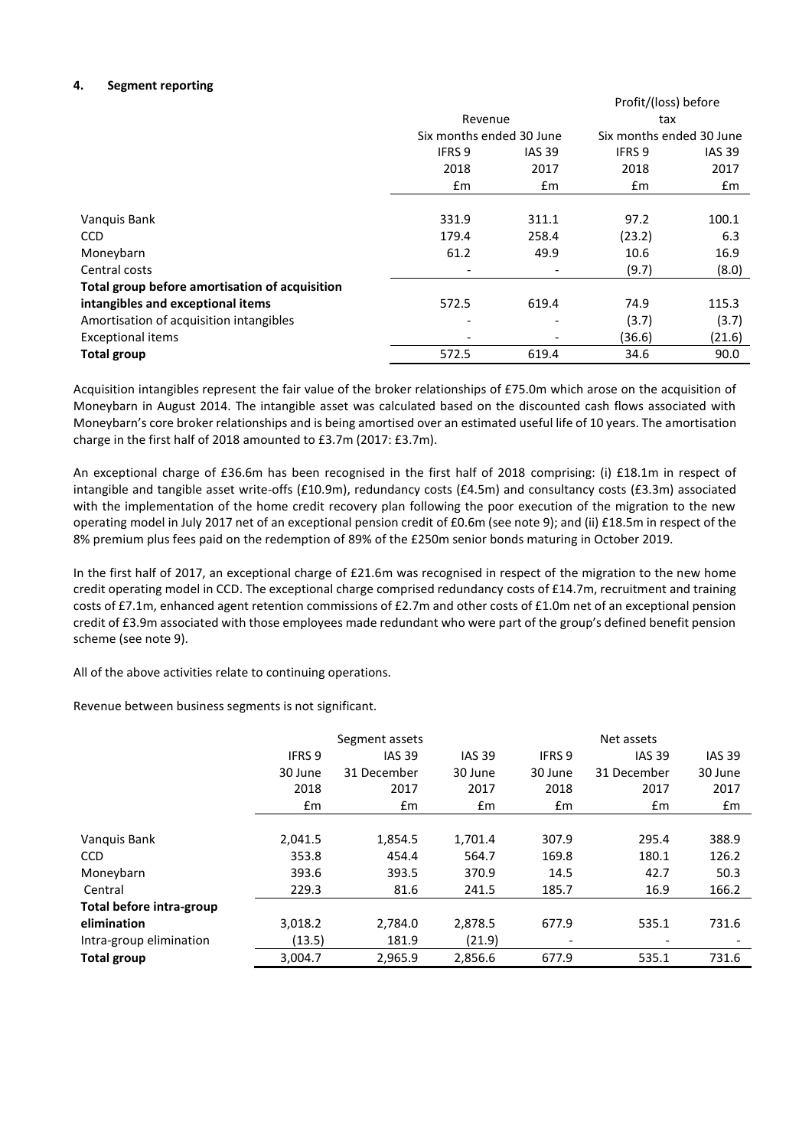## **4. Segment reporting**

|                                                |                          |                          | Profit/(loss) before     |               |
|------------------------------------------------|--------------------------|--------------------------|--------------------------|---------------|
|                                                | Revenue                  |                          | tax                      |               |
|                                                | Six months ended 30 June |                          | Six months ended 30 June |               |
|                                                | <b>IFRS 9</b>            | <b>IAS 39</b>            | IFRS 9                   | <b>IAS 39</b> |
|                                                | 2018                     | 2017                     | 2018                     | 2017          |
|                                                | $\mathsf{fm}$            | £m                       | £m                       | £m            |
|                                                |                          |                          |                          |               |
| Vanquis Bank                                   | 331.9                    | 311.1                    | 97.2                     | 100.1         |
| CCD                                            | 179.4                    | 258.4                    | (23.2)                   | 6.3           |
| Moneybarn                                      | 61.2                     | 49.9                     | 10.6                     | 16.9          |
| Central costs                                  |                          | $\overline{\phantom{0}}$ | (9.7)                    | (8.0)         |
| Total group before amortisation of acquisition |                          |                          |                          |               |
| intangibles and exceptional items              | 572.5                    | 619.4                    | 74.9                     | 115.3         |
| Amortisation of acquisition intangibles        |                          |                          | (3.7)                    | (3.7)         |
| <b>Exceptional items</b>                       |                          |                          | (36.6)                   | (21.6)        |
| <b>Total group</b>                             | 572.5                    | 619.4                    | 34.6                     | 90.0          |

Acquisition intangibles represent the fair value of the broker relationships of £75.0m which arose on the acquisition of Moneybarn in August 2014. The intangible asset was calculated based on the discounted cash flows associated with Moneybarn's core broker relationships and is being amortised over an estimated useful life of 10 years. The amortisation charge in the first half of 2018 amounted to £3.7m (2017: £3.7m).

An exceptional charge of £36.6m has been recognised in the first half of 2018 comprising: (i) £18.1m in respect of intangible and tangible asset write-offs (£10.9m), redundancy costs (£4.5m) and consultancy costs (£3.3m) associated with the implementation of the home credit recovery plan following the poor execution of the migration to the new operating model in July 2017 net of an exceptional pension credit of £0.6m (see note 9); and (ii) £18.5m in respect of the 8% premium plus fees paid on the redemption of 89% of the £250m senior bonds maturing in October 2019.

In the first half of 2017, an exceptional charge of £21.6m was recognised in respect of the migration to the new home credit operating model in CCD. The exceptional charge comprised redundancy costs of £14.7m, recruitment and training costs of £7.1m, enhanced agent retention commissions of £2.7m and other costs of £1.0m net of an exceptional pension credit of £3.9m associated with those employees made redundant who were part of the group's defined benefit pension scheme (see note 9).

All of the above activities relate to continuing operations.

Revenue between business segments is not significant.

|                          | Segment assets |               |               | Net assets    |                          |               |
|--------------------------|----------------|---------------|---------------|---------------|--------------------------|---------------|
|                          | <b>IFRS 9</b>  | <b>IAS 39</b> | <b>IAS 39</b> | <b>IFRS 9</b> | <b>IAS 39</b>            | <b>IAS 39</b> |
|                          | 30 June        | 31 December   | 30 June       | 30 June       | 31 December              | 30 June       |
|                          | 2018           | 2017          | 2017          | 2018          | 2017                     | 2017          |
|                          | Em             | £m            | $\mathsf{fm}$ | $\mathsf{fm}$ | £m                       | £m            |
|                          |                |               |               |               |                          |               |
| Vanquis Bank             | 2,041.5        | 1,854.5       | 1,701.4       | 307.9         | 295.4                    | 388.9         |
| <b>CCD</b>               | 353.8          | 454.4         | 564.7         | 169.8         | 180.1                    | 126.2         |
| Moneybarn                | 393.6          | 393.5         | 370.9         | 14.5          | 42.7                     | 50.3          |
| Central                  | 229.3          | 81.6          | 241.5         | 185.7         | 16.9                     | 166.2         |
| Total before intra-group |                |               |               |               |                          |               |
| elimination              | 3,018.2        | 2,784.0       | 2,878.5       | 677.9         | 535.1                    | 731.6         |
| Intra-group elimination  | (13.5)         | 181.9         | (21.9)        |               | $\overline{\phantom{a}}$ |               |
| <b>Total group</b>       | 3,004.7        | 2,965.9       | 2,856.6       | 677.9         | 535.1                    | 731.6         |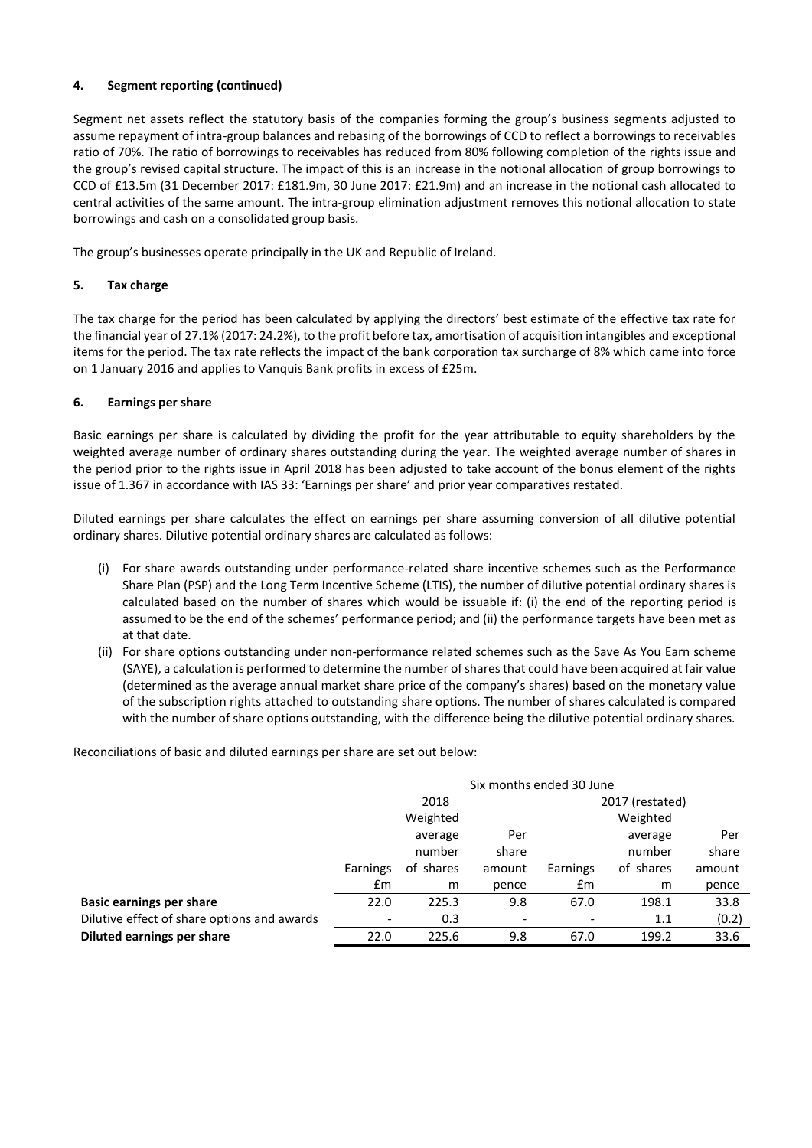## **4. Segment reporting (continued)**

Segment net assets reflect the statutory basis of the companies forming the group's business segments adjusted to assume repayment of intra-group balances and rebasing of the borrowings of CCD to reflect a borrowings to receivables ratio of 70%. The ratio of borrowings to receivables has reduced from 80% following completion of the rights issue and the group's revised capital structure. The impact of this is an increase in the notional allocation of group borrowings to CCD of £13.5m (31 December 2017: £181.9m, 30 June 2017: £21.9m) and an increase in the notional cash allocated to central activities of the same amount. The intra-group elimination adjustment removes this notional allocation to state borrowings and cash on a consolidated group basis.

The group's businesses operate principally in the UK and Republic of Ireland.

# **5. Tax charge**

The tax charge for the period has been calculated by applying the directors' best estimate of the effective tax rate for the financial year of 27.1% (2017: 24.2%), to the profit before tax, amortisation of acquisition intangibles and exceptional items for the period. The tax rate reflects the impact of the bank corporation tax surcharge of 8% which came into force on 1 January 2016 and applies to Vanquis Bank profits in excess of £25m.

# **6. Earnings per share**

Basic earnings per share is calculated by dividing the profit for the year attributable to equity shareholders by the weighted average number of ordinary shares outstanding during the year. The weighted average number of shares in the period prior to the rights issue in April 2018 has been adjusted to take account of the bonus element of the rights issue of 1.367 in accordance with IAS 33: 'Earnings per share' and prior year comparatives restated.

Diluted earnings per share calculates the effect on earnings per share assuming conversion of all dilutive potential ordinary shares. Dilutive potential ordinary shares are calculated as follows:

- (i) For share awards outstanding under performance-related share incentive schemes such as the Performance Share Plan (PSP) and the Long Term Incentive Scheme (LTIS), the number of dilutive potential ordinary shares is calculated based on the number of shares which would be issuable if: (i) the end of the reporting period is assumed to be the end of the schemes' performance period; and (ii) the performance targets have been met as at that date.
- (ii) For share options outstanding under non-performance related schemes such as the Save As You Earn scheme (SAYE), a calculation is performed to determine the number of shares that could have been acquired at fair value (determined as the average annual market share price of the company's shares) based on the monetary value of the subscription rights attached to outstanding share options. The number of shares calculated is compared with the number of share options outstanding, with the difference being the dilutive potential ordinary shares.

Reconciliations of basic and diluted earnings per share are set out below:

|                                             | Six months ended 30 June |           |        |                 |           |        |
|---------------------------------------------|--------------------------|-----------|--------|-----------------|-----------|--------|
|                                             | 2018                     |           |        | 2017 (restated) |           |        |
|                                             | Weighted                 |           |        |                 | Weighted  |        |
|                                             |                          | average   | Per    |                 | average   | Per    |
|                                             |                          | number    | share  |                 | number    | share  |
|                                             | Earnings                 | of shares | amount | Earnings        | of shares | amount |
|                                             | Em                       | m         | pence  | £m              | m         | pence  |
| <b>Basic earnings per share</b>             | 22.0                     | 225.3     | 9.8    | 67.0            | 198.1     | 33.8   |
| Dilutive effect of share options and awards |                          | 0.3       |        |                 | 1.1       | (0.2)  |
| <b>Diluted earnings per share</b>           | 22.0                     | 225.6     | 9.8    | 67.0            | 199.2     | 33.6   |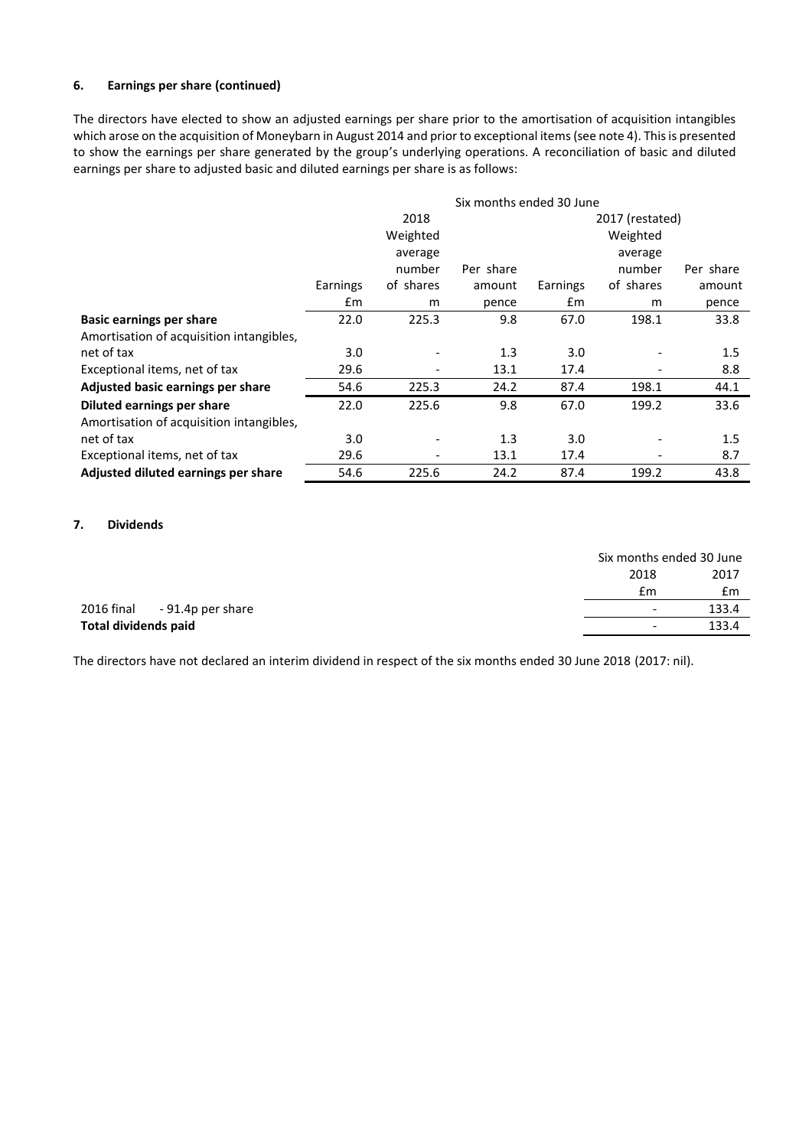## **6. Earnings per share (continued)**

The directors have elected to show an adjusted earnings per share prior to the amortisation of acquisition intangibles which arose on the acquisition of Moneybarn in August 2014 and prior to exceptional items (see note 4). This is presented to show the earnings per share generated by the group's underlying operations. A reconciliation of basic and diluted earnings per share to adjusted basic and diluted earnings per share is as follows:

|                                          | Six months ended 30 June |                         |           |          |           |           |
|------------------------------------------|--------------------------|-------------------------|-----------|----------|-----------|-----------|
|                                          |                          | 2018<br>2017 (restated) |           |          |           |           |
|                                          |                          | Weighted                |           |          | Weighted  |           |
|                                          |                          | average                 |           |          | average   |           |
|                                          |                          | number                  | Per share |          | number    | Per share |
|                                          | Earnings                 | of shares               | amount    | Earnings | of shares | amount    |
|                                          | £m                       | m                       | pence     | £m       | m         | pence     |
| <b>Basic earnings per share</b>          | 22.0                     | 225.3                   | 9.8       | 67.0     | 198.1     | 33.8      |
| Amortisation of acquisition intangibles, |                          |                         |           |          |           |           |
| net of tax                               | 3.0                      |                         | 1.3       | 3.0      |           | 1.5       |
| Exceptional items, net of tax            | 29.6                     |                         | 13.1      | 17.4     |           | 8.8       |
| Adjusted basic earnings per share        | 54.6                     | 225.3                   | 24.2      | 87.4     | 198.1     | 44.1      |
| Diluted earnings per share               | 22.0                     | 225.6                   | 9.8       | 67.0     | 199.2     | 33.6      |
| Amortisation of acquisition intangibles, |                          |                         |           |          |           |           |
| net of tax                               | 3.0                      |                         | 1.3       | 3.0      |           | 1.5       |
| Exceptional items, net of tax            | 29.6                     | ٠                       | 13.1      | 17.4     |           | 8.7       |
| Adjusted diluted earnings per share      | 54.6                     | 225.6                   | 24.2      | 87.4     | 199.2     | 43.8      |

#### **7. Dividends**

|                              | Six months ended 30 June |       |
|------------------------------|--------------------------|-------|
|                              | 2018                     | 2017  |
|                              | £m                       | £m    |
| 2016 final - 91.4p per share | $\overline{\phantom{0}}$ | 133.4 |
| Total dividends paid         | $\overline{\phantom{a}}$ | 133.4 |

The directors have not declared an interim dividend in respect of the six months ended 30 June 2018 (2017: nil).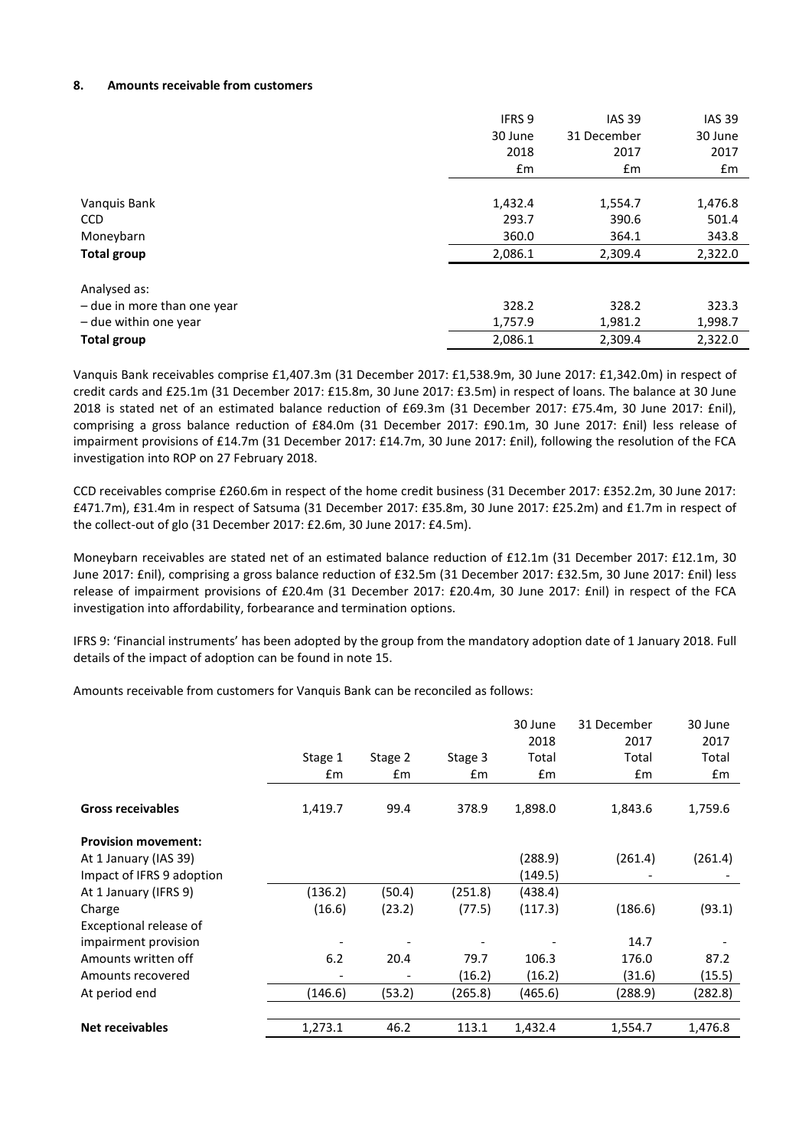#### **8. Amounts receivable from customers**

|                             | <b>IFRS 9</b> | <b>IAS 39</b> | <b>IAS 39</b> |
|-----------------------------|---------------|---------------|---------------|
|                             | 30 June       | 31 December   | 30 June       |
|                             | 2018          | 2017          | 2017          |
|                             | £m            | £m            | £m            |
|                             |               |               |               |
| Vanquis Bank                | 1,432.4       | 1,554.7       | 1,476.8       |
| <b>CCD</b>                  | 293.7         | 390.6         | 501.4         |
| Moneybarn                   | 360.0         | 364.1         | 343.8         |
| <b>Total group</b>          | 2,086.1       | 2,309.4       | 2,322.0       |
| Analysed as:                |               |               |               |
| - due in more than one year | 328.2         | 328.2         | 323.3         |
| - due within one year       | 1,757.9       | 1,981.2       | 1,998.7       |
| <b>Total group</b>          | 2,086.1       | 2,309.4       | 2,322.0       |

Vanquis Bank receivables comprise £1,407.3m (31 December 2017: £1,538.9m, 30 June 2017: £1,342.0m) in respect of credit cards and £25.1m (31 December 2017: £15.8m, 30 June 2017: £3.5m) in respect of loans. The balance at 30 June 2018 is stated net of an estimated balance reduction of £69.3m (31 December 2017: £75.4m, 30 June 2017: £nil), comprising a gross balance reduction of £84.0m (31 December 2017: £90.1m, 30 June 2017: £nil) less release of impairment provisions of £14.7m (31 December 2017: £14.7m, 30 June 2017: £nil), following the resolution of the FCA investigation into ROP on 27 February 2018.

CCD receivables comprise £260.6m in respect of the home credit business (31 December 2017: £352.2m, 30 June 2017: £471.7m), £31.4m in respect of Satsuma (31 December 2017: £35.8m, 30 June 2017: £25.2m) and £1.7m in respect of the collect-out of glo (31 December 2017: £2.6m, 30 June 2017: £4.5m).

Moneybarn receivables are stated net of an estimated balance reduction of £12.1m (31 December 2017: £12.1m, 30 June 2017: £nil), comprising a gross balance reduction of £32.5m (31 December 2017: £32.5m, 30 June 2017: £nil) less release of impairment provisions of £20.4m (31 December 2017: £20.4m, 30 June 2017: £nil) in respect of the FCA investigation into affordability, forbearance and termination options.

IFRS 9: 'Financial instruments' has been adopted by the group from the mandatory adoption date of 1 January 2018. Full details of the impact of adoption can be found in note 15.

Amounts receivable from customers for Vanquis Bank can be reconciled as follows:

|                            | Stage 1<br>£m | Stage 2<br>£m | Stage 3<br>£m | 30 June<br>2018<br>Total<br>£m | 31 December<br>2017<br>Total<br>£m | 30 June<br>2017<br>Total<br>£m |
|----------------------------|---------------|---------------|---------------|--------------------------------|------------------------------------|--------------------------------|
| <b>Gross receivables</b>   | 1,419.7       | 99.4          | 378.9         | 1,898.0                        | 1,843.6                            | 1,759.6                        |
| <b>Provision movement:</b> |               |               |               |                                |                                    |                                |
| At 1 January (IAS 39)      |               |               |               | (288.9)                        | (261.4)                            | (261.4)                        |
| Impact of IFRS 9 adoption  |               |               |               | (149.5)                        |                                    |                                |
| At 1 January (IFRS 9)      | (136.2)       | (50.4)        | (251.8)       | (438.4)                        |                                    |                                |
| Charge                     | (16.6)        | (23.2)        | (77.5)        | (117.3)                        | (186.6)                            | (93.1)                         |
| Exceptional release of     |               |               |               |                                |                                    |                                |
| impairment provision       |               |               |               |                                | 14.7                               |                                |
| Amounts written off        | 6.2           | 20.4          | 79.7          | 106.3                          | 176.0                              | 87.2                           |
| Amounts recovered          |               | ٠             | (16.2)        | (16.2)                         | (31.6)                             | (15.5)                         |
| At period end              | (146.6)       | (53.2)        | (265.8)       | (465.6)                        | (288.9)                            | (282.8)                        |
| <b>Net receivables</b>     | 1,273.1       | 46.2          | 113.1         | 1,432.4                        | 1,554.7                            | 1,476.8                        |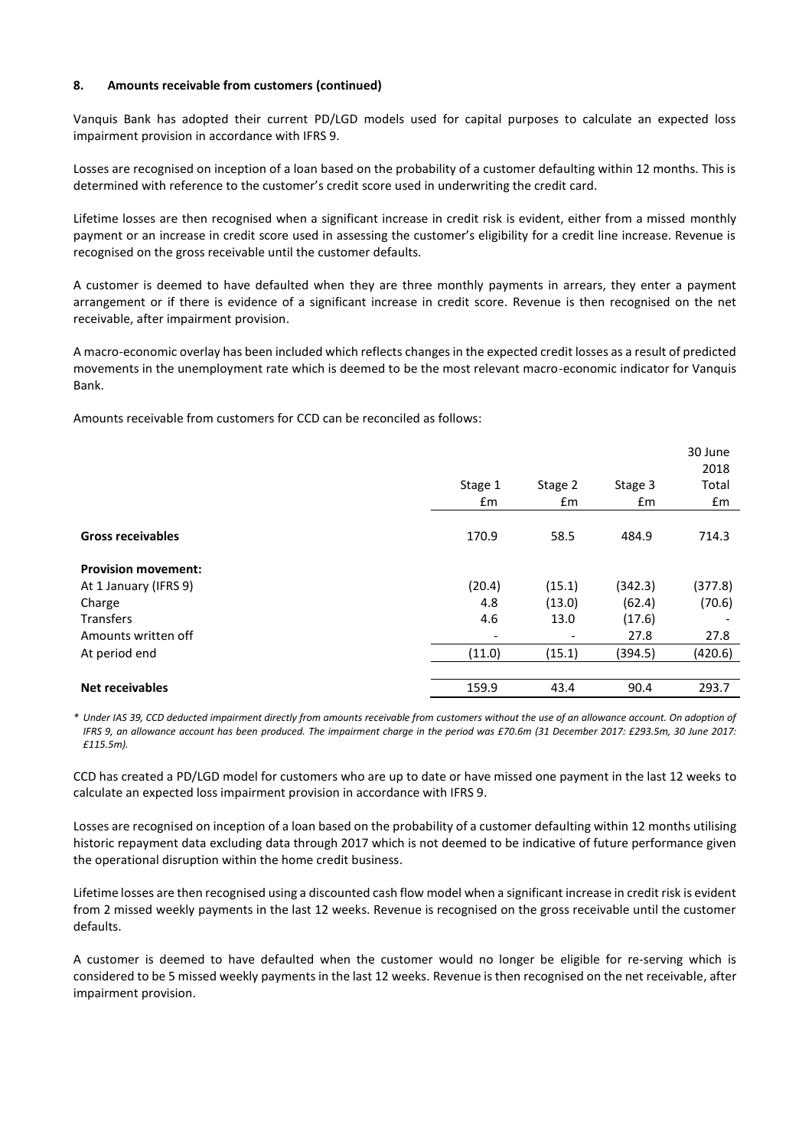#### **8. Amounts receivable from customers (continued)**

Vanquis Bank has adopted their current PD/LGD models used for capital purposes to calculate an expected loss impairment provision in accordance with IFRS 9.

Losses are recognised on inception of a loan based on the probability of a customer defaulting within 12 months. This is determined with reference to the customer's credit score used in underwriting the credit card.

Lifetime losses are then recognised when a significant increase in credit risk is evident, either from a missed monthly payment or an increase in credit score used in assessing the customer's eligibility for a credit line increase. Revenue is recognised on the gross receivable until the customer defaults.

A customer is deemed to have defaulted when they are three monthly payments in arrears, they enter a payment arrangement or if there is evidence of a significant increase in credit score. Revenue is then recognised on the net receivable, after impairment provision.

A macro-economic overlay has been included which reflects changes in the expected credit losses as a result of predicted movements in the unemployment rate which is deemed to be the most relevant macro-economic indicator for Vanquis Bank.

Amounts receivable from customers for CCD can be reconciled as follows:

|                            |                          |         |         | 30 June<br>2018 |
|----------------------------|--------------------------|---------|---------|-----------------|
|                            | Stage 1                  | Stage 2 | Stage 3 | Total           |
|                            | £m                       | £m      | £m      | £m              |
| <b>Gross receivables</b>   | 170.9                    | 58.5    | 484.9   | 714.3           |
| <b>Provision movement:</b> |                          |         |         |                 |
| At 1 January (IFRS 9)      | (20.4)                   | (15.1)  | (342.3) | (377.8)         |
| Charge                     | 4.8                      | (13.0)  | (62.4)  | (70.6)          |
| <b>Transfers</b>           | 4.6                      | 13.0    | (17.6)  |                 |
| Amounts written off        | $\overline{\phantom{a}}$ | -       | 27.8    | 27.8            |
| At period end              | (11.0)                   | (15.1)  | (394.5) | (420.6)         |
|                            |                          |         |         |                 |
| <b>Net receivables</b>     | 159.9                    | 43.4    | 90.4    | 293.7           |

*\* Under IAS 39, CCD deducted impairment directly from amounts receivable from customers without the use of an allowance account. On adoption of IFRS 9, an allowance account has been produced. The impairment charge in the period was £70.6m (31 December 2017: £293.5m, 30 June 2017: £115.5m).*

CCD has created a PD/LGD model for customers who are up to date or have missed one payment in the last 12 weeks to calculate an expected loss impairment provision in accordance with IFRS 9.

Losses are recognised on inception of a loan based on the probability of a customer defaulting within 12 months utilising historic repayment data excluding data through 2017 which is not deemed to be indicative of future performance given the operational disruption within the home credit business.

Lifetime losses are then recognised using a discounted cash flow model when a significant increase in credit risk is evident from 2 missed weekly payments in the last 12 weeks. Revenue is recognised on the gross receivable until the customer defaults.

A customer is deemed to have defaulted when the customer would no longer be eligible for re-serving which is considered to be 5 missed weekly payments in the last 12 weeks. Revenue is then recognised on the net receivable, after impairment provision.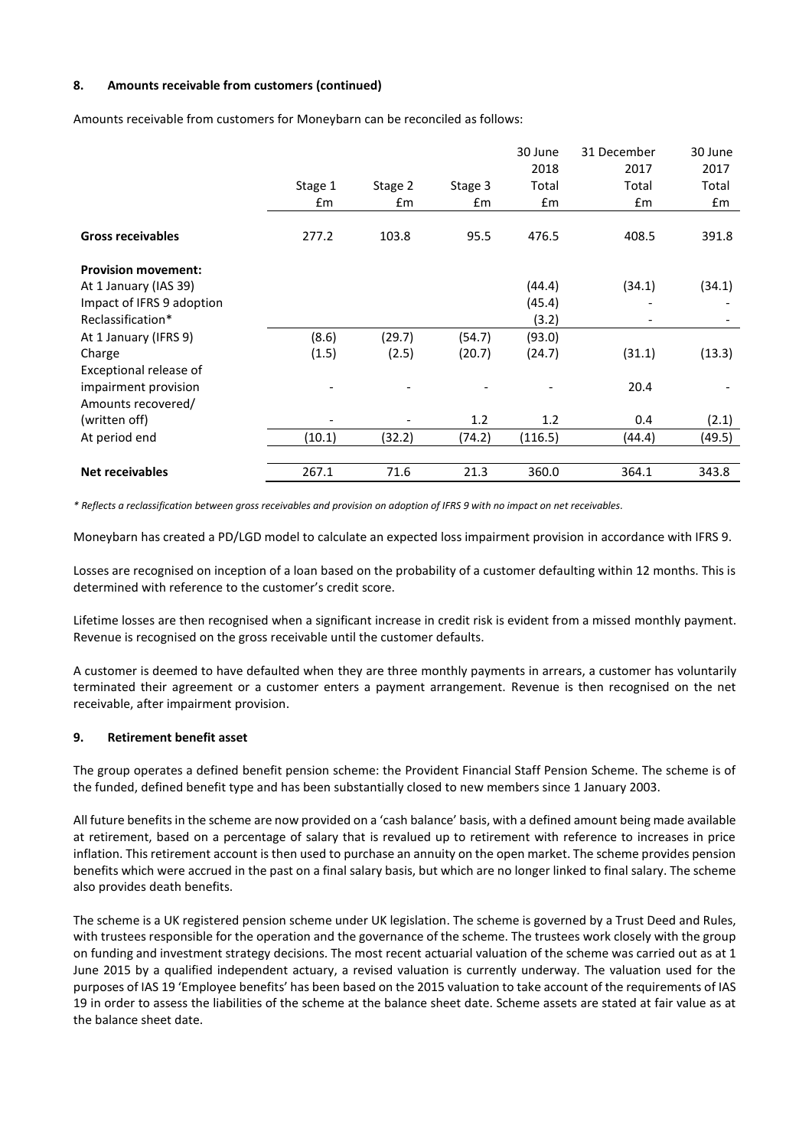#### **8. Amounts receivable from customers (continued)**

Amounts receivable from customers for Moneybarn can be reconciled as follows:

|                            |                          |               |         | 30 June | 31 December | 30 June |
|----------------------------|--------------------------|---------------|---------|---------|-------------|---------|
|                            |                          |               |         | 2018    | 2017        | 2017    |
|                            | Stage 1                  | Stage 2       | Stage 3 | Total   | Total       | Total   |
|                            | £m                       | $\mathsf{fm}$ | £m      | £m      | £m          | £m      |
|                            |                          |               |         |         |             |         |
| <b>Gross receivables</b>   | 277.2                    | 103.8         | 95.5    | 476.5   | 408.5       | 391.8   |
| <b>Provision movement:</b> |                          |               |         |         |             |         |
| At 1 January (IAS 39)      |                          |               |         | (44.4)  | (34.1)      | (34.1)  |
| Impact of IFRS 9 adoption  |                          |               |         | (45.4)  |             |         |
| Reclassification*          |                          |               |         | (3.2)   |             |         |
| At 1 January (IFRS 9)      | (8.6)                    | (29.7)        | (54.7)  | (93.0)  |             |         |
| Charge                     | (1.5)                    | (2.5)         | (20.7)  | (24.7)  | (31.1)      | (13.3)  |
| Exceptional release of     |                          |               |         |         |             |         |
| impairment provision       |                          |               |         |         | 20.4        |         |
| Amounts recovered/         |                          |               |         |         |             |         |
| (written off)              | $\overline{\phantom{a}}$ |               | 1.2     | 1.2     | 0.4         | (2.1)   |
| At period end              | (10.1)                   | (32.2)        | (74.2)  | (116.5) | (44.4)      | (49.5)  |
|                            |                          |               |         |         |             |         |
| <b>Net receivables</b>     | 267.1                    | 71.6          | 21.3    | 360.0   | 364.1       | 343.8   |

*\* Reflects a reclassification between gross receivables and provision on adoption of IFRS 9 with no impact on net receivables.*

Moneybarn has created a PD/LGD model to calculate an expected loss impairment provision in accordance with IFRS 9.

Losses are recognised on inception of a loan based on the probability of a customer defaulting within 12 months. This is determined with reference to the customer's credit score.

Lifetime losses are then recognised when a significant increase in credit risk is evident from a missed monthly payment. Revenue is recognised on the gross receivable until the customer defaults.

A customer is deemed to have defaulted when they are three monthly payments in arrears, a customer has voluntarily terminated their agreement or a customer enters a payment arrangement. Revenue is then recognised on the net receivable, after impairment provision.

#### **9. Retirement benefit asset**

The group operates a defined benefit pension scheme: the Provident Financial Staff Pension Scheme. The scheme is of the funded, defined benefit type and has been substantially closed to new members since 1 January 2003.

All future benefits in the scheme are now provided on a 'cash balance' basis, with a defined amount being made available at retirement, based on a percentage of salary that is revalued up to retirement with reference to increases in price inflation. This retirement account is then used to purchase an annuity on the open market. The scheme provides pension benefits which were accrued in the past on a final salary basis, but which are no longer linked to final salary. The scheme also provides death benefits.

The scheme is a UK registered pension scheme under UK legislation. The scheme is governed by a Trust Deed and Rules, with trustees responsible for the operation and the governance of the scheme. The trustees work closely with the group on funding and investment strategy decisions. The most recent actuarial valuation of the scheme was carried out as at 1 June 2015 by a qualified independent actuary, a revised valuation is currently underway. The valuation used for the purposes of IAS 19 'Employee benefits' has been based on the 2015 valuation to take account of the requirements of IAS 19 in order to assess the liabilities of the scheme at the balance sheet date. Scheme assets are stated at fair value as at the balance sheet date.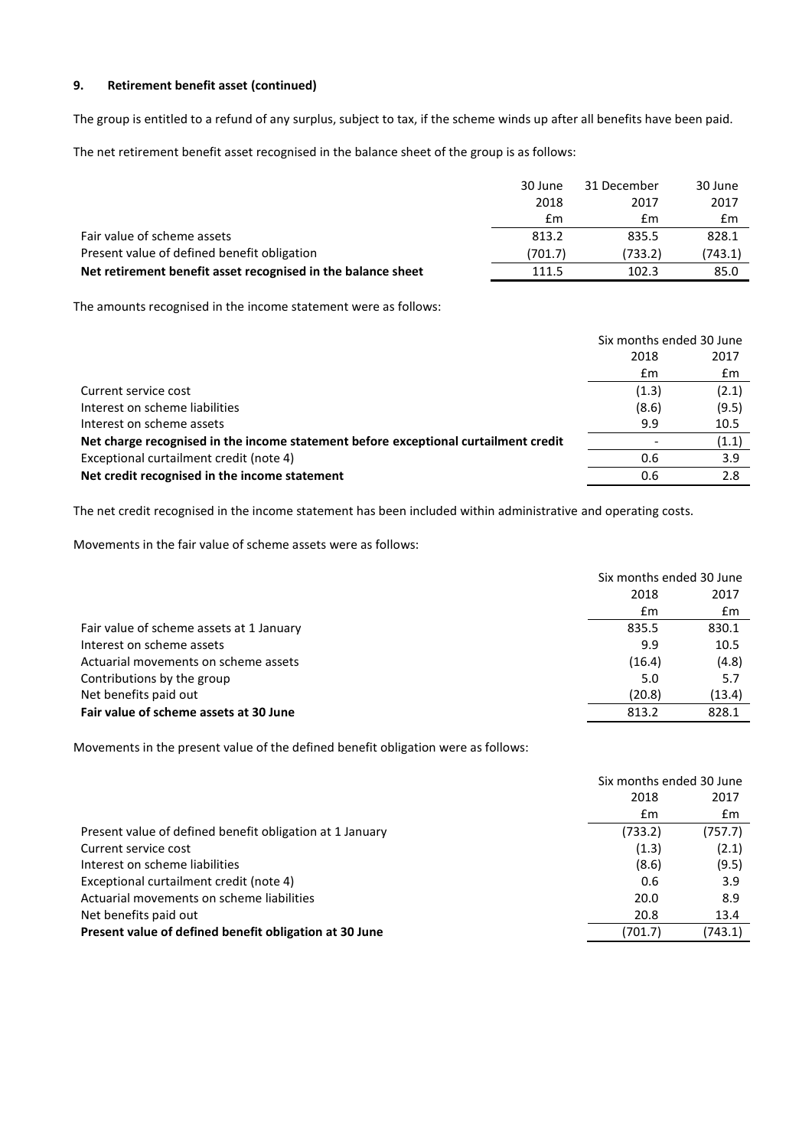# **9. Retirement benefit asset (continued)**

The group is entitled to a refund of any surplus, subject to tax, if the scheme winds up after all benefits have been paid.

The net retirement benefit asset recognised in the balance sheet of the group is as follows:

|                                                              | 30 June | 31 December | 30 June |
|--------------------------------------------------------------|---------|-------------|---------|
|                                                              | 2018    | 2017        | 2017    |
|                                                              | £m      | £m          | £m      |
| Fair value of scheme assets                                  | 813.2   | 835.5       | 828.1   |
| Present value of defined benefit obligation                  | (701.7) | (733.2)     | (743.1) |
| Net retirement benefit asset recognised in the balance sheet | 111.5   | 102.3       | 85.0    |

The amounts recognised in the income statement were as follows:

|                                                                                     | Six months ended 30 June |       |
|-------------------------------------------------------------------------------------|--------------------------|-------|
|                                                                                     | 2018                     | 2017  |
|                                                                                     | £m                       | £m    |
| Current service cost                                                                | (1.3)                    | (2.1) |
| Interest on scheme liabilities                                                      | (8.6)                    | (9.5) |
| Interest on scheme assets                                                           | 9.9                      | 10.5  |
| Net charge recognised in the income statement before exceptional curtailment credit |                          | (1.1) |
| Exceptional curtailment credit (note 4)                                             | 0.6                      | 3.9   |
| Net credit recognised in the income statement                                       | 0.6                      | 2.8   |
|                                                                                     |                          |       |

The net credit recognised in the income statement has been included within administrative and operating costs.

Movements in the fair value of scheme assets were as follows:

|                                          | Six months ended 30 June |        |
|------------------------------------------|--------------------------|--------|
|                                          | 2018                     | 2017   |
|                                          | £m                       | £m     |
| Fair value of scheme assets at 1 January | 835.5                    | 830.1  |
| Interest on scheme assets                | 9.9                      | 10.5   |
| Actuarial movements on scheme assets     | (16.4)                   | (4.8)  |
| Contributions by the group               | 5.0                      | 5.7    |
| Net benefits paid out                    | (20.8)                   | (13.4) |
| Fair value of scheme assets at 30 June   | 813.2                    | 828.1  |

Movements in the present value of the defined benefit obligation were as follows:

|                                                          | Six months ended 30 June |         |
|----------------------------------------------------------|--------------------------|---------|
|                                                          | 2018                     | 2017    |
|                                                          | £m                       | £m      |
| Present value of defined benefit obligation at 1 January | (733.2)                  | (757.7) |
| Current service cost                                     | (1.3)                    | (2.1)   |
| Interest on scheme liabilities                           | (8.6)                    | (9.5)   |
| Exceptional curtailment credit (note 4)                  | 0.6                      | 3.9     |
| Actuarial movements on scheme liabilities                | 20.0                     | 8.9     |
| Net benefits paid out                                    | 20.8                     | 13.4    |
| Present value of defined benefit obligation at 30 June   | (701.7)                  | (743.1) |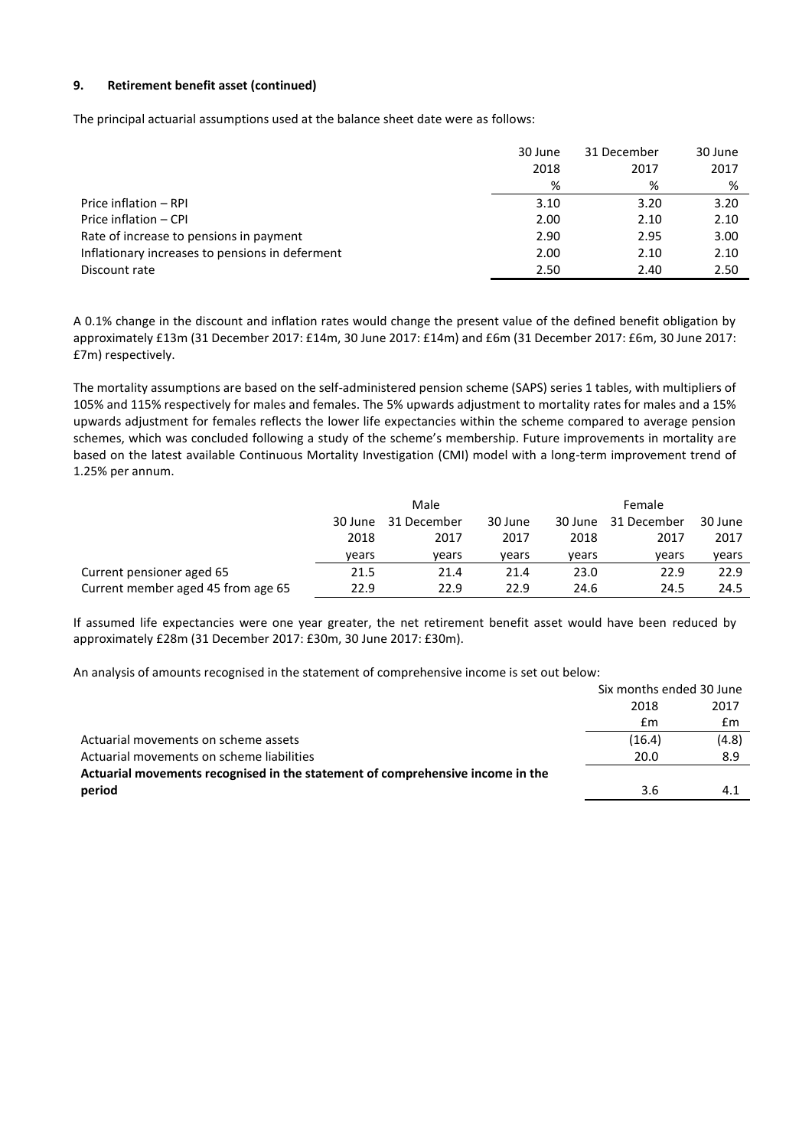## **9. Retirement benefit asset (continued)**

The principal actuarial assumptions used at the balance sheet date were as follows:

|                                                 | 30 June | 31 December | 30 June |
|-------------------------------------------------|---------|-------------|---------|
|                                                 | 2018    | 2017        | 2017    |
|                                                 | %       | %           | %       |
| Price inflation – RPI                           | 3.10    | 3.20        | 3.20    |
| Price inflation - CPI                           | 2.00    | 2.10        | 2.10    |
| Rate of increase to pensions in payment         | 2.90    | 2.95        | 3.00    |
| Inflationary increases to pensions in deferment | 2.00    | 2.10        | 2.10    |
| Discount rate                                   | 2.50    | 2.40        | 2.50    |

A 0.1% change in the discount and inflation rates would change the present value of the defined benefit obligation by approximately £13m (31 December 2017: £14m, 30 June 2017: £14m) and £6m (31 December 2017: £6m, 30 June 2017: £7m) respectively.

The mortality assumptions are based on the self-administered pension scheme (SAPS) series 1 tables, with multipliers of 105% and 115% respectively for males and females. The 5% upwards adjustment to mortality rates for males and a 15% upwards adjustment for females reflects the lower life expectancies within the scheme compared to average pension schemes, which was concluded following a study of the scheme's membership. Future improvements in mortality are based on the latest available Continuous Mortality Investigation (CMI) model with a long-term improvement trend of 1.25% per annum.

|                                    | Male                              |       |       |         | Female      |         |
|------------------------------------|-----------------------------------|-------|-------|---------|-------------|---------|
|                                    | 31 December<br>30 June<br>30 June |       |       | 30 June | 31 December | 30 June |
|                                    | 2018                              | 2017  | 2017  | 2018    | 2017        | 2017    |
|                                    | vears                             | vears | vears | vears   | vears       | vears   |
| Current pensioner aged 65          | 21.5                              | 21.4  | 21.4  | 23.0    | 22.9        | 22.9    |
| Current member aged 45 from age 65 | 22.9                              | 22.9  | 22.9  | 24.6    | 24.5        | 24.5    |

If assumed life expectancies were one year greater, the net retirement benefit asset would have been reduced by approximately £28m (31 December 2017: £30m, 30 June 2017: £30m).

An analysis of amounts recognised in the statement of comprehensive income is set out below:

|                                                                                | Six months ended 30 June |       |
|--------------------------------------------------------------------------------|--------------------------|-------|
|                                                                                | 2018                     | 2017  |
|                                                                                | £m                       | £m    |
| Actuarial movements on scheme assets                                           | (16.4)                   | (4.8) |
| Actuarial movements on scheme liabilities                                      | 20.0                     | 8.9   |
| Actuarial movements recognised in the statement of comprehensive income in the |                          |       |
| period                                                                         | 3.6                      | 4.1   |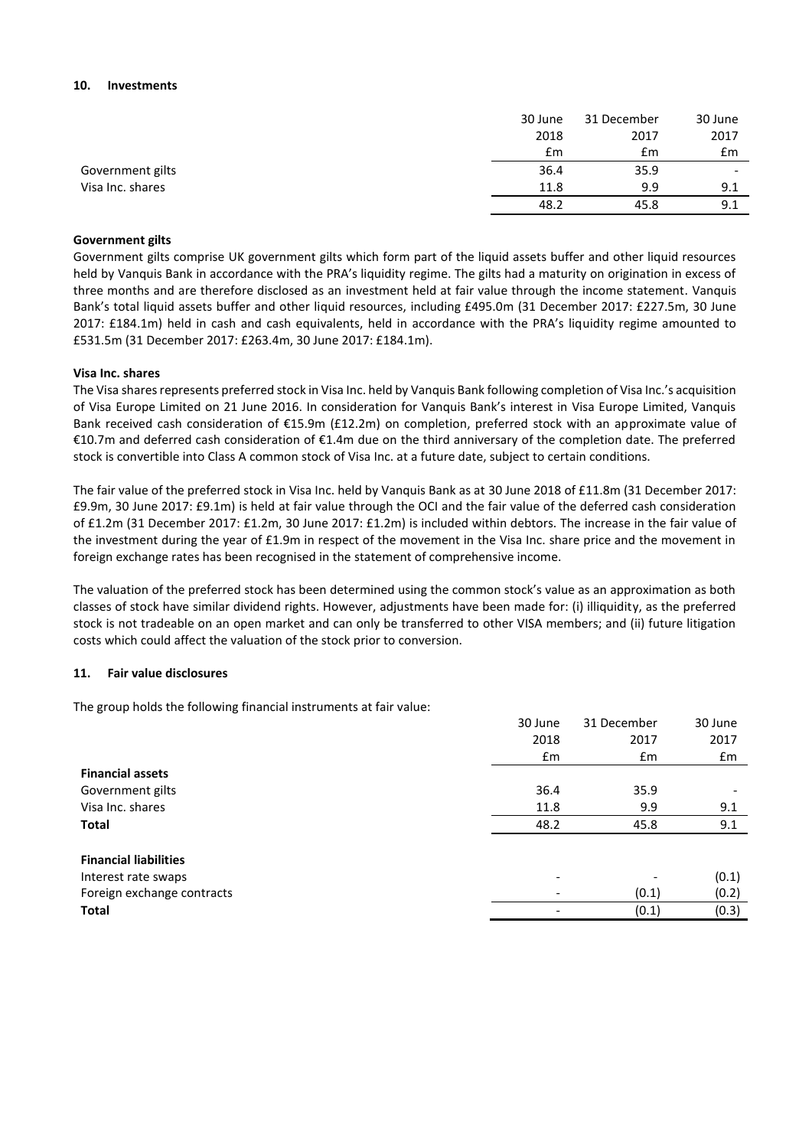#### **10. Investments**

|                  | 30 June | 31 December | 30 June                  |
|------------------|---------|-------------|--------------------------|
|                  | 2018    | 2017        | 2017                     |
|                  | £m      | £m          | £m                       |
| Government gilts | 36.4    | 35.9        | $\overline{\phantom{a}}$ |
| Visa Inc. shares | 11.8    | 9.9         | 9.1                      |
|                  | 48.2    | 45.8        | 9.1                      |

#### **Government gilts**

Government gilts comprise UK government gilts which form part of the liquid assets buffer and other liquid resources held by Vanquis Bank in accordance with the PRA's liquidity regime. The gilts had a maturity on origination in excess of three months and are therefore disclosed as an investment held at fair value through the income statement. Vanquis Bank's total liquid assets buffer and other liquid resources, including £495.0m (31 December 2017: £227.5m, 30 June 2017: £184.1m) held in cash and cash equivalents, held in accordance with the PRA's liquidity regime amounted to £531.5m (31 December 2017: £263.4m, 30 June 2017: £184.1m).

#### **Visa Inc. shares**

The Visa shares represents preferred stock in Visa Inc. held by Vanquis Bank following completion of Visa Inc.'s acquisition of Visa Europe Limited on 21 June 2016. In consideration for Vanquis Bank's interest in Visa Europe Limited, Vanquis Bank received cash consideration of €15.9m (£12.2m) on completion, preferred stock with an approximate value of €10.7m and deferred cash consideration of €1.4m due on the third anniversary of the completion date. The preferred stock is convertible into Class A common stock of Visa Inc. at a future date, subject to certain conditions.

The fair value of the preferred stock in Visa Inc. held by Vanquis Bank as at 30 June 2018 of £11.8m (31 December 2017: £9.9m, 30 June 2017: £9.1m) is held at fair value through the OCI and the fair value of the deferred cash consideration of £1.2m (31 December 2017: £1.2m, 30 June 2017: £1.2m) is included within debtors. The increase in the fair value of the investment during the year of £1.9m in respect of the movement in the Visa Inc. share price and the movement in foreign exchange rates has been recognised in the statement of comprehensive income.

The valuation of the preferred stock has been determined using the common stock's value as an approximation as both classes of stock have similar dividend rights. However, adjustments have been made for: (i) illiquidity, as the preferred stock is not tradeable on an open market and can only be transferred to other VISA members; and (ii) future litigation costs which could affect the valuation of the stock prior to conversion.

#### **11. Fair value disclosures**

The group holds the following financial instruments at fair value:

|                              | 30 June                  | 31 December | 30 June |
|------------------------------|--------------------------|-------------|---------|
|                              | 2018                     | 2017        | 2017    |
|                              | £m                       | £m          | £m      |
| <b>Financial assets</b>      |                          |             |         |
| Government gilts             | 36.4                     | 35.9        |         |
| Visa Inc. shares             | 11.8                     | 9.9         | 9.1     |
| <b>Total</b>                 | 48.2                     | 45.8        | 9.1     |
| <b>Financial liabilities</b> |                          |             |         |
| Interest rate swaps          | $\overline{\phantom{0}}$ |             | (0.1)   |
| Foreign exchange contracts   |                          | (0.1)       | (0.2)   |
| Total                        |                          | (0.1)       | (0.3)   |
|                              |                          |             |         |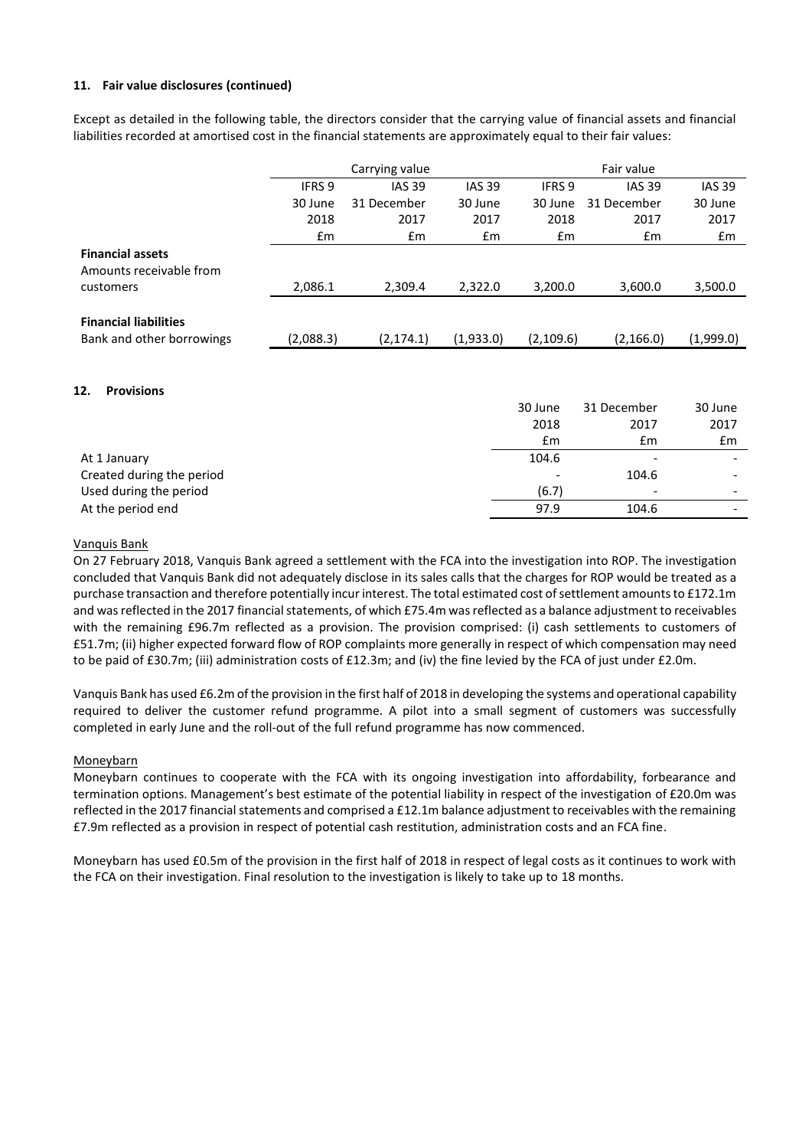## **11. Fair value disclosures (continued)**

Except as detailed in the following table, the directors consider that the carrying value of financial assets and financial liabilities recorded at amortised cost in the financial statements are approximately equal to their fair values:

|                                                    | Carrying value |               |               |           | Fair value    |               |
|----------------------------------------------------|----------------|---------------|---------------|-----------|---------------|---------------|
|                                                    | <b>IFRS 9</b>  | <b>IAS 39</b> | <b>IAS 39</b> | IFRS 9    | <b>IAS 39</b> | <b>IAS 39</b> |
|                                                    | 30 June        | 31 December   | 30 June       | 30 June   | 31 December   | 30 June       |
|                                                    | 2018           | 2017          | 2017          | 2018      | 2017          | 2017          |
|                                                    | £m             | Em            | $\mathsf{fm}$ | £m        | £m            | £m            |
| <b>Financial assets</b><br>Amounts receivable from |                |               |               |           |               |               |
| customers                                          | 2,086.1        | 2,309.4       | 2.322.0       | 3,200.0   | 3,600.0       | 3,500.0       |
| <b>Financial liabilities</b>                       |                |               |               |           |               |               |
| Bank and other borrowings                          | (2,088.3)      | (2, 174.1)    | (1,933.0)     | (2,109.6) | (2, 166.0)    | (1,999.0)     |
|                                                    |                |               |               |           |               |               |

#### **12. Provisions**

|                           | 30 June | 31 December              | 30 June                  |
|---------------------------|---------|--------------------------|--------------------------|
|                           | 2018    | 2017                     | 2017                     |
|                           | £m      | £m                       | Em                       |
| At 1 January              | 104.6   | $\overline{\phantom{a}}$ |                          |
| Created during the period |         | 104.6                    | $\overline{\phantom{0}}$ |
| Used during the period    | (6.7)   | $\overline{\phantom{a}}$ | $\overline{\phantom{0}}$ |
| At the period end         | 97.9    | 104.6                    | $\overline{\phantom{0}}$ |
|                           |         |                          |                          |

#### Vanquis Bank

On 27 February 2018, Vanquis Bank agreed a settlement with the FCA into the investigation into ROP. The investigation concluded that Vanquis Bank did not adequately disclose in its sales calls that the charges for ROP would be treated as a purchase transaction and therefore potentially incur interest. The total estimated cost of settlement amounts to £172.1m and was reflected in the 2017 financial statements, of which £75.4m was reflected as a balance adjustment to receivables with the remaining £96.7m reflected as a provision. The provision comprised: (i) cash settlements to customers of £51.7m; (ii) higher expected forward flow of ROP complaints more generally in respect of which compensation may need to be paid of £30.7m; (iii) administration costs of £12.3m; and (iv) the fine levied by the FCA of just under £2.0m.

Vanquis Bank has used £6.2m of the provision in the first half of 2018 in developing the systems and operational capability required to deliver the customer refund programme. A pilot into a small segment of customers was successfully completed in early June and the roll-out of the full refund programme has now commenced.

#### Moneybarn

Moneybarn continues to cooperate with the FCA with its ongoing investigation into affordability, forbearance and termination options. Management's best estimate of the potential liability in respect of the investigation of £20.0m was reflected in the 2017 financial statements and comprised a £12.1m balance adjustment to receivables with the remaining £7.9m reflected as a provision in respect of potential cash restitution, administration costs and an FCA fine.

Moneybarn has used £0.5m of the provision in the first half of 2018 in respect of legal costs as it continues to work with the FCA on their investigation. Final resolution to the investigation is likely to take up to 18 months.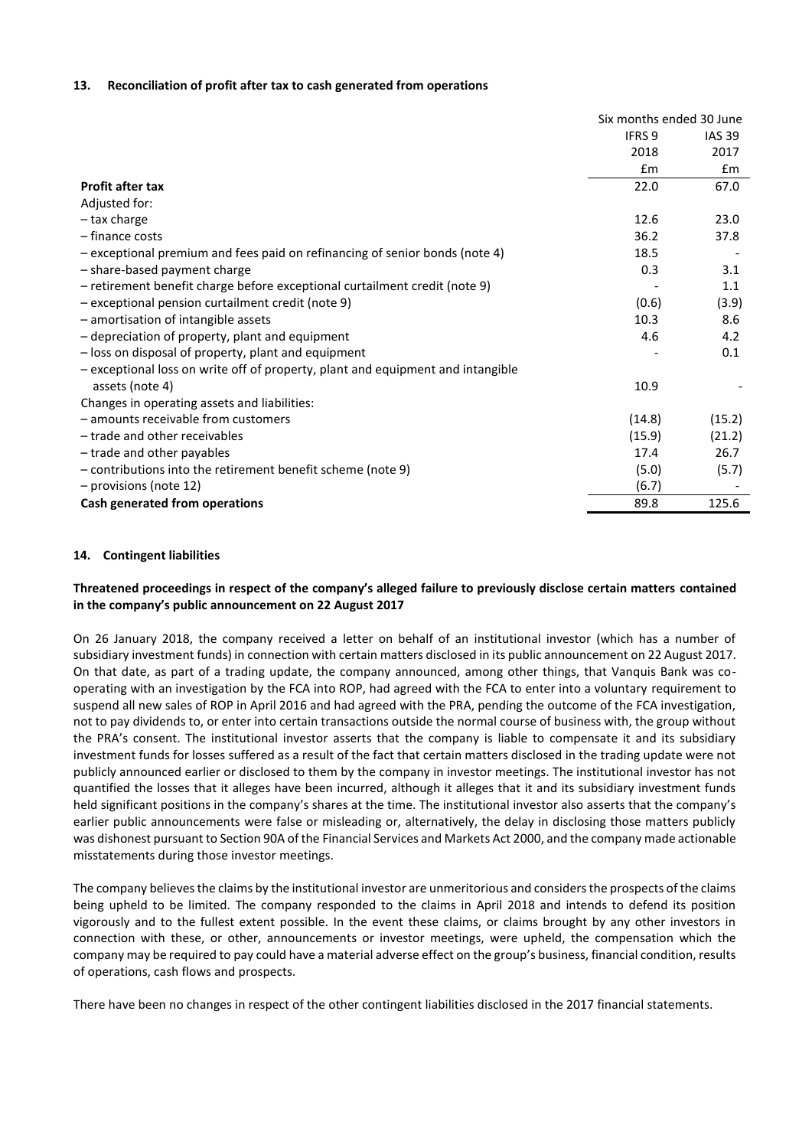#### **13. Reconciliation of profit after tax to cash generated from operations**

|                                                                                 | Six months ended 30 June |               |
|---------------------------------------------------------------------------------|--------------------------|---------------|
|                                                                                 | IFRS <sub>9</sub>        | <b>IAS 39</b> |
|                                                                                 | 2018                     | 2017          |
|                                                                                 | $\mathsf{fm}$            | Em            |
| <b>Profit after tax</b>                                                         | 22.0                     | 67.0          |
| Adjusted for:                                                                   |                          |               |
| - tax charge                                                                    | 12.6                     | 23.0          |
| - finance costs                                                                 | 36.2                     | 37.8          |
| - exceptional premium and fees paid on refinancing of senior bonds (note 4)     | 18.5                     |               |
| - share-based payment charge                                                    | 0.3                      | 3.1           |
| - retirement benefit charge before exceptional curtailment credit (note 9)      |                          | 1.1           |
| - exceptional pension curtailment credit (note 9)                               | (0.6)                    | (3.9)         |
| - amortisation of intangible assets                                             | 10.3                     | 8.6           |
| - depreciation of property, plant and equipment                                 | 4.6                      | 4.2           |
| - loss on disposal of property, plant and equipment                             |                          | 0.1           |
| - exceptional loss on write off of property, plant and equipment and intangible |                          |               |
| assets (note 4)                                                                 | 10.9                     |               |
| Changes in operating assets and liabilities:                                    |                          |               |
| - amounts receivable from customers                                             | (14.8)                   | (15.2)        |
| - trade and other receivables                                                   | (15.9)                   | (21.2)        |
| - trade and other payables                                                      | 17.4                     | 26.7          |
| - contributions into the retirement benefit scheme (note 9)                     | (5.0)                    | (5.7)         |
| - provisions (note 12)                                                          | (6.7)                    |               |
| Cash generated from operations                                                  | 89.8                     | 125.6         |

#### **14. Contingent liabilities**

## **Threatened proceedings in respect of the company's alleged failure to previously disclose certain matters contained in the company's public announcement on 22 August 2017**

On 26 January 2018, the company received a letter on behalf of an institutional investor (which has a number of subsidiary investment funds) in connection with certain matters disclosed in its public announcement on 22 August 2017. On that date, as part of a trading update, the company announced, among other things, that Vanquis Bank was cooperating with an investigation by the FCA into ROP, had agreed with the FCA to enter into a voluntary requirement to suspend all new sales of ROP in April 2016 and had agreed with the PRA, pending the outcome of the FCA investigation, not to pay dividends to, or enter into certain transactions outside the normal course of business with, the group without the PRA's consent. The institutional investor asserts that the company is liable to compensate it and its subsidiary investment funds for losses suffered as a result of the fact that certain matters disclosed in the trading update were not publicly announced earlier or disclosed to them by the company in investor meetings. The institutional investor has not quantified the losses that it alleges have been incurred, although it alleges that it and its subsidiary investment funds held significant positions in the company's shares at the time. The institutional investor also asserts that the company's earlier public announcements were false or misleading or, alternatively, the delay in disclosing those matters publicly was dishonest pursuant to Section 90A of the Financial Services and Markets Act 2000, and the company made actionable misstatements during those investor meetings.

The company believes the claims by the institutional investor are unmeritorious and considers the prospects of the claims being upheld to be limited. The company responded to the claims in April 2018 and intends to defend its position vigorously and to the fullest extent possible. In the event these claims, or claims brought by any other investors in connection with these, or other, announcements or investor meetings, were upheld, the compensation which the company may be required to pay could have a material adverse effect on the group's business, financial condition, results of operations, cash flows and prospects.

There have been no changes in respect of the other contingent liabilities disclosed in the 2017 financial statements.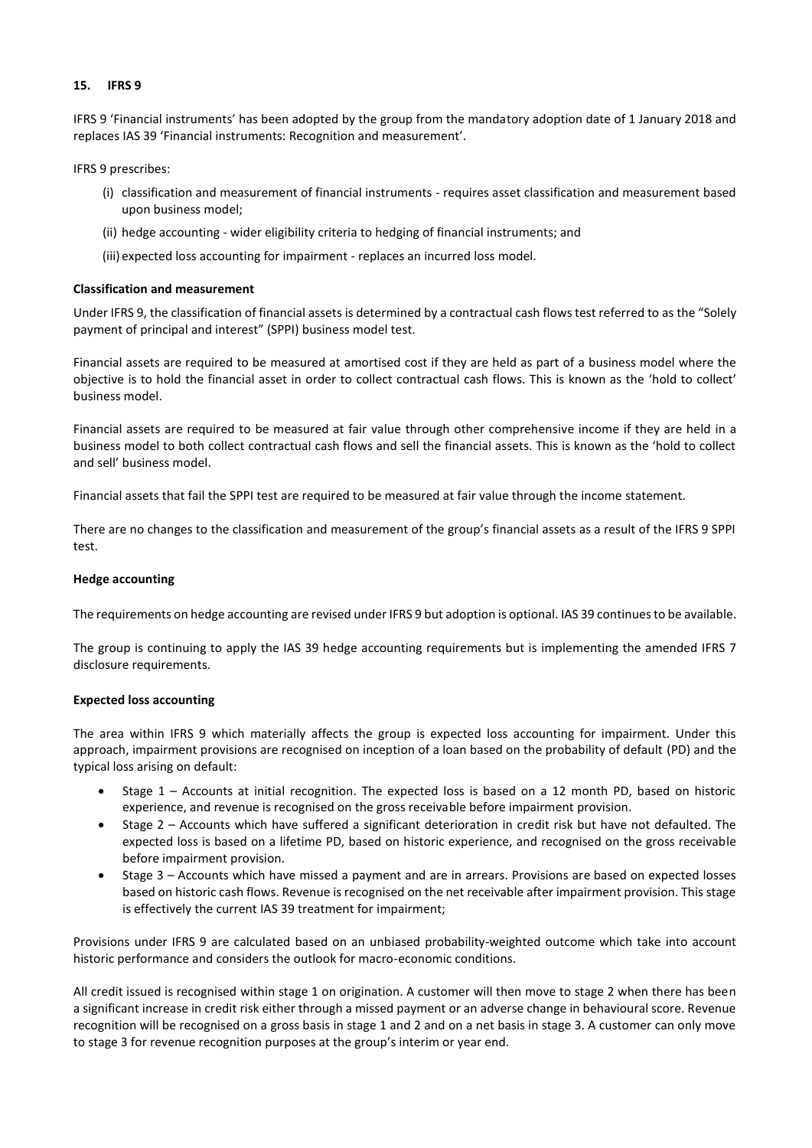## **15. IFRS 9**

IFRS 9 'Financial instruments' has been adopted by the group from the mandatory adoption date of 1 January 2018 and replaces IAS 39 'Financial instruments: Recognition and measurement'.

IFRS 9 prescribes:

- (i) classification and measurement of financial instruments requires asset classification and measurement based upon business model;
- (ii) hedge accounting wider eligibility criteria to hedging of financial instruments; and
- (iii) expected loss accounting for impairment replaces an incurred loss model.

#### **Classification and measurement**

Under IFRS 9, the classification of financial assets is determined by a contractual cash flows test referred to as the "Solely payment of principal and interest" (SPPI) business model test.

Financial assets are required to be measured at amortised cost if they are held as part of a business model where the objective is to hold the financial asset in order to collect contractual cash flows. This is known as the 'hold to collect' business model.

Financial assets are required to be measured at fair value through other comprehensive income if they are held in a business model to both collect contractual cash flows and sell the financial assets. This is known as the 'hold to collect and sell' business model.

Financial assets that fail the SPPI test are required to be measured at fair value through the income statement.

There are no changes to the classification and measurement of the group's financial assets as a result of the IFRS 9 SPPI test.

#### **Hedge accounting**

The requirements on hedge accounting are revised under IFRS 9 but adoption is optional. IAS 39 continues to be available.

The group is continuing to apply the IAS 39 hedge accounting requirements but is implementing the amended IFRS 7 disclosure requirements.

#### **Expected loss accounting**

The area within IFRS 9 which materially affects the group is expected loss accounting for impairment. Under this approach, impairment provisions are recognised on inception of a loan based on the probability of default (PD) and the typical loss arising on default:

- Stage 1 Accounts at initial recognition. The expected loss is based on a 12 month PD, based on historic experience, and revenue is recognised on the gross receivable before impairment provision.
- Stage 2 Accounts which have suffered a significant deterioration in credit risk but have not defaulted. The expected loss is based on a lifetime PD, based on historic experience, and recognised on the gross receivable before impairment provision.
- Stage 3 Accounts which have missed a payment and are in arrears. Provisions are based on expected losses based on historic cash flows. Revenue is recognised on the net receivable after impairment provision. This stage is effectively the current IAS 39 treatment for impairment;

Provisions under IFRS 9 are calculated based on an unbiased probability-weighted outcome which take into account historic performance and considers the outlook for macro-economic conditions.

All credit issued is recognised within stage 1 on origination. A customer will then move to stage 2 when there has been a significant increase in credit risk either through a missed payment or an adverse change in behavioural score. Revenue recognition will be recognised on a gross basis in stage 1 and 2 and on a net basis in stage 3. A customer can only move to stage 3 for revenue recognition purposes at the group's interim or year end.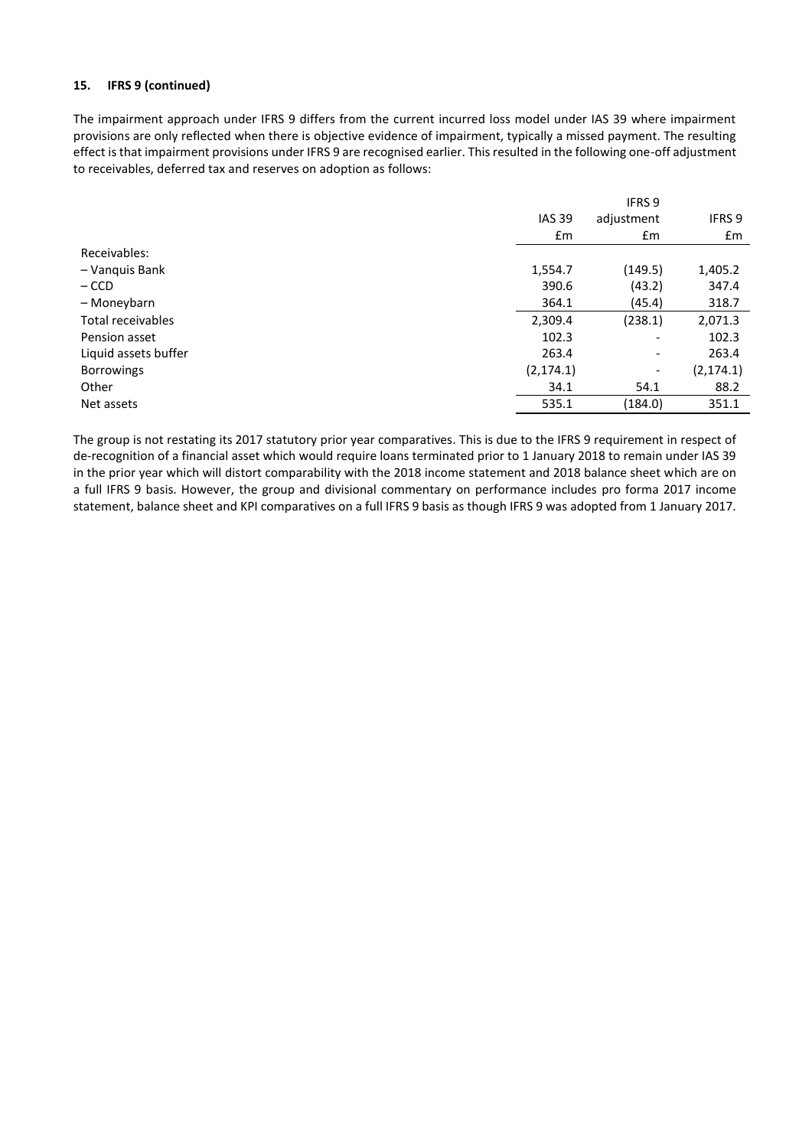#### **15. IFRS 9 (continued)**

The impairment approach under IFRS 9 differs from the current incurred loss model under IAS 39 where impairment provisions are only reflected when there is objective evidence of impairment, typically a missed payment. The resulting effect is that impairment provisions under IFRS 9 are recognised earlier. This resulted in the following one-off adjustment to receivables, deferred tax and reserves on adoption as follows:

|                      |               | <b>IFRS 9</b>            |            |
|----------------------|---------------|--------------------------|------------|
|                      | <b>IAS 39</b> | adjustment               | IFRS 9     |
|                      | £m            | £m                       | £m         |
| Receivables:         |               |                          |            |
| - Vanquis Bank       | 1,554.7       | (149.5)                  | 1,405.2    |
| $-$ CCD              | 390.6         | (43.2)                   | 347.4      |
| - Moneybarn          | 364.1         | (45.4)                   | 318.7      |
| Total receivables    | 2,309.4       | (238.1)                  | 2,071.3    |
| Pension asset        | 102.3         | $\overline{\phantom{0}}$ | 102.3      |
| Liquid assets buffer | 263.4         | $\overline{\phantom{a}}$ | 263.4      |
| <b>Borrowings</b>    | (2, 174.1)    | $\overline{\phantom{a}}$ | (2, 174.1) |
| Other                | 34.1          | 54.1                     | 88.2       |
| Net assets           | 535.1         | (184.0)                  | 351.1      |

The group is not restating its 2017 statutory prior year comparatives. This is due to the IFRS 9 requirement in respect of de-recognition of a financial asset which would require loans terminated prior to 1 January 2018 to remain under IAS 39 in the prior year which will distort comparability with the 2018 income statement and 2018 balance sheet which are on a full IFRS 9 basis. However, the group and divisional commentary on performance includes pro forma 2017 income statement, balance sheet and KPI comparatives on a full IFRS 9 basis as though IFRS 9 was adopted from 1 January 2017.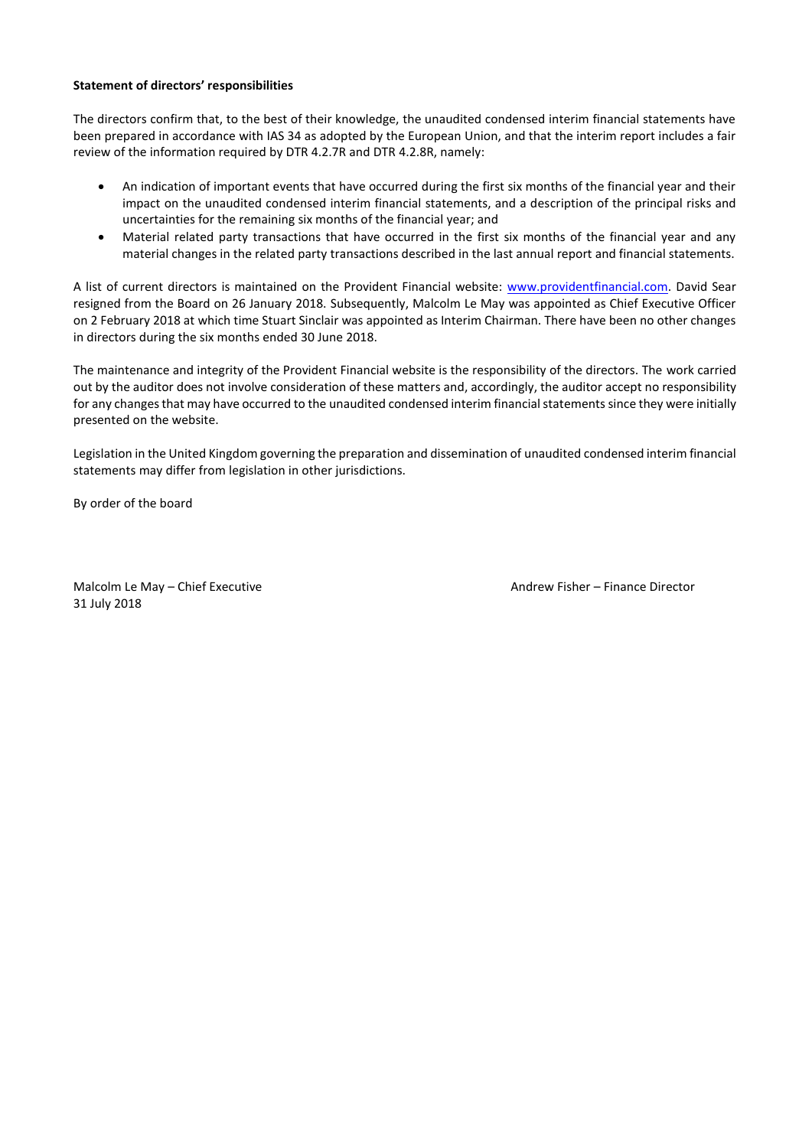#### **Statement of directors' responsibilities**

The directors confirm that, to the best of their knowledge, the unaudited condensed interim financial statements have been prepared in accordance with IAS 34 as adopted by the European Union, and that the interim report includes a fair review of the information required by DTR 4.2.7R and DTR 4.2.8R, namely:

- An indication of important events that have occurred during the first six months of the financial year and their impact on the unaudited condensed interim financial statements, and a description of the principal risks and uncertainties for the remaining six months of the financial year; and
- Material related party transactions that have occurred in the first six months of the financial year and any material changes in the related party transactions described in the last annual report and financial statements.

A list of current directors is maintained on the Provident Financial website: [www.providentfinancial.com.](http://www.providentfinancial.com/) David Sear resigned from the Board on 26 January 2018. Subsequently, Malcolm Le May was appointed as Chief Executive Officer on 2 February 2018 at which time Stuart Sinclair was appointed as Interim Chairman. There have been no other changes in directors during the six months ended 30 June 2018.

The maintenance and integrity of the Provident Financial website is the responsibility of the directors. The work carried out by the auditor does not involve consideration of these matters and, accordingly, the auditor accept no responsibility for any changes that may have occurred to the unaudited condensed interim financial statements since they were initially presented on the website.

Legislation in the United Kingdom governing the preparation and dissemination of unaudited condensed interim financial statements may differ from legislation in other jurisdictions.

By order of the board

Malcolm Le May – Chief Executive Andrew Fisher – Finance Director 31 July 2018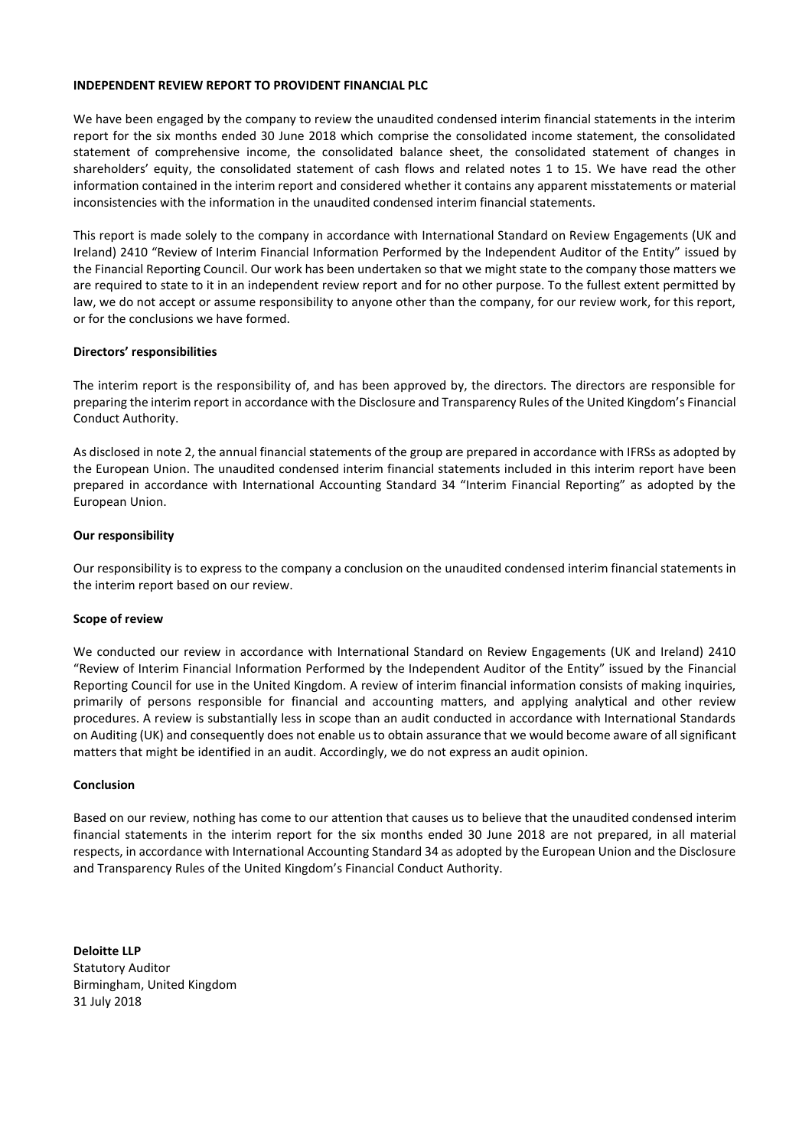#### **INDEPENDENT REVIEW REPORT TO PROVIDENT FINANCIAL PLC**

We have been engaged by the company to review the unaudited condensed interim financial statements in the interim report for the six months ended 30 June 2018 which comprise the consolidated income statement, the consolidated statement of comprehensive income, the consolidated balance sheet, the consolidated statement of changes in shareholders' equity, the consolidated statement of cash flows and related notes 1 to 15. We have read the other information contained in the interim report and considered whether it contains any apparent misstatements or material inconsistencies with the information in the unaudited condensed interim financial statements.

This report is made solely to the company in accordance with International Standard on Review Engagements (UK and Ireland) 2410 "Review of Interim Financial Information Performed by the Independent Auditor of the Entity" issued by the Financial Reporting Council. Our work has been undertaken so that we might state to the company those matters we are required to state to it in an independent review report and for no other purpose. To the fullest extent permitted by law, we do not accept or assume responsibility to anyone other than the company, for our review work, for this report, or for the conclusions we have formed.

## **Directors' responsibilities**

The interim report is the responsibility of, and has been approved by, the directors. The directors are responsible for preparing the interim report in accordance with the Disclosure and Transparency Rules of the United Kingdom's Financial Conduct Authority.

As disclosed in note 2, the annual financial statements of the group are prepared in accordance with IFRSs as adopted by the European Union. The unaudited condensed interim financial statements included in this interim report have been prepared in accordance with International Accounting Standard 34 "Interim Financial Reporting" as adopted by the European Union.

#### **Our responsibility**

Our responsibility is to express to the company a conclusion on the unaudited condensed interim financial statements in the interim report based on our review.

#### **Scope of review**

We conducted our review in accordance with International Standard on Review Engagements (UK and Ireland) 2410 "Review of Interim Financial Information Performed by the Independent Auditor of the Entity" issued by the Financial Reporting Council for use in the United Kingdom. A review of interim financial information consists of making inquiries, primarily of persons responsible for financial and accounting matters, and applying analytical and other review procedures. A review is substantially less in scope than an audit conducted in accordance with International Standards on Auditing (UK) and consequently does not enable us to obtain assurance that we would become aware of all significant matters that might be identified in an audit. Accordingly, we do not express an audit opinion.

#### **Conclusion**

Based on our review, nothing has come to our attention that causes us to believe that the unaudited condensed interim financial statements in the interim report for the six months ended 30 June 2018 are not prepared, in all material respects, in accordance with International Accounting Standard 34 as adopted by the European Union and the Disclosure and Transparency Rules of the United Kingdom's Financial Conduct Authority.

**Deloitte LLP** Statutory Auditor Birmingham, United Kingdom 31 July 2018